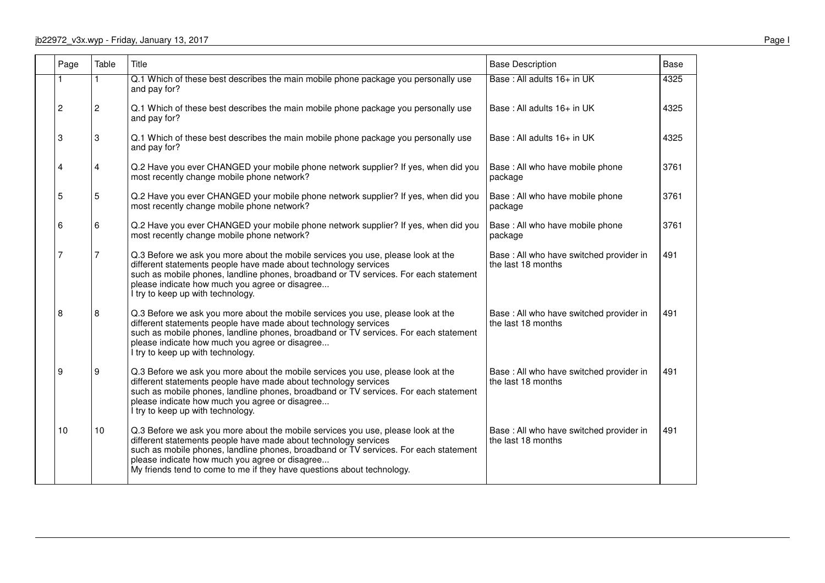#### jb22972\_v3x.wyp - Friday, January 13, 2017

| Page           | Table        | Title                                                                                                                                                                                                                                                                                                                                                                   | <b>Base Description</b>                                        | <b>Base</b> |
|----------------|--------------|-------------------------------------------------------------------------------------------------------------------------------------------------------------------------------------------------------------------------------------------------------------------------------------------------------------------------------------------------------------------------|----------------------------------------------------------------|-------------|
|                |              | Q.1 Which of these best describes the main mobile phone package you personally use<br>and pay for?                                                                                                                                                                                                                                                                      | Base: All adults 16+ in UK                                     | 4325        |
| $\overline{c}$ | $\mathbf{2}$ | Q.1 Which of these best describes the main mobile phone package you personally use<br>and pay for?                                                                                                                                                                                                                                                                      | Base: All adults 16+ in UK                                     | 4325        |
| 3              | 3            | Q.1 Which of these best describes the main mobile phone package you personally use<br>and pay for?                                                                                                                                                                                                                                                                      | Base: All adults 16+ in UK                                     | 4325        |
| 4              | 4            | Q.2 Have you ever CHANGED your mobile phone network supplier? If yes, when did you<br>most recently change mobile phone network?                                                                                                                                                                                                                                        | Base : All who have mobile phone<br>package                    | 3761        |
| 5              | 5            | Q.2 Have you ever CHANGED your mobile phone network supplier? If yes, when did you<br>most recently change mobile phone network?                                                                                                                                                                                                                                        | Base : All who have mobile phone<br>package                    | 3761        |
| 6              | 6            | Q.2 Have you ever CHANGED your mobile phone network supplier? If yes, when did you<br>most recently change mobile phone network?                                                                                                                                                                                                                                        | Base : All who have mobile phone<br>package                    | 3761        |
|                | 7            | Q.3 Before we ask you more about the mobile services you use, please look at the<br>different statements people have made about technology services<br>such as mobile phones, landline phones, broadband or TV services. For each statement<br>please indicate how much you agree or disagree<br>I try to keep up with technology.                                      | Base : All who have switched provider in<br>the last 18 months | 491         |
| 8              | 8            | Q.3 Before we ask you more about the mobile services you use, please look at the<br>different statements people have made about technology services<br>such as mobile phones, landline phones, broadband or TV services. For each statement<br>please indicate how much you agree or disagree<br>I try to keep up with technology.                                      | Base: All who have switched provider in<br>the last 18 months  | 491         |
| 9              | 9            | Q.3 Before we ask you more about the mobile services you use, please look at the<br>different statements people have made about technology services<br>such as mobile phones, landline phones, broadband or TV services. For each statement<br>please indicate how much you agree or disagree<br>I try to keep up with technology.                                      | Base : All who have switched provider in<br>the last 18 months | 491         |
| 10             | 10           | Q.3 Before we ask you more about the mobile services you use, please look at the<br>different statements people have made about technology services<br>such as mobile phones, landline phones, broadband or TV services. For each statement<br>please indicate how much you agree or disagree<br>My friends tend to come to me if they have questions about technology. | Base : All who have switched provider in<br>the last 18 months | 491         |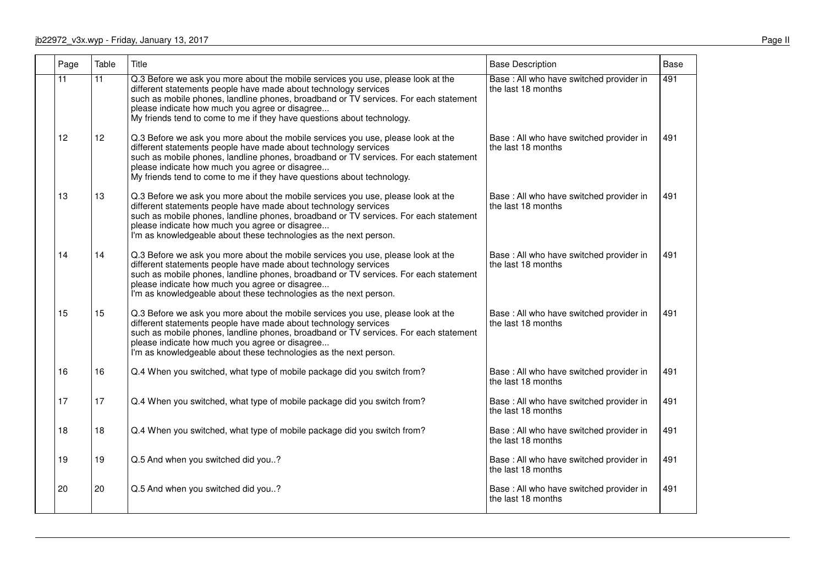| Page            | Table           | Title                                                                                                                                                                                                                                                                                                                                                                   | <b>Base Description</b>                                        | Base |
|-----------------|-----------------|-------------------------------------------------------------------------------------------------------------------------------------------------------------------------------------------------------------------------------------------------------------------------------------------------------------------------------------------------------------------------|----------------------------------------------------------------|------|
| $\overline{11}$ | $\overline{11}$ | Q.3 Before we ask you more about the mobile services you use, please look at the<br>different statements people have made about technology services<br>such as mobile phones, landline phones, broadband or TV services. For each statement<br>please indicate how much you agree or disagree<br>My friends tend to come to me if they have questions about technology. | Base : All who have switched provider in<br>the last 18 months | 491  |
| 12              | 12              | Q.3 Before we ask you more about the mobile services you use, please look at the<br>different statements people have made about technology services<br>such as mobile phones, landline phones, broadband or TV services. For each statement<br>please indicate how much you agree or disagree<br>My friends tend to come to me if they have questions about technology. | Base: All who have switched provider in<br>the last 18 months  | 491  |
| 13              | 13              | Q.3 Before we ask you more about the mobile services you use, please look at the<br>different statements people have made about technology services<br>such as mobile phones, landline phones, broadband or TV services. For each statement<br>please indicate how much you agree or disagree<br>I'm as knowledgeable about these technologies as the next person.      | Base: All who have switched provider in<br>the last 18 months  | 491  |
| 14              | 14              | Q.3 Before we ask you more about the mobile services you use, please look at the<br>different statements people have made about technology services<br>such as mobile phones, landline phones, broadband or TV services. For each statement<br>please indicate how much you agree or disagree<br>I'm as knowledgeable about these technologies as the next person.      | Base : All who have switched provider in<br>the last 18 months | 491  |
| 15              | 15              | Q.3 Before we ask you more about the mobile services you use, please look at the<br>different statements people have made about technology services<br>such as mobile phones, landline phones, broadband or TV services. For each statement<br>please indicate how much you agree or disagree<br>I'm as knowledgeable about these technologies as the next person.      | Base: All who have switched provider in<br>the last 18 months  | 491  |
| 16              | 16              | Q.4 When you switched, what type of mobile package did you switch from?                                                                                                                                                                                                                                                                                                 | Base : All who have switched provider in<br>the last 18 months | 491  |
| 17              | 17              | Q.4 When you switched, what type of mobile package did you switch from?                                                                                                                                                                                                                                                                                                 | Base: All who have switched provider in<br>the last 18 months  | 491  |
| 18              | 18              | Q.4 When you switched, what type of mobile package did you switch from?                                                                                                                                                                                                                                                                                                 | Base : All who have switched provider in<br>the last 18 months | 491  |
| 19              | 19              | Q.5 And when you switched did you?                                                                                                                                                                                                                                                                                                                                      | Base: All who have switched provider in<br>the last 18 months  | 491  |
| 20              | 20              | Q.5 And when you switched did you?                                                                                                                                                                                                                                                                                                                                      | Base : All who have switched provider in<br>the last 18 months | 491  |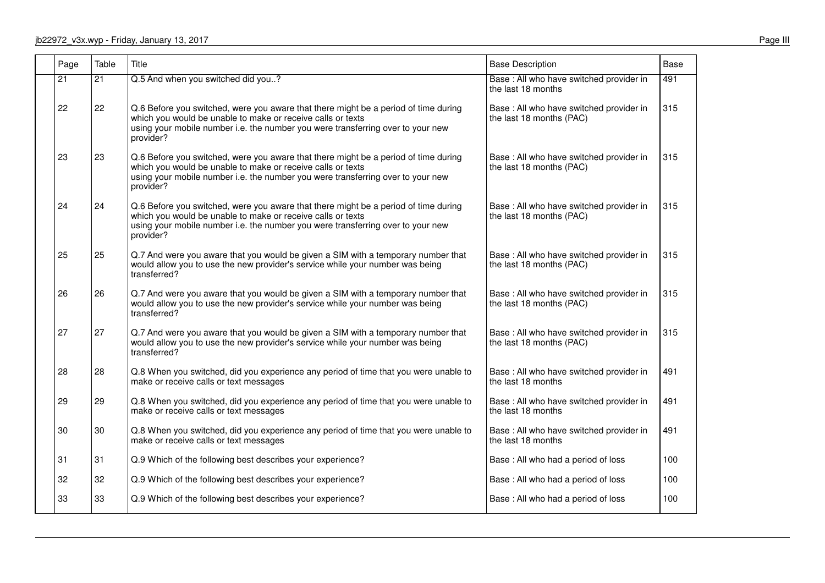| Page            | Table           | Title                                                                                                                                                                                                                                              | <b>Base Description</b>                                              | <b>Base</b> |
|-----------------|-----------------|----------------------------------------------------------------------------------------------------------------------------------------------------------------------------------------------------------------------------------------------------|----------------------------------------------------------------------|-------------|
| $\overline{21}$ | $\overline{21}$ | Q.5 And when you switched did you?                                                                                                                                                                                                                 | Base : All who have switched provider in<br>the last 18 months       | 491         |
| 22              | 22              | Q.6 Before you switched, were you aware that there might be a period of time during<br>which you would be unable to make or receive calls or texts<br>using your mobile number i.e. the number you were transferring over to your new<br>provider? | Base : All who have switched provider in<br>the last 18 months (PAC) | 315         |
| 23              | 23              | Q.6 Before you switched, were you aware that there might be a period of time during<br>which you would be unable to make or receive calls or texts<br>using your mobile number i.e. the number you were transferring over to your new<br>provider? | Base : All who have switched provider in<br>the last 18 months (PAC) | 315         |
| 24              | 24              | Q.6 Before you switched, were you aware that there might be a period of time during<br>which you would be unable to make or receive calls or texts<br>using your mobile number i.e. the number you were transferring over to your new<br>provider? | Base: All who have switched provider in<br>the last 18 months (PAC)  | 315         |
| 25              | 25              | Q.7 And were you aware that you would be given a SIM with a temporary number that<br>would allow you to use the new provider's service while your number was being<br>transferred?                                                                 | Base : All who have switched provider in<br>the last 18 months (PAC) | 315         |
| 26              | 26              | Q.7 And were you aware that you would be given a SIM with a temporary number that<br>would allow you to use the new provider's service while your number was being<br>transferred?                                                                 | Base: All who have switched provider in<br>the last 18 months (PAC)  | 315         |
| 27              | 27              | Q.7 And were you aware that you would be given a SIM with a temporary number that<br>would allow you to use the new provider's service while your number was being<br>transferred?                                                                 | Base: All who have switched provider in<br>the last 18 months (PAC)  | 315         |
| 28              | 28              | Q.8 When you switched, did you experience any period of time that you were unable to<br>make or receive calls or text messages                                                                                                                     | Base: All who have switched provider in<br>the last 18 months        | 491         |
| 29              | 29              | Q.8 When you switched, did you experience any period of time that you were unable to<br>make or receive calls or text messages                                                                                                                     | Base: All who have switched provider in<br>the last 18 months        | 491         |
| 30              | 30              | Q.8 When you switched, did you experience any period of time that you were unable to<br>make or receive calls or text messages                                                                                                                     | Base : All who have switched provider in<br>the last 18 months       | 491         |
| 31              | 31              | Q.9 Which of the following best describes your experience?                                                                                                                                                                                         | Base: All who had a period of loss                                   | 100         |
| 32              | 32              | Q.9 Which of the following best describes your experience?                                                                                                                                                                                         | Base: All who had a period of loss                                   | 100         |
| 33              | 33              | Q.9 Which of the following best describes your experience?                                                                                                                                                                                         | Base: All who had a period of loss                                   | 100         |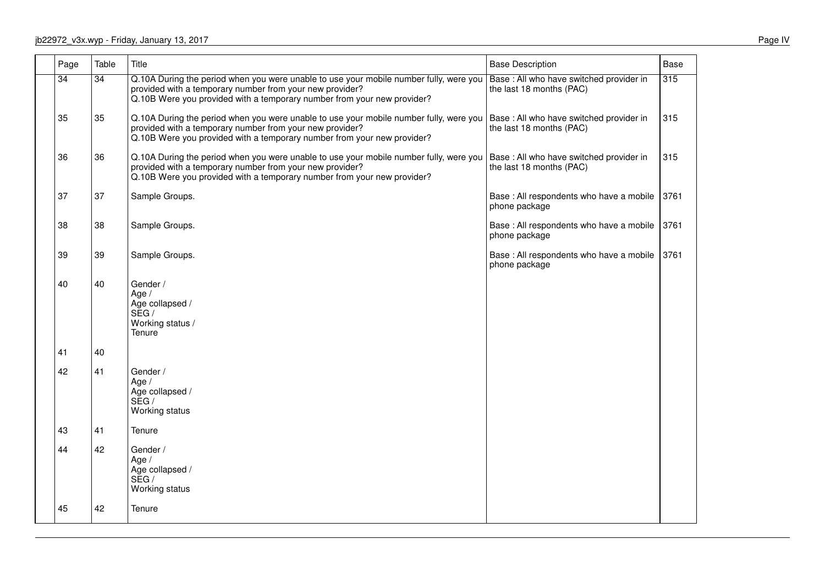| Page            | Table           | Title                                                                                                                                                                                                                         | <b>Base Description</b>                                              | Base |
|-----------------|-----------------|-------------------------------------------------------------------------------------------------------------------------------------------------------------------------------------------------------------------------------|----------------------------------------------------------------------|------|
| $\overline{34}$ | $\overline{34}$ | Q.10A During the period when you were unable to use your mobile number fully, were you<br>provided with a temporary number from your new provider?<br>Q.10B Were you provided with a temporary number from your new provider? | Base: All who have switched provider in<br>the last 18 months (PAC)  | 315  |
| 35              | 35              | Q.10A During the period when you were unable to use your mobile number fully, were you<br>provided with a temporary number from your new provider?<br>Q.10B Were you provided with a temporary number from your new provider? | Base: All who have switched provider in<br>the last 18 months (PAC)  | 315  |
| 36              | 36              | Q.10A During the period when you were unable to use your mobile number fully, were you<br>provided with a temporary number from your new provider?<br>Q.10B Were you provided with a temporary number from your new provider? | Base : All who have switched provider in<br>the last 18 months (PAC) | 315  |
| 37              | 37              | Sample Groups.                                                                                                                                                                                                                | Base : All respondents who have a mobile<br>phone package            | 3761 |
| 38              | 38              | Sample Groups.                                                                                                                                                                                                                | Base: All respondents who have a mobile<br>phone package             | 3761 |
| 39              | 39              | Sample Groups.                                                                                                                                                                                                                | Base : All respondents who have a mobile<br>phone package            | 3761 |
| 40              | 40              | Gender /<br>Age /<br>Age collapsed /<br>SEG /<br>Working status /<br>Tenure                                                                                                                                                   |                                                                      |      |
| 41              | 40              |                                                                                                                                                                                                                               |                                                                      |      |
| 42              | 41              | Gender /<br>Age $/$<br>Age collapsed /<br>SEG /<br>Working status                                                                                                                                                             |                                                                      |      |
| 43              | 41              | Tenure                                                                                                                                                                                                                        |                                                                      |      |
| 44              | 42              | Gender /<br>Age $/$<br>Age collapsed /<br>SEG/<br>Working status                                                                                                                                                              |                                                                      |      |
| 45              | 42              | Tenure                                                                                                                                                                                                                        |                                                                      |      |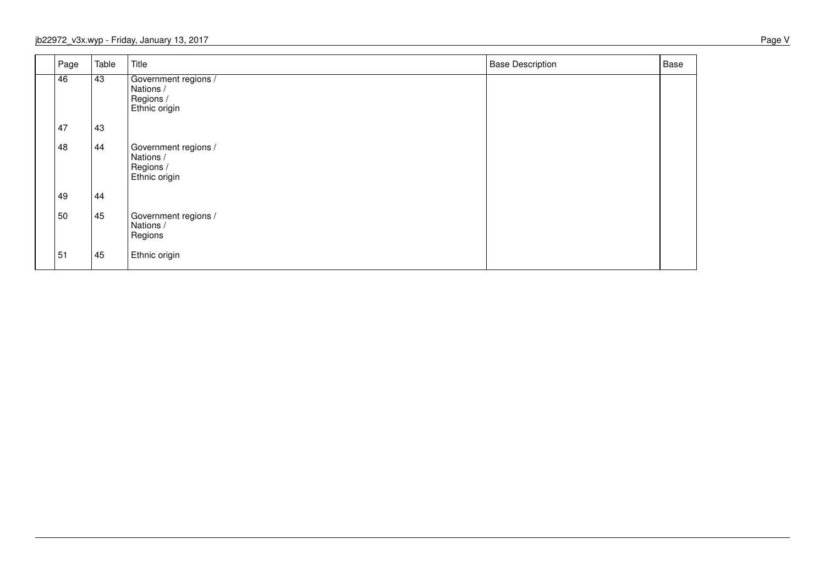| Page | Table | Title                                                           | <b>Base Description</b> | Base |
|------|-------|-----------------------------------------------------------------|-------------------------|------|
| 46   | 43    | Government regions /<br>Nations /<br>Regions /<br>Ethnic origin |                         |      |
| 47   | 43    |                                                                 |                         |      |
| 48   | 44    | Government regions /<br>Nations /<br>Regions /<br>Ethnic origin |                         |      |
| 49   | 44    |                                                                 |                         |      |
| 50   | 45    | Government regions /<br>Nations /<br>Regions                    |                         |      |
| 51   | 45    | Ethnic origin                                                   |                         |      |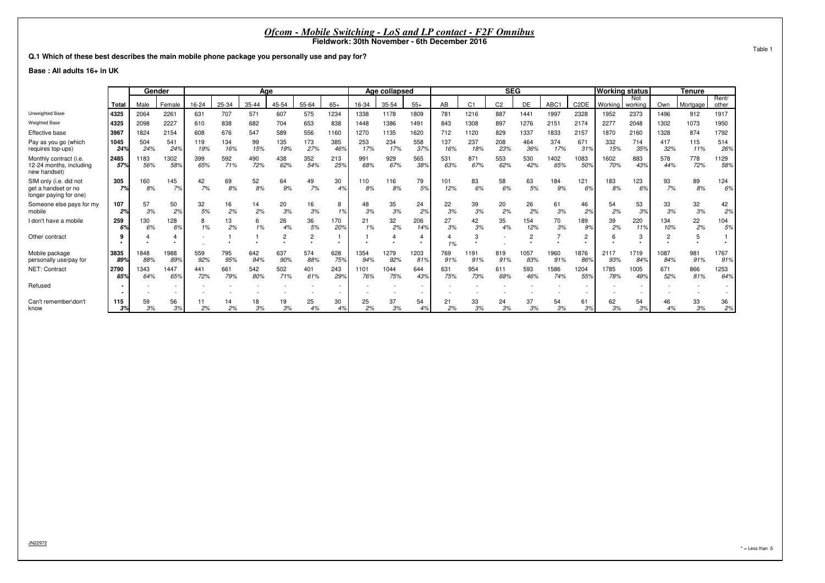#### **Q.1 Which of these best describes the main mobile phone package you personally use and pay for?**

**Base : All adults 16+ in UK**

|                                                                         |             | Gender      |             |            |            | Age        |            |            |            |             | Age collapsed |             |            |                | <b>SEG</b>     |             |             |                   | <b>Working status</b> |                |             | Tenure     |                |
|-------------------------------------------------------------------------|-------------|-------------|-------------|------------|------------|------------|------------|------------|------------|-------------|---------------|-------------|------------|----------------|----------------|-------------|-------------|-------------------|-----------------------|----------------|-------------|------------|----------------|
|                                                                         | Total       | Male        | Female      | 16-24      | 25-34      | 35-44      | 45-54      | 55-64      | $65+$      | 16-34       | 35-54         | $55+$       | AB         | C <sub>1</sub> | C <sub>2</sub> | DE          | ABC1        | C <sub>2</sub> DE | Working               | Not<br>working | Own         | Mortgage   | Rent/<br>other |
| Unweighted Base                                                         | 4325        | 2064        | 2261        | 631        | 707        | 571        | 607        | 575        | 1234       | 1338        | 1178          | 1809        | 781        | 1216           | 887            | 1441        | 1997        | 2328              | 1952                  | 2373           | 1496        | 912        | 1917           |
| <b>Weighted Base</b>                                                    | 4325        | 2098        | 2227        | 610        | 838        | 682        | 704        | 653        | 838        | 1448        | 1386          | 1491        | 843        | 1308           | 897            | 1276        | 2151        | 2174              | 2277                  | 2048           | 1302        | 1073       | 1950           |
| Effective base                                                          | 3967        | 1824        | 2154        | 608        | 676        | 547        | 589        | 556        | 1160       | 1270        | 1135          | 1620        | 712        | 1120           | 829            | 1337        | 1833        | 2157              | 1870                  | 2160           | 1328        | 874        | 1792           |
| Pay as you go (which<br>requires top-ups)                               | 1045<br>24% | 504<br>24%  | 541<br>24%  | 119<br>19% | 134<br>16% | 99<br>15%  | 135<br>19% | 173<br>27% | 385<br>46% | 253<br>17%  | 234<br>17%    | 558<br>37%  | 137<br>16% | 237<br>18%     | 208<br>23%     | 464<br>36%  | 374<br>17%  | 671<br>31%        | 332<br>15%            | 714<br>35%     | 417<br>32%  | 115<br>11% | 514<br>26%     |
| Monthly contract (i.e.<br>12-24 months, including<br>new handset)       | 2485<br>57% | 1183<br>56% | 1302<br>58% | 399<br>65% | 592<br>71% | 490<br>72% | 438<br>62% | 352<br>54% | 213<br>25% | 991<br>68%  | 929<br>67%    | 565<br>38%  | 531<br>63% | 871<br>67%     | 553<br>62%     | 530<br>42%  | 1402<br>65% | 1083<br>50%       | 1602<br>70%           | 883<br>43%     | 578<br>44%  | 778<br>72% | 1129<br>58%    |
| SIM only (i.e. did not<br>get a handset or no<br>longer paying for one) | 305<br>7%   | 160<br>8%   | 145<br>7%   | 42<br>7%   | 69<br>8%   | 52<br>8%   | 64<br>9%   | 49<br>7%   | 30<br>4%   | 110<br>8%   | 116<br>8%     | 79<br>5%    | 101<br>12% | 83<br>6%       | 58<br>6%       | 63<br>5%    | 184<br>9%   | 121<br>6%         | 183<br>8%             | 123<br>6%      | 93<br>7%    | 89<br>8%   | 124<br>6%      |
| Someone else pays for my<br>mobile                                      | 107<br>2%   | 57<br>3%    | 50<br>2%    | 32<br>5%   | 16<br>2%   | 14<br>2%   | 20<br>3%   | 16<br>3%   | 8<br>1%    | 48<br>3%    | 35<br>3%      | 24<br>2%    | 22<br>3%   | 39<br>3%       | 20<br>2%       | 26<br>2%    | 61<br>3%    | 46<br>2%          | 54<br>2%              | 53<br>3%       | 33<br>3%    | 32<br>3%   | 42<br>2%       |
| I don't have a mobile                                                   | 259<br>6%   | 130<br>6%   | 128<br>6%   | 8<br>1%    | 13<br>2%   | 6<br>1%    | 26<br>4%   | 36<br>5%   | 170<br>20% | 21<br>1%    | 32<br>2%      | 206<br>14%  | 27<br>3%   | 42<br>3%       | 35<br>4%       | 154<br>12%  | 70<br>3%    | 189<br>9%         | 39<br>2%              | 220<br>11%     | 134<br>10%  | 22<br>2%   | 104<br>5%      |
| Other contract                                                          |             |             |             |            |            |            |            |            |            |             |               |             | 1%         |                |                |             |             | 2                 | 6                     | з              |             |            |                |
| Mobile package<br>personally use/pay for                                | 3835<br>89% | 1848<br>88% | 1988<br>89% | 559<br>92% | 795<br>95% | 642<br>94% | 637<br>90% | 574<br>88% | 628<br>75% | 1354<br>94% | 1279<br>92%   | 1203<br>81% | 769<br>91% | 1191<br>91%    | 819<br>91%     | 1057<br>83% | 1960<br>91% | 1876<br>86%       | 2117<br>93%           | 1719<br>84%    | 1087<br>84% | 981<br>91% | 1767<br>91%    |
| NET: Contract                                                           | 2790<br>65% | 1343<br>64% | 1447<br>65% | 441<br>72% | 661<br>79% | 542<br>80% | 502<br>71% | 401<br>61% | 243<br>29% | 1101<br>76% | 1044<br>75%   | 644<br>43%  | 631<br>75% | 954<br>73%     | 611<br>68%     | 593<br>46%  | 1586<br>74% | 1204<br>55%       | 1785<br>78%           | 1005<br>49%    | 671<br>52%  | 866<br>81% | 1253<br>64%    |
| Refused                                                                 |             |             |             |            |            |            |            |            |            |             |               |             |            |                |                |             |             |                   |                       |                |             |            |                |
| Can't remember\don't<br>know                                            | 115<br>3%   | 59<br>3%    | 56<br>3%    | 2%         | 2%         | 18<br>3%   | 19<br>3%   | 25<br>4%   | 30<br>4%   | 25<br>2%    | 37<br>3%      | 54<br>4%    | 21<br>2%   | 33<br>3%       | 24<br>3%       | 37<br>3%    | 54<br>3%    | 61<br>3%          | 62<br>3%              | 54<br>3%       | 46<br>4%    | 33<br>3%   | 36<br>2%       |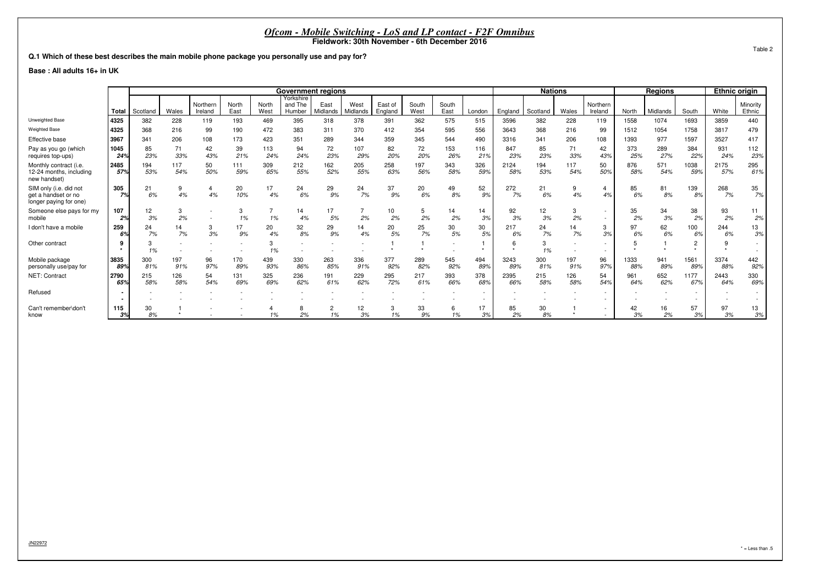#### **Q.1 Which of these best describes the main mobile phone package you personally use and pay for?**

#### **Base : All adults 16+ in UK**

|                                                                         |               |                                                                                                                                                                                                                                                             |            |           |            |            | <b>Government regions</b> |            |            |            |            |            |            |             | <b>Nations</b> |            |                     |             | <b>Regions</b> |             | <b>Ethnic origin</b> |                    |
|-------------------------------------------------------------------------|---------------|-------------------------------------------------------------------------------------------------------------------------------------------------------------------------------------------------------------------------------------------------------------|------------|-----------|------------|------------|---------------------------|------------|------------|------------|------------|------------|------------|-------------|----------------|------------|---------------------|-------------|----------------|-------------|----------------------|--------------------|
|                                                                         | Total         | Yorkshire<br>Northern<br>East of<br>South<br>North<br>and The<br>East<br>West<br>South<br>North<br><i><b>Midlands</b></i><br>Wales<br>East<br>West<br>Midlands<br>England<br>West<br>East<br>Ireland<br>Humber<br>England<br>Scotland<br>Scotland<br>London |            |           |            |            |                           |            |            |            |            |            |            |             |                | Wales      | Northern<br>Ireland | North       | Midlands       | South       | White                | Minority<br>Ethnic |
| Unweighted Base                                                         | 4325          | 382                                                                                                                                                                                                                                                         | 228        | 119       | 193        | 469        | 395                       | 318        | 378        | 391        | 362        | 575        | 515        | 3596        | 382            | 228        | 119                 | 1558        | 1074           | 1693        | 3859                 | 440                |
| <b>Weighted Base</b>                                                    | 4325          | 368                                                                                                                                                                                                                                                         | 216        | 99        | 190        | 472        | 383                       | 311        | 370        | 412        | 354        | 595        | 556        | 3643        | 368            | 216        | 99                  | 1512        | 1054           | 1758        | 3817                 | 479                |
| Effective base                                                          | 3967          | 341                                                                                                                                                                                                                                                         | 206        | 108       | 173        | 423        | 351                       | 289        | 344        | 359        | 345        | 544        | 490        | 3316        | 341            | 206        | 108                 | 1393        | 977            | 1597        | 3527                 | 417                |
| Pay as you go (which<br>requires top-ups)                               | 1045<br>24%   | 85<br>23%                                                                                                                                                                                                                                                   | 71<br>33%  | 42<br>43% | 39<br>21%  | 113<br>24% | 94<br>24%                 | 72<br>23%  | 107<br>29% | 82<br>20%  | 72<br>20%  | 153<br>26% | 116<br>21% | 847<br>23%  | 85<br>23%      | 71<br>33%  | 42<br>43%           | 373<br>25%  | 289<br>27%     | 384<br>22%  | 931<br>24%           | 112<br>23%         |
| Monthly contract (i.e.<br>12-24 months, including<br>new handset)       | 2485<br>57%   | 194<br>53%                                                                                                                                                                                                                                                  | 117<br>54% | 50<br>50% | 111<br>59% | 309<br>65% | 212<br>55%                | 162<br>52% | 205<br>55% | 258<br>63% | 197<br>56% | 343<br>58% | 326<br>59% | 2124<br>58% | 194<br>53%     | 117<br>54% | 50<br>50%           | 876<br>58%  | 571<br>54%     | 1038<br>59% | 2175<br>57%          | 295<br>61%         |
| SIM only (i.e. did not<br>get a handset or no<br>longer paying for one) | 305<br>7%     | 21<br>6%                                                                                                                                                                                                                                                    | 9<br>4%    | 4<br>4%   | 20<br>10%  | 17<br>4%   | 24<br>6%                  | 29<br>9%   | 24<br>7%   | 37<br>9%   | 20<br>6%   | 49<br>8%   | 52<br>9%   | 272<br>7%   | 21<br>6%       | 4%         | 4%                  | 85<br>6%    | 81<br>8%       | 139<br>8%   | 268<br>7%            | 35<br>7%           |
| Someone else pays for my<br>mobile                                      | 107<br>2%     | 12<br>3%                                                                                                                                                                                                                                                    | 3<br>2%    |           | 1%         | 1%         | 14<br>4%                  | 17<br>5%   | 2%         | 10<br>2%   | 5<br>2%    | 14<br>2%   | 14<br>3%   | 92<br>3%    | 12<br>3%       | 2%         |                     | 35<br>2%    | 34<br>3%       | 38<br>2%    | 93<br>2%             | 11<br>2%           |
| I don't have a mobile                                                   | 259<br>6%     | 24<br>7%                                                                                                                                                                                                                                                    | 14<br>7%   | 3<br>3%   | 17<br>9%   | 20<br>4%   | 32<br>8%                  | 29<br>9%   | 14<br>4%   | 20<br>5%   | 25<br>7%   | 30<br>5%   | 30<br>5%   | 217<br>6%   | 24<br>7%       | 7%         | 3<br>3%             | 97<br>6%    | 62<br>6%       | 100<br>6%   | 244<br>6%            | 13<br>3%           |
| Other contract                                                          |               | 3<br>1%                                                                                                                                                                                                                                                     |            |           |            |            |                           |            |            |            |            |            |            |             | 3<br>1%        |            |                     |             |                | $\Omega$    |                      |                    |
| Mobile package<br>personally use/pay for                                | 3835<br>89%   | 300<br>81%                                                                                                                                                                                                                                                  | 197<br>91% | 96<br>97% | 170<br>89% | 439<br>93% | 330<br>86%                | 263<br>85% | 336<br>91% | 377<br>92% | 289<br>82% | 545<br>92% | 494<br>89% | 3243<br>89% | 300<br>81%     | 197<br>91% | 96<br>97%           | 1333<br>88% | 941<br>89%     | 1561<br>89% | 3374<br>88%          | 442<br>92%         |
| NET: Contract                                                           | l 2790<br>65% | 215<br>58%                                                                                                                                                                                                                                                  | 126<br>58% | 54<br>54% | 131<br>69% | 325<br>69% | 236<br>62%                | 191<br>61% | 229<br>62% | 295<br>72% | 217<br>61% | 393<br>66% | 378<br>68% | 2395<br>66% | 215<br>58%     | 126<br>58% | 54<br>54%           | 961<br>64%  | 652<br>62%     | 1177<br>67% | 2443<br>64%          | 330<br>69%         |
| Refused                                                                 |               |                                                                                                                                                                                                                                                             |            |           |            |            |                           |            |            |            |            |            |            |             |                |            |                     |             |                |             |                      |                    |
| Can't remember\don't<br>know                                            | 115<br>3%     | 30<br>8%                                                                                                                                                                                                                                                    |            |           |            | 1%         | 2%                        | 1%         | 12<br>3%   | 1%         | 33<br>9%   | 1%         | 17<br>3%   | 85<br>2%    | 30<br>8%       |            |                     | 42<br>3%    | 16<br>2%       | 57<br>3%    | 97<br>3%             | 13<br>3%           |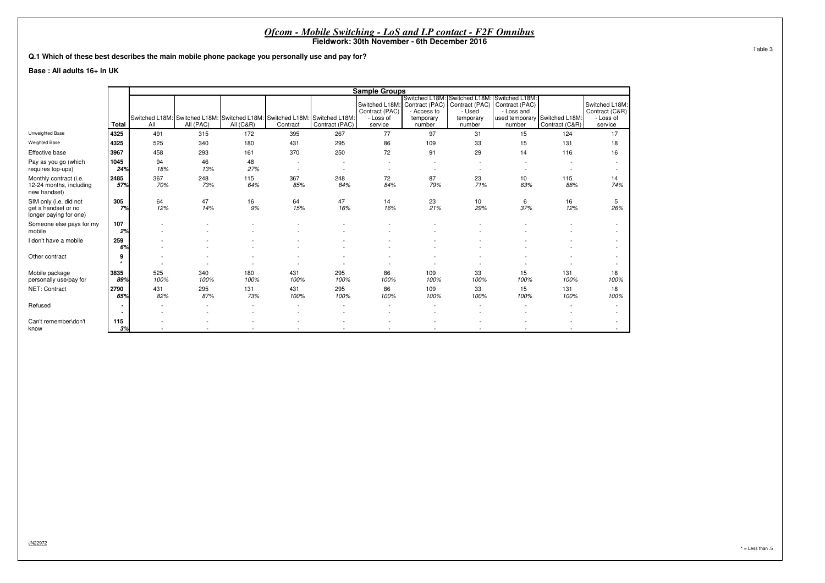|                                                                         |                                                                                                                                                 |             |             |                                                                                                    |                          |                          | <i>Ofcom - Mobile Switching - LoS and LP contact - F2F Omnibus</i>      |                                    |                                                                                                                |                          |                                                      |                                                          |  |  |  |
|-------------------------------------------------------------------------|-------------------------------------------------------------------------------------------------------------------------------------------------|-------------|-------------|----------------------------------------------------------------------------------------------------|--------------------------|--------------------------|-------------------------------------------------------------------------|------------------------------------|----------------------------------------------------------------------------------------------------------------|--------------------------|------------------------------------------------------|----------------------------------------------------------|--|--|--|
|                                                                         | Fieldwork: 30th November - 6th December 2016<br>Q.1 Which of these best describes the main mobile phone package you personally use and pay for? |             |             |                                                                                                    |                          |                          |                                                                         |                                    |                                                                                                                |                          |                                                      |                                                          |  |  |  |
|                                                                         |                                                                                                                                                 |             |             |                                                                                                    |                          |                          |                                                                         |                                    |                                                                                                                |                          |                                                      |                                                          |  |  |  |
| Base: All adults 16+ in UK                                              |                                                                                                                                                 |             |             |                                                                                                    |                          |                          |                                                                         |                                    |                                                                                                                |                          |                                                      |                                                          |  |  |  |
|                                                                         |                                                                                                                                                 |             |             |                                                                                                    |                          |                          |                                                                         |                                    |                                                                                                                |                          |                                                      |                                                          |  |  |  |
|                                                                         |                                                                                                                                                 |             |             |                                                                                                    |                          |                          | <b>Sample Groups</b>                                                    |                                    |                                                                                                                |                          |                                                      |                                                          |  |  |  |
|                                                                         | Total                                                                                                                                           | All         | All (PAC)   | Switched L18M: Switched L18M: Switched L18M: Switched L18M: Switched L18M:<br><b>All (C&amp;R)</b> | Contract                 | Contract (PAC)           | Switched L18M: Contract (PAC)<br>Contract (PAC)<br>- Loss of<br>service | - Access to<br>temporary<br>number | Switched L18M: Switched L18M: Switched L18M:<br>Contract (PAC) Contract (PAC)<br>- Used<br>temporary<br>number | - Loss and<br>number     | used temporary Switched L18M:<br>Contract (C&R)      | Switched L18M:<br>Contract (C&R)<br>- Loss of<br>service |  |  |  |
| Unweighted Base                                                         | 4325                                                                                                                                            | 491         | 315         | 172                                                                                                | 395                      | 267                      | 77                                                                      | 97                                 | 31                                                                                                             | 15                       | 124                                                  | 17                                                       |  |  |  |
| Weighted Base                                                           | 4325                                                                                                                                            | 525         | 340         | 180                                                                                                | 431                      | 295                      | 86                                                                      | 109                                | 33                                                                                                             | 15                       | 131                                                  | 18                                                       |  |  |  |
| Effective base                                                          | 3967                                                                                                                                            | 458         | 293         | 161                                                                                                | 370                      | 250                      | 72                                                                      | 91                                 | 29                                                                                                             | 14                       | 116                                                  | 16                                                       |  |  |  |
| Pay as you go (which<br>requires top-ups)                               | 1045<br>24%                                                                                                                                     | 94<br>18%   | 46<br>13%   | 48<br>27%                                                                                          | $\overline{\phantom{a}}$ | $\overline{\phantom{a}}$ | $\overline{\phantom{a}}$<br>$\overline{\phantom{a}}$                    | $\overline{\phantom{a}}$           |                                                                                                                | $\overline{\phantom{a}}$ | $\overline{\phantom{a}}$<br>$\overline{\phantom{a}}$ |                                                          |  |  |  |
| Monthly contract (i.e.<br>12-24 months, including<br>new handset)       | 2485<br>57%                                                                                                                                     | 367<br>70%  | 248<br>73%  | 115<br>64%                                                                                         | 367<br>85%               | 248<br>84%               | 72<br>84%                                                               | 87<br>79%                          | 23<br>71%                                                                                                      | 10<br>63%                | 115<br>88%                                           | 14<br>74%                                                |  |  |  |
| SIM only (i.e. did not<br>get a handset or no<br>longer paying for one) | 305<br>7%                                                                                                                                       | 64<br>12%   | 47<br>14%   | 16<br>9%                                                                                           | 64<br>15%                | 47<br>16%                | 14<br>16%                                                               | 23<br>21%                          | 10<br>29%                                                                                                      | 6<br>37%                 | 16<br>12%                                            | 5<br>26%                                                 |  |  |  |
| Someone else pays for my<br>mobile                                      | 107<br>2%                                                                                                                                       |             |             |                                                                                                    |                          |                          |                                                                         |                                    |                                                                                                                |                          |                                                      | $\overline{\phantom{a}}$                                 |  |  |  |
| I don't have a mobile                                                   | 259<br>6%                                                                                                                                       |             |             |                                                                                                    |                          |                          |                                                                         |                                    |                                                                                                                |                          |                                                      |                                                          |  |  |  |
| Other contract                                                          | 9                                                                                                                                               |             |             |                                                                                                    | $\sim$                   | $\overline{\phantom{a}}$ | $\overline{\phantom{a}}$                                                |                                    |                                                                                                                |                          |                                                      |                                                          |  |  |  |
| Mobile package<br>personally use/pay for                                | 3835<br>89%                                                                                                                                     | 525<br>100% | 340<br>100% | 180<br>100%                                                                                        | 431<br>100%              | 295<br>100%              | 86<br>100%                                                              | 109<br>100%                        | 33<br>100%                                                                                                     | 15<br>100%               | 131<br>100%                                          | 18<br>100%                                               |  |  |  |
| NET: Contract                                                           | 2790<br>65%                                                                                                                                     | 431<br>82%  | 295<br>87%  | 131<br>73%                                                                                         | 431<br>100%              | 295<br>100%              | 86<br>100%                                                              | 109<br>100%                        | 33<br>100%                                                                                                     | 15<br>100%               | 131<br>100%                                          | 18<br>100%                                               |  |  |  |
| Refused                                                                 |                                                                                                                                                 |             |             |                                                                                                    |                          |                          |                                                                         |                                    |                                                                                                                |                          |                                                      | $\sim$                                                   |  |  |  |
| Can't remember\don't<br>know                                            | 115<br>3%                                                                                                                                       |             |             |                                                                                                    |                          |                          |                                                                         |                                    |                                                                                                                |                          |                                                      | $\sim$                                                   |  |  |  |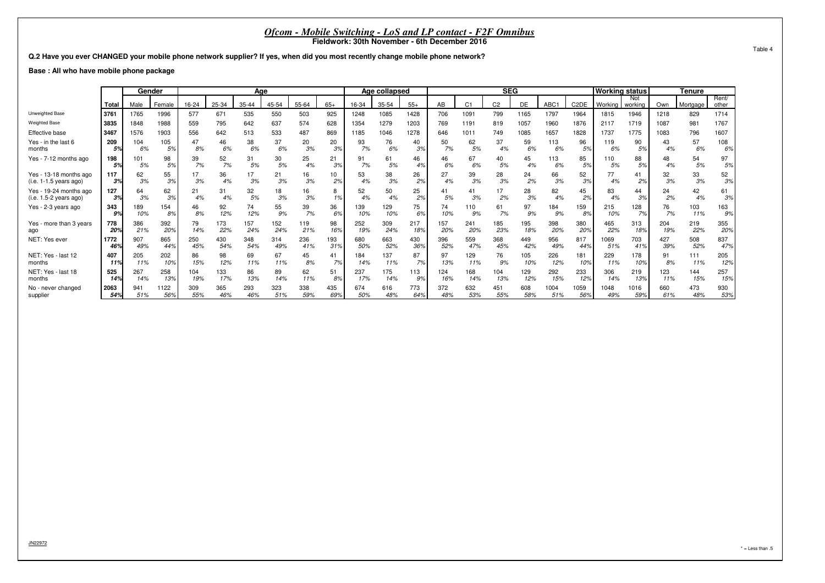**Q.2 Have you ever CHANGED your mobile phone network supplier? If yes, when did you most recently change mobile phone network?**

**Base : All who have mobile phone package**

|                         |       |      | Gender |       | Age   |           |       |       |       |       | Age collapsed |       |     |                | <b>SEG</b>     |      |      |                   | <b>Working status</b> |                |      | Tenure   |                |
|-------------------------|-------|------|--------|-------|-------|-----------|-------|-------|-------|-------|---------------|-------|-----|----------------|----------------|------|------|-------------------|-----------------------|----------------|------|----------|----------------|
|                         | Total | Male | Female | 16-24 | 25-34 | $35 - 44$ | 45-54 | 55-64 | $65+$ | 16-34 | 35-54         | $55+$ | AB  | C <sub>1</sub> | C <sub>2</sub> | DE   | ABC1 | C <sub>2</sub> DE | Working               | Not<br>working | Own  | Mortgage | Rent/<br>other |
| Unweighted Base         | 3761  | 1765 | 1996   | 577   | 671   | 535       | 550   | 503   | 925   | 1248  | 1085          | 1428  | 706 | 1091           | 799            | 1165 | 1797 | 1964              | 1815                  | 1946           | 1218 | 829      | 1714           |
| <b>Weighted Base</b>    | 3835  | 1848 | 1988   | 559   | 795   | 642       | 637   | 574   | 628   | 1354  | 1279          | 1203  | 769 | 1191           | 819            | 1057 | 1960 | 1876              | 2117                  | 1719           | 1087 | 981      | 1767           |
| Effective base          | 3467  | 1576 | 1903   | 556   | 642   | 513       | 533   | 487   | 869   | 1185  | 1046          | 1278  | 646 | 1011           | 749            | 1085 | 1657 | 1828              | 1737                  | 1775           | 1083 | 796      | 1607           |
| Yes - in the last 6     | 209   | 104  | 105    | 8%    | 46    | 38        | 37    | 20    | 20    | 93    | 76            | 40    | 50  | 62             | 37             | 59   | 113  | 96                | 119                   | 90             | 43   | 57       | 108            |
| months                  | 5%    | 6%   | 5%     |       | 6%    | 6%        | 6%    | 3%    | 3%    | 7%    | 6%            | 3%    | 7%  | 5%             | 4%             | 6%   | 6%   | 5%                | 6%                    | 5%             | 4%   | 6%       | 6%             |
| Yes - 7-12 months ago   | 198   | 101  | 98     | 39    | 52    | 31        | 30    | 25    | 21    | 91    | 61            | 46    | 46  | 67             | 40             | 45   | 113  | 85                | 110                   | 88             | 48   | 54       | 97             |
|                         | 5%    | 5%   | 5%     | 7%    | 7%    | 5%        | 5%    | 4%    | 3%    | 7%    | 5%            | 4%    | 6%  | 6%             | 5%             | 4%   | 6%   | 5%                | 5%                    | 5%             | 4%   | 5%       | 5%             |
| Yes - 13-18 months ago  | 117   | 62   | 55     | 3%    | 36    | 17        | 21    | 16    | 10    | 53    | 38            | 26    | 27  | 39             | 28             | 24   | 66   | 52                | 77                    | 41             | 32   | 33       | 52             |
| (i.e. 1-1.5 years ago)  | 3%    | 3%   | 3%     |       | 4%    | 3%        | 3%    | 3%    | 2%    | 4%    | 3%            | 2%    | 4%  | 3%             | 3%             | 2%   | 3%   | 3%                | 4%                    | 2%             | 3%   | 3%       | 3%             |
| Yes - 19-24 months ago  | 127   | 64   | 62     | 21    | 31    | 32        | 18    | 16    | 8     | 52    | 50            | 25    | 41  | 41             | 17             | 28   | 82   | 45                | 83                    | 44             | 24   | 42       | 61             |
| (i.e. 1.5-2 years ago)  | 3%    | 3%   | 3%     | 4%    | 4%    | 5%        | 3%    | 3%    | 1%    | 4%    | 4%            | 2%    | 5%  | 3%             | 2%             | 3%   | 4%   | 2%                | 4%                    | 3%             | 2%   | 4%       | 3%             |
| Yes - 2-3 years ago     | 343   | 189  | 154    | 46    | 92    | 74        | 55    | 39    | 36    | 139   | 129           | 75    | 74  | 110            | 61             | 97   | 184  | 159               | 215                   | 128            | 76   | 103      | 163            |
|                         | 9%    | 10%  | 8%     | 8%    | 12%   | 12%       | 9%    | 7%    | 6%    | 10%   | 10%           | 6%    | 10% | 9%             | 7%             | 9%   | 9%   | 8%                | 10%                   | 7%             | 7%   | 11%      | 9%             |
| Yes - more than 3 years | 778   | 386  | 392    | 79    | 173   | 157       | 152   | 119   | 98    | 252   | 309           | 217   | 157 | 241            | 185            | 95   | 398  | 380               | 465                   | 313            | 204  | 219      | 355            |
| ago                     | 20%   | 21%  | 20%    | 14%   | 22%   | 24%       | 24%   | 21%   | 16%   | 19%   | 24%           | 18%   | 20% | 20%            | 23%            | 18%  | 20%  | 20%               | 22%                   | 18%            | 19%  | 22%      | 20%            |
| NET: Yes ever           | 1772  | 907  | 865    | 250   | 430   | 348       | 314   | 236   | 193   | 680   | 663           | 430   | 396 | 559            | 368            | 449  | 956  | 817               | 1069                  | 703            | 427  | 508      | 837            |
|                         | 46%   | 49%  | 44%    | 45%   | 54%   | 54%       | 49%   | 41%   | 31%   | 50%   | 52%           | 36%   | 52% | 47%            | 45%            | 42%  | 49%  | 44%               | 51%                   | 41%            | 39%  | 52%      | 47%            |
| NET: Yes - last 12      | 407   | 205  | 202    | 86    | 98    | 69        | 67    | 45    | 41    | 184   | 137           | 87    | 97  | 129            | 76             | 105  | 226  | 181               | 229                   | 178            | 91   | 111      | 205            |
| months                  | 11%   | 11%  | 10%    | 15%   | 12%   | 11%       | 11%   | 8%    | 7%    | 14%   | 11%           | 7%    | 13% | 11%            | 9%             | 10%  | 12%  | 10%               | 11%                   | 10%            | 8%   | 11%      | 12%            |
| NET: Yes - last 18      | 525   | 267  | 258    | 104   | 133   | 86        | 89    | 62    | 51    | 237   | 175           | 113   | 124 | 168            | 104            | 129  | 292  | 233               | 306                   | 219            | 123  | 144      | 257            |
| months                  | 14%   | 14%  | 13%    | 19%   | 17%   | 13%       | 14%   | 11%   | 8%    | 17%   | 14%           | 9%    | 16% | 14%            | 13%            | 12%  | 15%  | 12%               | 14%                   | 13%            | 11%  | 15%      | 15%            |
| No - never changed      | 2063  | 941  | 1122   | 309   | 365   | 293       | 323   | 338   | 435   | 674   | 616           | 773   | 372 | 632            | 451            | 608  | 1004 | 1059              | 1048                  | 1016           | 660  | 473      | 930            |
| supplier                | 54%   | 51%  | 56%    | 55%   | 46%   | 46%       | 51%   | 59%   | 69%   | 50%   | 48%           | 64%   | 48% | 53%            | 55%            | 58%  | 51%  | 56%               | 49%                   | 59%            | 61%  | 48%      | 53%            |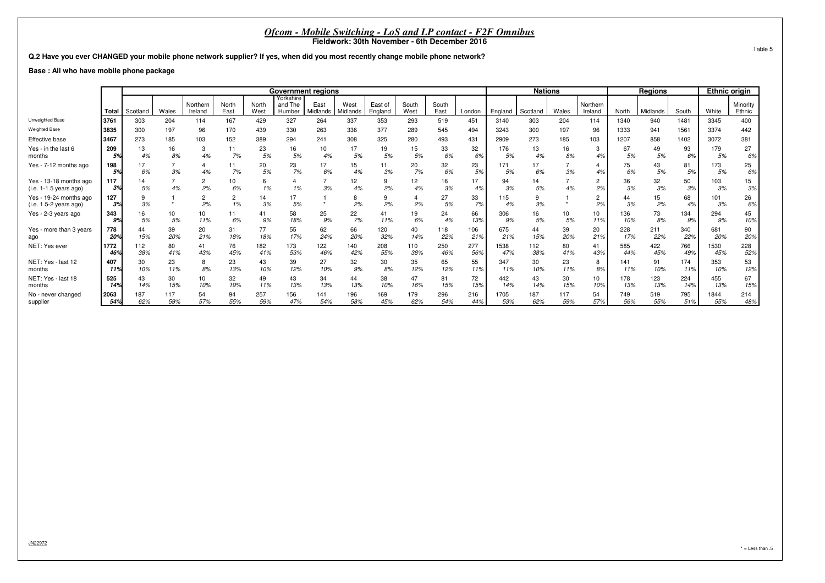**Q.2 Have you ever CHANGED your mobile phone network supplier? If yes, when did you most recently change mobile phone network?**

**Base : All who have mobile phone package**

|                                                    |             |             |            |                      |               |               | <b>Government regions</b>      |                  |                  |                    |               |               |            |             | <b>Nations</b> |            |                      |            | <b>Regions</b> |            | <b>Ethnic origin</b> |                    |
|----------------------------------------------------|-------------|-------------|------------|----------------------|---------------|---------------|--------------------------------|------------------|------------------|--------------------|---------------|---------------|------------|-------------|----------------|------------|----------------------|------------|----------------|------------|----------------------|--------------------|
|                                                    | Total       | Scotland    | Wales      | Northern<br>Ireland  | North<br>East | North<br>West | Yorkshire<br>and The<br>Humber | East<br>Midlands | West<br>Midlands | East of<br>England | South<br>West | South<br>East | London     | England     | Scotland       | Wales      | Northern<br>Ireland  | North      | Midlands       | South      | White                | Minority<br>Ethnic |
| Unweighted Base                                    | 3761        | 303         | 204        | 114                  | 167           | 429           | 327                            | 264              | 337              | 353                | 293           | 519           | 451        | 3140        | 303            | 204        | 114                  | 1340       | 940            | 1481       | 3345                 | 400                |
| <b>Weighted Base</b>                               | 3835        | 300         | 197        | 96                   | 170           | 439           | 330                            | 263              | 336              | 377                | 289           | 545           | 494        | 3243        | 300            | 197        | 96                   | 1333       | 941            | 1561       | 3374                 | 442                |
| Effective base                                     | 3467        | 273         | 185        | 103                  | 152           | 389           | 294                            | 241              | 308              | 325                | 280           | 493           | 431        | 2909        | 273            | 185        | 103                  | 1207       | 858            | 1402       | 3072                 | 381                |
| Yes - in the last 6<br>months                      | 209<br>5%   | 13<br>4%    | 16<br>8%   | 3<br>4%              | 11<br>7%      | 23<br>5%      | 16<br>5%                       | 10<br>4%         | 5%               | 19<br>5%           | 15<br>5%      | 33<br>6%      | 32<br>6%   | 176<br>5%   | 13<br>4%       | 16<br>8%   | 3<br>4%              | 67         | 49<br>5%       | 93<br>6%   | 179<br>5%            | 27<br>6%           |
| Yes - 7-12 months ago                              | 198<br>5%   | 17<br>$6\%$ | 3%         | 4%                   | 7%            | 20<br>5%      | 23<br>7%                       | 17<br>6%         | 15<br>4%         | 3%                 | 20<br>7%      | 32<br>6%      | 23<br>5%   | 171<br>5%   | 17<br>6%       | 3%         | 4%                   | 75<br>6%   | 43<br>5%       | 81<br>5%   | 173<br>5%            | 25<br>6%           |
| Yes - 13-18 months ago<br>$(i.e. 1-1.5 years ago)$ | 117<br>3%   | 14<br>5%    | 4%         | $\overline{2}$<br>2% | 10<br>6%      | 6<br>1%       | 1%                             | 3%               | 12<br>4%         | 9<br>2%            | 12<br>4%      | 16<br>3%      | 17<br>4%   | 94<br>3%    | 14<br>5%       | 4%         | $\overline{2}$<br>2% | 36<br>3%   | 32<br>3%       | 50<br>3%   | 103<br>3%            | 15<br>3%           |
| Yes - 19-24 months ago<br>(i.e. 1.5-2 years ago)   | 127<br>3%   | 9<br>3%     |            | 2%                   | 1%            | 14<br>3%      | 5%                             |                  | 2%               | 2%                 | 2%            | 27<br>5%      | 33<br>7%   | 115<br>4%   | 9<br>3%        |            | $\overline{c}$<br>2% | 3%         | 15<br>2%       | 68<br>4%   | 101<br>3%            | 26<br>6%           |
| Yes - 2-3 years ago                                | 343<br>9%   | 16<br>5%    | 10<br>5%   | 10<br>11%            | 11<br>6%      | 41<br>9%      | 58<br>18%                      | 25<br>9%         | 22<br>7%         | 41<br>11%          | 19<br>6%      | 24<br>4%      | 66<br>13%  | 306<br>.9%  | 16<br>5%       | 10<br>5%   | 10<br>11%            | 136<br>10% | 73<br>8%       | 134<br>9%  | 294<br>9%            | 45<br>10%          |
| Yes - more than 3 years<br>ago                     | 778<br>20%  | 44<br>15%   | 39<br>20%  | 20<br>21%            | 31<br>18%     | 77<br>18%     | 55<br>17%                      | 62<br>24%        | 66<br>20%        | 120<br>32%         | 40<br>14%     | 118<br>22%    | 106<br>21% | 675<br>21%  | 44<br>15%      | 39<br>20%  | 20<br>21%            | 228<br>17% | 211<br>22%     | 340<br>22% | 681<br>20%           | 90<br>20%          |
| NET: Yes ever                                      | 1772<br>46% | 112<br>38%  | 80<br>41%  | 41<br>43%            | 76<br>45%     | 182<br>41%    | 173<br>53%                     | 122<br>46%       | 140<br>42%       | 208<br>55%         | 110<br>38%    | 250<br>46%    | 277<br>56% | 1538<br>47% | 112<br>38%     | 80<br>41%  | 41<br>43%            | 585<br>44% | 422<br>45%     | 766<br>49% | 1530<br>45%          | 228<br>52%         |
| NET: Yes - last 12<br>months                       | 407<br>11%  | 30<br>10%   | 23<br>11%  | 8<br>8%              | 23<br>13%     | 43<br>10%     | 39<br>12%                      | 27<br>10%        | 32<br>9%         | 30<br>8%           | 35<br>12%     | 65<br>12%     | 55<br>11%  | 347<br>11%  | 30<br>10%      | 23<br>11%  | 8<br>8%              | 141<br>11% | 91<br>10%      | 174<br>11% | 353<br>10%           | 53<br>12%          |
| NET: Yes - last 18<br>months                       | 525<br>14%  | 43<br>14%   | 30<br>15%  | 10<br>10%            | 32<br>19%     | 49<br>11%     | 43<br>13%                      | 34<br>13%        | 44<br>13%        | 38<br>10%          | 47<br>16%     | 81<br>15%     | 72<br>15%  | 442<br>14%  | 43<br>14%      | 30<br>15%  | 10<br>10%            | 178<br>13% | 123<br>13%     | 224<br>14% | 455<br>13%           | 67<br>15%          |
| No - never changed<br>supplier                     | 2063<br>54% | 187<br>62%  | 117<br>59% | 54<br>57%            | 94<br>55%     | 257<br>59%    | 156<br>47%                     | 141<br>54%       | 196<br>58%       | 169<br>45%         | 179<br>62%    | 296<br>54%    | 216<br>44% | 1705<br>53% | 187<br>62%     | 117<br>59% | 54<br>57%            | 749<br>56% | 519<br>55%     | 795<br>51% | 1844<br>55%          | 214<br>48%         |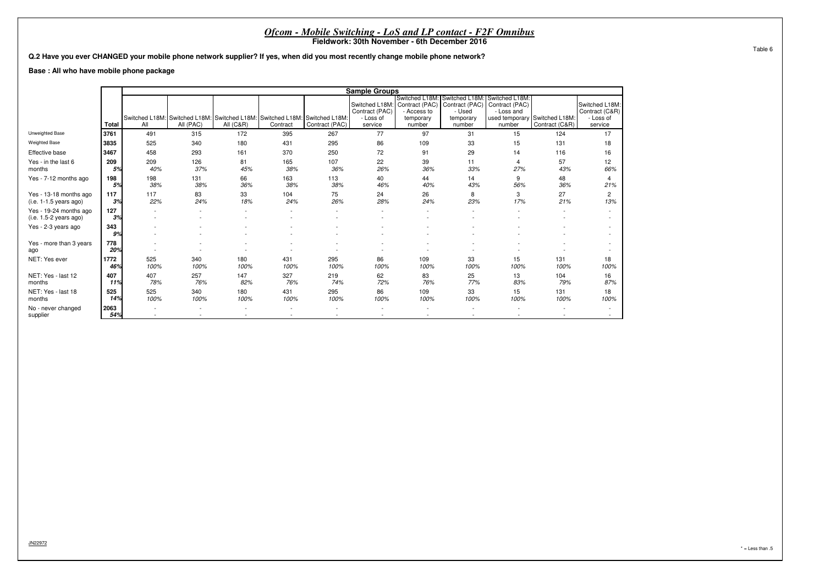|                                                    |                                                                                                                                                                               |             |                                                                            |                      |             | <i>Ofcom - Mobile Switching - LoS and LP contact - F2F Omnibus</i> |                |             |            |            |                               |                                    |  |  |  |
|----------------------------------------------------|-------------------------------------------------------------------------------------------------------------------------------------------------------------------------------|-------------|----------------------------------------------------------------------------|----------------------|-------------|--------------------------------------------------------------------|----------------|-------------|------------|------------|-------------------------------|------------------------------------|--|--|--|
|                                                    | Fieldwork: 30th November - 6th December 2016<br>Q.2 Have you ever CHANGED your mobile phone network supplier? If yes, when did you most recently change mobile phone network? |             |                                                                            |                      |             |                                                                    |                |             |            |            |                               |                                    |  |  |  |
|                                                    | Base: All who have mobile phone package<br><b>Sample Groups</b><br>Switched L18M: Switched L18M:<br>Switched L18M                                                             |             |                                                                            |                      |             |                                                                    |                |             |            |            |                               |                                    |  |  |  |
|                                                    | Contract (PAC)   Contract (PAC)<br>Contract (PAC)<br>Switched L18M:                                                                                                           |             |                                                                            |                      |             |                                                                    |                |             |            |            |                               |                                    |  |  |  |
|                                                    | Switched L18M:                                                                                                                                                                |             |                                                                            |                      |             |                                                                    |                |             |            |            |                               |                                    |  |  |  |
|                                                    |                                                                                                                                                                               |             |                                                                            |                      |             |                                                                    |                |             |            |            |                               |                                    |  |  |  |
|                                                    |                                                                                                                                                                               |             |                                                                            |                      |             |                                                                    | Contract (PAC) | - Access to | - Used     | - Loss and |                               | Contract (C&R)                     |  |  |  |
|                                                    |                                                                                                                                                                               |             | Switched L18M: Switched L18M: Switched L18M: Switched L18M: Switched L18M: |                      |             |                                                                    | - Loss of      | temporary   | temporary  |            | used temporary Switched L18M: | - Loss of                          |  |  |  |
| Unweighted Base                                    | Total                                                                                                                                                                         | All         | All (PAC)                                                                  | <b>All (C&amp;R)</b> | Contract    | Contract (PAC)                                                     | service        | number      | number     | number     | Contract (C&R)                | service                            |  |  |  |
| <b>Weighted Base</b>                               | 3761<br>3835                                                                                                                                                                  | 491<br>525  | 315<br>340                                                                 | 172<br>180           | 395<br>431  | 267<br>295                                                         | 77<br>86       | 97<br>109   | 31<br>33   | 15<br>15   | 124<br>131                    | 17<br>18                           |  |  |  |
| Effective base                                     | 3467                                                                                                                                                                          | 458         | 293                                                                        | 161                  | 370         | 250                                                                | 72             | 91          | 29         | 14         | 116                           | 16                                 |  |  |  |
| Yes - in the last 6                                | 209                                                                                                                                                                           | 209         | 126                                                                        | 81                   | 165         | 107                                                                | 22             | 39          | 11         |            | 57                            | 12                                 |  |  |  |
| months                                             | 5%                                                                                                                                                                            | 40%         | 37%                                                                        | 45%                  | 38%         | 36%                                                                | 26%            | 36%         | 33%        | 27%        | 43%                           | 66%                                |  |  |  |
| Yes - 7-12 months ago                              | 198<br>5%                                                                                                                                                                     | 198<br>38%  | 131<br>38%                                                                 | 66<br>36%            | 163<br>38%  | 113<br>38%                                                         | 40<br>46%      | 44<br>40%   | 14<br>43%  | 9<br>56%   | 48<br>36%                     | 21%                                |  |  |  |
| Yes - 13-18 months ago<br>$(i.e. 1-1.5 years ago)$ | 117<br>3%                                                                                                                                                                     | 117<br>22%  | 83<br>24%                                                                  | 33<br>18%            | 104<br>24%  | 75<br>26%                                                          | 24<br>28%      | 26<br>24%   | 8<br>23%   | 3<br>17%   | 27<br>21%                     | 2<br>13%                           |  |  |  |
| Yes - 19-24 months ago<br>$(i.e. 1.5-2 years ago)$ | 127<br>3%                                                                                                                                                                     |             |                                                                            |                      |             |                                                                    |                |             |            |            |                               |                                    |  |  |  |
| Yes - 2-3 years ago                                | 343<br>9%                                                                                                                                                                     |             |                                                                            |                      |             |                                                                    |                |             |            |            |                               | $\sim$<br>$\overline{\phantom{a}}$ |  |  |  |
| Yes - more than 3 years<br>ago                     | 778<br>20%                                                                                                                                                                    |             |                                                                            |                      |             |                                                                    |                |             |            |            |                               |                                    |  |  |  |
| NET: Yes ever                                      | 1772<br>46%                                                                                                                                                                   | 525<br>100% | 340<br>100%                                                                | 180<br>100%          | 431<br>100% | 295<br>100%                                                        | 86<br>100%     | 109<br>100% | 33<br>100% | 15<br>100% | 131<br>100%                   | 18<br>100%                         |  |  |  |
| NET: Yes - last 12<br>months                       | 407<br>11%                                                                                                                                                                    | 407<br>78%  | 257<br>76%                                                                 | 147<br>82%           | 327<br>76%  | 219<br>74%                                                         | 62<br>72%      | 83<br>76%   | 25<br>77%  | 13<br>83%  | 104<br>79%                    | 16<br>87%                          |  |  |  |
| NET: Yes - last 18<br>months                       | 525<br>14%                                                                                                                                                                    | 525<br>100% | 340<br>100%                                                                | 180<br>100%          | 431<br>100% | 295<br>100%                                                        | 86<br>100%     | 109<br>100% | 33<br>100% | 15<br>100% | 131<br>100%                   | 18<br>100%                         |  |  |  |
| No - never changed<br>supplier                     | 2063<br>54%                                                                                                                                                                   |             |                                                                            |                      |             |                                                                    |                |             |            |            |                               | $\sim$                             |  |  |  |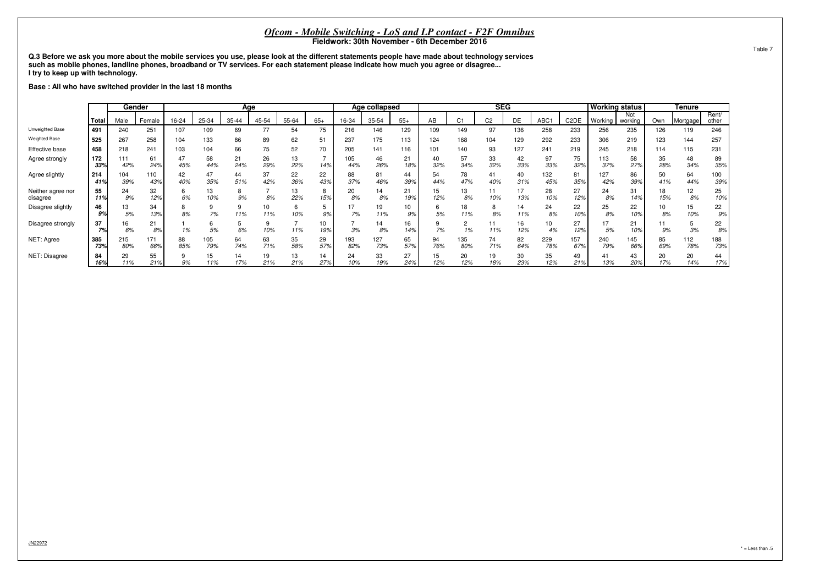**Q.3 Before we ask you more about the mobile services you use, please look at the different statements people have made about technology servicessuch as mobile phones, landline phones, broadband or TV services. For each statement please indicate how much you agree or disagree...I try to keep up with technology.**

**Base : All who have switched provider in the last 18 months**

|                               |            |            | Gender     |           | Age        |           |           |           |           |            | Age collapsed |           |           |                | <b>SEG</b>     |           |            |                   | <b>Working status</b> |                |                       | <b>Tenure</b> |                |
|-------------------------------|------------|------------|------------|-----------|------------|-----------|-----------|-----------|-----------|------------|---------------|-----------|-----------|----------------|----------------|-----------|------------|-------------------|-----------------------|----------------|-----------------------|---------------|----------------|
|                               | Total      | Male       | Female     | 16-24     | 25-34      | 35-44     | 45-54     | 55-64     | $65+$     | 16-34      | 35-54         | $55+$     | AB        | C <sub>1</sub> | C <sub>2</sub> | DE        | ABC1       | C <sub>2</sub> DE | Working               | Not<br>working | Own                   | Mortgage      | Rent/<br>other |
| Unweighted Base               | 491        | 240        | $25 -$     | 107       | 109        | 69        | 77        | 54        | 75        | 216        | 146           | 129       | 109       | 149            | 97             | 136       | 258        | 233               | 256                   | 235            | 126                   | 119           | 246            |
| <b>Weighted Base</b>          | 525        | 267        | 258        | 104       | 133        | 86        | 89        | 62        | 51        | 237        | 175           | 113       | 124       | 168            | 104            | 129       | 292        | 233               | 306                   | 219            | 123                   | 144           | 257            |
| Effective base                | 458        | 218        | 241        | 103       | 104        | 66        | 75        | 52        | 70        | 205        | 141           | 116       | 101       | 140            | 93             | 127       | 241        | 219               | 245                   | 218            | 114                   | 115           | 231            |
| Agree strongly                | 172<br>33% | 111<br>42% | 61<br>24%  | 47<br>45% | 58<br>44%  | 21<br>24% | 26<br>29% | 13<br>22% | 14%       | 105<br>44% | 46<br>26%     | 21<br>18% | 40<br>32% | 57<br>34%      | 33<br>32%      | 42<br>33% | 97<br>33%  | 75<br>32%         | 113<br>37%            | 58<br>27%      | 35<br>28%             | 48<br>34%     | 89<br>35%      |
| Agree slightly                | 214<br>41% | 104<br>39% | 110<br>43% | 42<br>40% | 47<br>35%  | 44<br>51% | 37<br>42% | 22<br>36% | 22<br>43% | 88<br>37%  | 81<br>46%     | 44<br>39% | 54<br>44% | 78<br>47%      | 41<br>40%      | 40<br>31% | 132<br>45% | 81<br>35%         | 127<br>42%            | 86<br>39%      | 50<br>41%             | 64<br>44%     | 100<br>39%     |
| Neither agree nor<br>disagree | 55<br>11%  | 24<br>9%   | 32<br>12%  | 6%        | 13<br>10%  | 9%        | 8%        | 13<br>22% | 15%       | 20<br>8%   | 14<br>8%      | 21<br>19% | 15<br>12% | 13<br>8%       | 10%            | 13%       | 28<br>10%  | 27<br>12%         | 24<br>8%              | 31<br>14%      | 18<br>15%             | 12<br>8%      | 25<br>10%      |
| Disagree slightly             | 46<br>9%   | 13<br>5%   | 34<br>13%  | 8%        | 7%         | 11%       | 10<br>11% | 10%       | 9%        | 7%         | 19<br>11%     | 9%        | 5%        | 18<br>11%      | 8%             | 14<br>11% | 24<br>8%   | 22<br>10%         | 25<br>8%              | 22<br>10%      | 10 <sup>1</sup><br>8% | 15<br>10%     | 22<br>9%       |
| Disagree strongly             | 37<br>7%   | 16<br>6%   | 21<br>8%   | 1%        | 5%         | 6%        | 10%       | 11%       | 10<br>19% | 3%         | 14<br>8%      | 16<br>14% | 7%        |                | 11%            | 16<br>12% | 10<br>4%   | 27<br>12%         | 17<br>5%              | 21<br>10%      | 9%                    | 3%            | 22<br>8%       |
| NET: Agree                    | 385<br>73% | 215<br>80% | 171<br>66% | 88<br>85% | 105<br>79% | 64<br>74% | 63<br>71% | 35<br>58% | 29<br>57% | 193<br>82% | 127<br>73%    | 65<br>57% | 94<br>76% | 135<br>80%     | 74<br>71%      | 82<br>64% | 229<br>78% | 157<br>67%        | 240<br>79%            | 145<br>66%     | 85<br>69%             | 112<br>78%    | 188<br>73%     |
| NET: Disagree                 | 84<br>16%  | 29<br>11%  | 55<br>21%  | 9%        | 15<br>11%  | 14<br>17% | 19<br>21% | 13<br>21% | 14<br>27% | 24<br>10%  | 33<br>19%     | 27<br>24% | 15<br>12% | 20<br>12%      | 19<br>18%      | 30<br>23% | 35<br>12%  | 49<br>21%         | 41<br>13%             | 43<br>20%      | 20<br>17%             | 20<br>14%     | 44<br>17%      |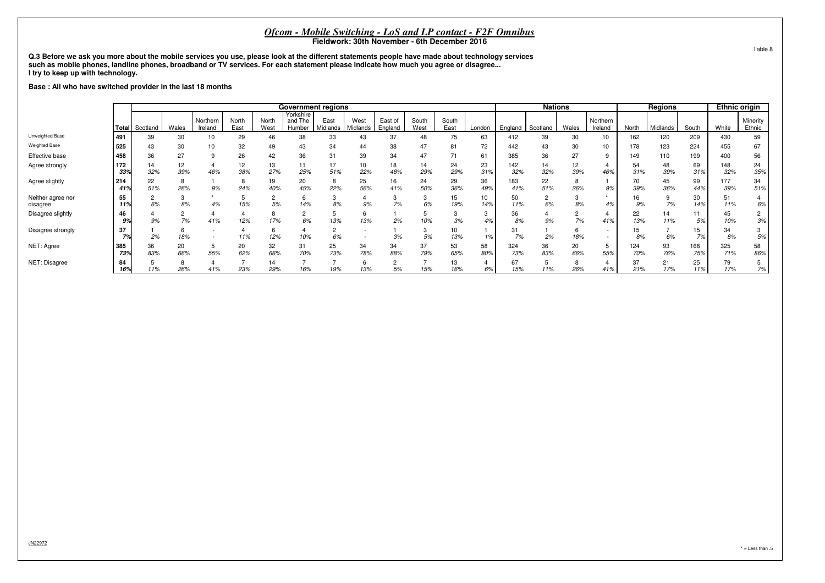**Q.3 Before we ask you more about the mobile services you use, please look at the different statements people have made about technology servicessuch as mobile phones, landline phones, broadband or TV services. For each statement please indicate how much you agree or disagree...I try to keep up with technology.**

#### **Base : All who have switched provider in the last 18 months**

|                               |            |                       |           |                     |               |                  | <b>Government regions</b>      |                  |                  |                    |                      |               |                        |            | <b>Nations</b>       |           |                     |            | <b>Regions</b> |            | <b>Ethnic origin</b> |                      |
|-------------------------------|------------|-----------------------|-----------|---------------------|---------------|------------------|--------------------------------|------------------|------------------|--------------------|----------------------|---------------|------------------------|------------|----------------------|-----------|---------------------|------------|----------------|------------|----------------------|----------------------|
|                               |            | <b>Total</b> Scotland | Wales     | Northern<br>Ireland | North<br>East | North<br>West    | Yorkshire<br>and The<br>Humber | East<br>Midlands | West<br>Midlands | East of<br>England | South<br>West        | South<br>East | London                 | England    | Scotland             | Wales     | Northern<br>Ireland | North      | Midlands       | South      | White                | Minority<br>Ethnic   |
| Unweighted Base               | 491        | 39                    | 30        | 10                  | 29            | 46               | 38                             | 33               | 43               | 37                 | 48                   | 75            | 63                     | 412        | 39                   | 30        | 10                  | 162        | 120            | 209        | 430                  | 59                   |
| <b>Weighted Base</b>          | 525        | 43                    | 30        | 10                  | 32            | 49               | 43                             | 34               | 44               | 38                 | 47                   | 81            | 72                     | 442        | 43                   | 30        | 10                  | 178        | 123            | 224        | 455                  | 67                   |
| Effective base                | 458        | 36                    | 27        |                     | 26            | 42               | 36                             | 31               | 39               | 34                 | 47                   |               | 61                     | 385        | 36                   | 27        | 9                   | 149        | 110            | 199        | 400                  | 56                   |
| Agree strongly                | 172<br>33% | 14<br>32%             | 12<br>39% | 46%                 | 12<br>38%     | 13<br>27%        | 11<br>25%                      | 51%              | 10<br>22%        | 18<br>48%          | 14<br>29%            | 24<br>29%     | 23<br>31%              | 142<br>32% | 14<br>32%            | 12<br>39% | 46%                 | 54<br>31%  | 48<br>39%      | 69<br>31%  | 148<br>32%           | 24<br>35%            |
| Agree slightly                | 214<br>41% | 22<br>51%             | 26%       | 9%                  | 24%           | 19<br>40%        | 20<br>45%                      | 22%              | 25<br>56%        | 16<br>41%          | 24<br>50%            | 29<br>36%     | 36<br>49%              | 183<br>41% | 22<br>51%            | 26%       | 9%                  | 70<br>39%  | 45<br>36%      | 99<br>44%  | 177<br>39%           | 34<br>51%            |
| Neither agree nor<br>disagree | 55<br>11%  | 6%                    | 8%        | 4%                  | 15%           | $\sqrt{2}$<br>5% | 6<br>14%                       | 8%               | 9%               | 7%                 | 3<br>6%              | 15<br>19%     | 10 <sup>1</sup><br>14% | 50<br>11%  | $\overline{2}$<br>6% | 8%        | 4%                  | 16<br>9%   | 7%             | 30<br>14%  | 51<br>11%            | 4<br>6%              |
| Disagree slightly             | 46<br>9%   | 9%                    | 7%        | 41%                 | 12%           | 17%              | 2<br>6%                        | 13%              | 6<br>13%         | 2%                 | 10%                  | 3%            | 3<br>4%                | 36<br>8%   | 9%                   | 7%        | 41%                 | 22<br>13%  | 14<br>11%      | 11<br>5%   | 45<br>10%            | $\overline{2}$<br>3% |
| Disagree strongly             | 37<br>7%   | 2%                    | 18%       |                     | 11%           | 12%              | 10%                            | 6%               |                  | 3%                 | 3<br>5%              | 10<br>13%     | 1%                     | 31<br>7%   | 2%                   | 18%       |                     | 15<br>8%   | 6%             | 15<br>7%   | 34<br>8%             | 3<br>5%              |
| NET: Agree                    | 385<br>73% | 36<br>83%             | 20<br>66% | 55%                 | 20<br>62%     | 32<br>66%        | 31<br>70%                      | 25<br>73%        | 34<br>78%        | 34<br>88%          | 37<br>79%            | 53<br>65%     | 58<br>80%              | 324<br>73% | 36<br>83%            | 20<br>66% | 5<br>55%            | 124<br>70% | 93<br>76%      | 168<br>75% | 325<br>71%           | 58<br>86%            |
| NET: Disagree                 | 84<br>16%  | 11%                   | 26%       | 41%                 | 23%           | 14<br>29%        | 16%                            | 19%              | $\sim$<br>13%    | 5%                 | $\rightarrow$<br>15% | 13<br>16%     | 6%                     | 67<br>15%  | 11%                  | 26%       | 41%                 | 37<br>21%  | 21<br>17%      | 25<br>11%  | 79<br>17%            | 5<br>7%              |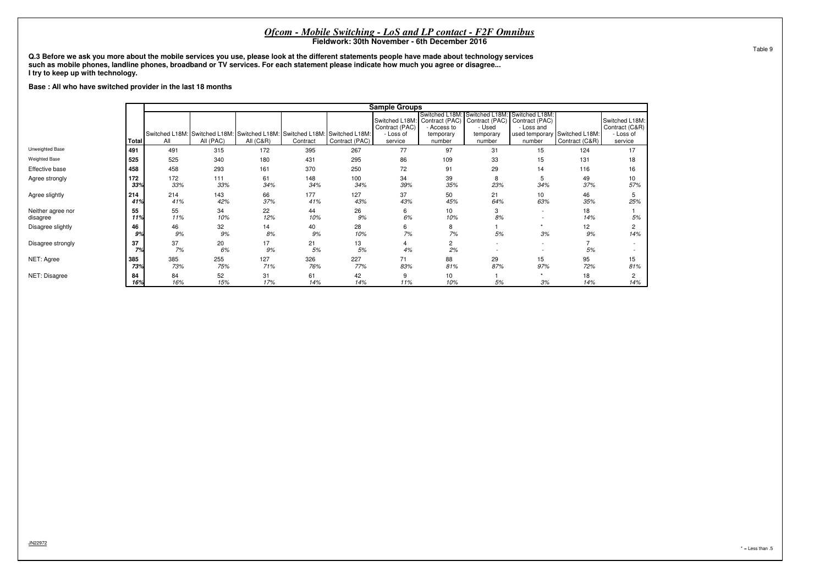**Q.3 Before we ask you more about the mobile services you use, please look at the different statements people have made about technology servicessuch as mobile phones, landline phones, broadband or TV services. For each statement please indicate how much you agree or disagree...I try to keep up with technology.**

#### **Base : All who have switched provider in the last 18 months**

|                               |            |                       |                                                                          |                      |            |                | <b>Sample Groups</b>                                     |                                                                      |                                                                   |                                                                            |                                  |                                                          |
|-------------------------------|------------|-----------------------|--------------------------------------------------------------------------|----------------------|------------|----------------|----------------------------------------------------------|----------------------------------------------------------------------|-------------------------------------------------------------------|----------------------------------------------------------------------------|----------------------------------|----------------------------------------------------------|
|                               | Total      | Switched L18M:<br>All | Switched L18M: Switched L18M: Switched L18M: Switched L18M:<br>All (PAC) | <b>All (C&amp;R)</b> | Contract   | Contract (PAC) | Switched L18M:<br>Contract (PAC)<br>- Loss of<br>service | Switched L18M:<br>Contract (PAC)<br>Access to<br>temporary<br>number | Switched L18M:<br>Contract (PAC)<br>- Used<br>temporary<br>number | Switched L18M:<br>Contract (PAC)<br>- Loss and<br>used temporary<br>number | Switched L18M:<br>Contract (C&R) | Switched L18M:<br>Contract (C&R)<br>- Loss of<br>service |
| Unweighted Base               | 491        | 491                   | 315                                                                      | 172                  | 395        | 267            | 77                                                       | 97                                                                   | 31                                                                | 15                                                                         | 124                              | 17                                                       |
| <b>Weighted Base</b>          | 525        | 525                   | 340                                                                      | 180                  | 431        | 295            | 86                                                       | 109                                                                  | 33                                                                | 15                                                                         | 131                              | 18                                                       |
| Effective base                | 458        | 458                   | 293                                                                      | 161                  | 370        | 250            | 72                                                       | 91                                                                   | 29                                                                | 14                                                                         | 116                              | 16                                                       |
| Agree strongly                | 172<br>33% | 172<br>33%            | 111<br>33%                                                               | 61<br>34%            | 148<br>34% | 100<br>34%     | 34<br>39%                                                | 39<br>35%                                                            | 8<br>23%                                                          | 5<br>34%                                                                   | 49<br>37%                        | 10<br>57%                                                |
| Agree slightly                | 214<br>41% | 214<br>41%            | 143<br>42%                                                               | 66<br>37%            | 177<br>41% | 127<br>43%     | 37<br>43%                                                | 50<br>45%                                                            | 21<br>64%                                                         | 10<br>63%                                                                  | 46<br>35%                        | 5<br>25%                                                 |
| Neither agree nor<br>disagree | 55<br>11%  | 55<br>11%             | 34<br>10%                                                                | 22<br>12%            | 44<br>10%  | 26<br>$9%$     | 6<br>6%                                                  | 10<br>10%                                                            | 3<br>8%                                                           | $\sim$<br>$\overline{\phantom{a}}$                                         | 18<br>14%                        | 5%                                                       |
| Disagree slightly             | 46<br>9%   | 46<br>9%              | 32<br>9%                                                                 | 14<br>8%             | 40<br>9%   | 28<br>10%      | 6<br>7%                                                  | 8<br>7%                                                              | 5%                                                                | ٠<br>3%                                                                    | 12<br>9%                         | 2<br>14%                                                 |
| Disagree strongly             | 37<br>7%   | 37<br>7%              | 20<br>6%                                                                 | 17<br>9%             | 21<br>5%   | 13<br>5%       | 4%                                                       | $\overline{c}$<br>2%                                                 | $\overline{\phantom{a}}$                                          | $\sim$                                                                     | 5%                               |                                                          |
| NET: Agree                    | 385<br>73% | 385<br>73%            | 255<br>75%                                                               | 127<br>71%           | 326<br>76% | 227<br>77%     | 71<br>83%                                                | 88<br>81%                                                            | 29<br>87%                                                         | 15<br>97%                                                                  | 95<br>72%                        | 15<br>81%                                                |
| NET: Disagree                 | 84<br>16%  | 84<br>16%             | 52<br>15%                                                                | 31<br>17%            | 61<br>14%  | 42<br>14%      | 9<br>11%                                                 | 10<br>10%                                                            | 5%                                                                | 3%                                                                         | 18<br>14%                        | 2<br>14%                                                 |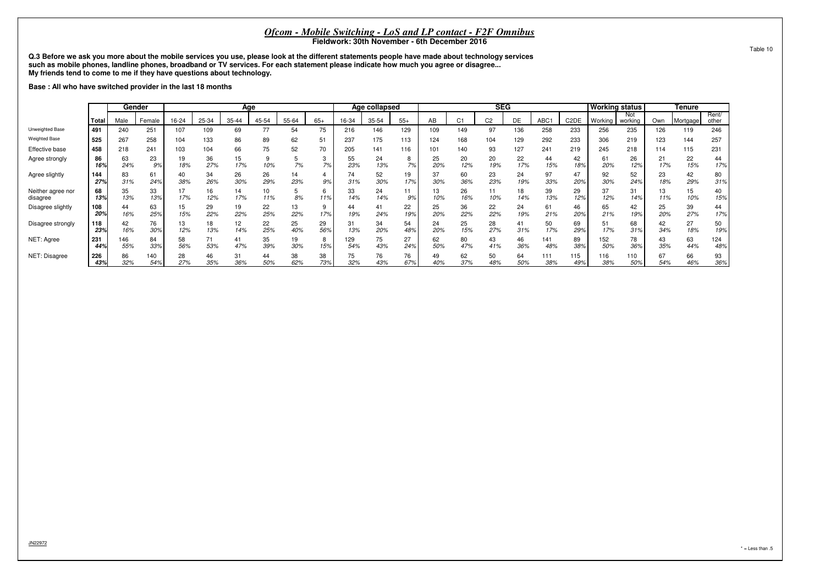**Q.3 Before we ask you more about the mobile services you use, please look at the different statements people have made about technology servicessuch as mobile phones, landline phones, broadband or TV services. For each statement please indicate how much you agree or disagree...My friends tend to come to me if they have questions about technology.**

**Base : All who have switched provider in the last 18 months**

|                               |            |            | Gender     |           |           |           | Age       |           |           |            | Age collapsed |                                                 | <b>SEG</b> |           |           | <b>Working status</b> |                   |            | <b>Tenure</b>  |            |           |                |            |
|-------------------------------|------------|------------|------------|-----------|-----------|-----------|-----------|-----------|-----------|------------|---------------|-------------------------------------------------|------------|-----------|-----------|-----------------------|-------------------|------------|----------------|------------|-----------|----------------|------------|
|                               | Total      | Male       | Female     | 16-24     | 25-34     | 35-44     | 45-54     | 55-64     | $65+$     | 16-34      | 35-54         | $55+$<br>C <sub>1</sub><br>C <sub>2</sub><br>AB |            |           | <b>DE</b> | ABC1                  | C <sub>2</sub> DE | Working    | Not<br>working | Own        | Mortgage  | Rent/<br>other |            |
| Unweighted Base               | 491        | 240        | $25 -$     | 107       | 109       | 69        | 77        | 54        | 75        | 216        | 146           | 129                                             | 109        | 149       | 97        | 136                   | 258               | 233        | 256            | 235        | 126       | 119            | 246        |
| <b>Weighted Base</b>          | 525        | 267        | 258        | 104       | 133       | 86        | 89        | 62        | 51        | 237        | 175           | 113                                             | 124        | 168       | 104       | 129                   | 292               | 233        | 306            | 219        | 123       | 144            | 257        |
| Effective base                | 458        | 218        | 241        | 103       | 104       | 66        | 75        | 52        | 70        | 205        | 141           | 116                                             | 101        | 140       | 93        | 127                   | 241               | 219        | 245            | 218        | 114       | 115            | 231        |
| Agree strongly                | 86<br>16%  | 63<br>24%  | 23<br>9%   | 19<br>18% | 36<br>27% | 15<br>17% | 10%       | 7%        | 7%        | 55<br>23%  | 24<br>13%     | 7%                                              | 25<br>20%  | 20<br>12% | 20<br>19% | 22<br>17%             | 44<br>15%         | 42<br>18%  | 61<br>20%      | 26<br>12%  | 21<br>17% | 22<br>15%      | 44<br>17%  |
| Agree slightly                | 144<br>27% | 83<br>31%  | 61<br>24%  | 40<br>38% | 34<br>26% | 26<br>30% | 26<br>29% | 14<br>23% | 9%        | 74<br>31%  | 52<br>30%     | 19<br>17%                                       | 37<br>30%  | 60<br>36% | 23<br>23% | 24<br>19%             | 97<br>33%         | 47<br>20%  | 92<br>30%      | 52<br>24%  | 23<br>18% | 42<br>29%      | 80<br>31%  |
| Neither agree nor<br>disagree | 68<br>13%  | 35<br>13%  | 33<br>13%  | 17%       | 16<br>12% | 14<br>17% | 10<br>11% | 8%        | 11%       | 33<br>14%  | 24<br>14%     | 9%                                              | 13<br>10%  | 26<br>16% | 10%       | 18<br>14%             | 39<br>13%         | 29<br>12%  | 37<br>12%      | 31<br>14%  | 13<br>11% | 15<br>10%      | 40<br>15%  |
| Disagree slightly             | 108<br>20% | 44<br>16%  | 63<br>25%  | 15<br>15% | 29<br>22% | 19<br>22% | 22<br>25% | 13<br>22% | 17%       | 44<br>19%  | 41<br>24%     | 22<br>19%                                       | 25<br>20%  | 36<br>22% | 22<br>22% | 24<br>19%             | 61<br>21%         | 46<br>20%  | 65<br>21%      | 42<br>19%  | 25<br>20% | 39<br>27%      | 44<br>17%  |
| Disagree strongly             | 118<br>23% | 42<br>16%  | 76<br>30%  | 13<br>12% | 18<br>13% | 12<br>14% | 22<br>25% | 25<br>40% | 29<br>56% | 31<br>13%  | 34<br>20%     | 54<br>$48^\circ$                                | 24<br>20%  | 25<br>15% | 28<br>27% | 41<br>31%             | 50<br>17%         | 69<br>29%  | 51<br>17%      | 68<br>31%  | 42<br>34% | 27<br>18%      | 50<br>19%  |
| NET: Agree                    | 231<br>44% | 146<br>55% | 84<br>33%  | 58<br>56% | 53%       | 41<br>47% | 35<br>39% | 19<br>30% | 15%       | 129<br>54% | 75<br>43%     | 27<br>24%                                       | 62<br>50%  | 80<br>47% | 43<br>41% | 46<br>36%             | 141<br>48%        | 89<br>38%  | 152<br>50%     | 78<br>36%  | 43<br>35% | 63<br>44%      | 124<br>48% |
| NET: Disagree                 | 226<br>43% | 86<br>32%  | 140<br>54% | 28<br>27% | 46<br>35% | 31<br>36% | 44<br>50% | 38<br>62% | 38<br>73% | 32%        | 76<br>43%     | 76<br>67%                                       | 49<br>40%  | 62<br>37% | 50<br>48% | 64<br>50%             | 111<br>38%        | 115<br>49% | 116<br>38%     | 110<br>50% | 67<br>54% | 66<br>46%      | 93<br>36%  |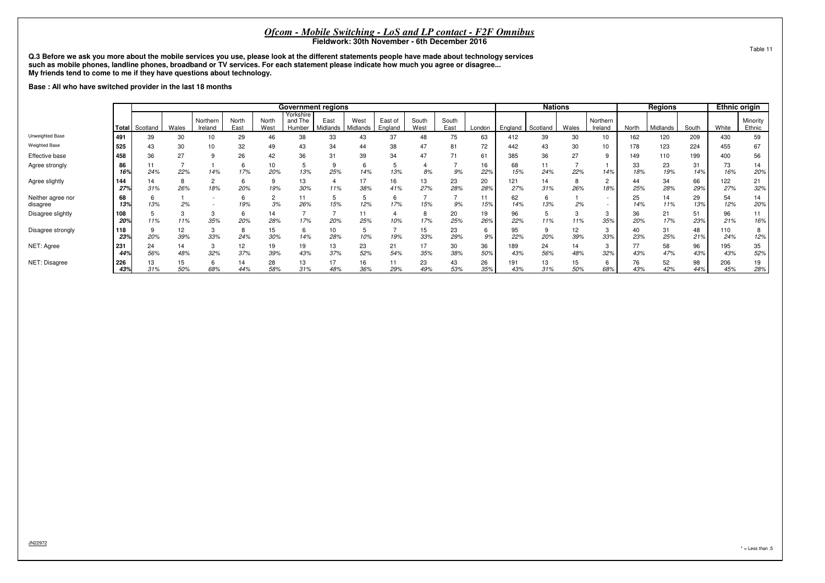**Q.3 Before we ask you more about the mobile services you use, please look at the different statements people have made about technology servicessuch as mobile phones, landline phones, broadband or TV services. For each statement please indicate how much you agree or disagree...My friends tend to come to me if they have questions about technology.**

**Base : All who have switched provider in the last 18 months**

|                               |                                |           |                     |               |               |                                | <b>Government regions</b> |                  |                    |               |                      |           |           |            | <b>Nations</b> |                     |          |           | <b>Regions</b> |           | <b>Ethnic origin</b> |           |
|-------------------------------|--------------------------------|-----------|---------------------|---------------|---------------|--------------------------------|---------------------------|------------------|--------------------|---------------|----------------------|-----------|-----------|------------|----------------|---------------------|----------|-----------|----------------|-----------|----------------------|-----------|
|                               | Wales<br><b>Total</b> Scotland |           | Northern<br>Ireland | North<br>East | North<br>West | Yorkshire<br>and The<br>Humber | East<br>Midlands          | West<br>Midlands | East of<br>England | South<br>West | South<br>East        | London    | England   | Scotland   | Wales          | Northern<br>Ireland | North    | Midlands  | South          | White     | Minority<br>Ethnic   |           |
| Unweighted Base               | 1491                           | 39        | 30                  | 10            | 29            | 46                             | 38                        | 33               | 43                 | 37            | 48                   | 75        | 63        | 412        | 39             | 30                  | 10       | 162       | 120            | 209       | 430                  | 59        |
| <b>Weighted Base</b>          | 525                            | 43        | 30                  | 10            | 32            | 49                             | 43                        | 34               | 44                 | 38            | 47                   | 81        | 72        | 442        | 43             | 30                  | 10       | 178       | 123            | 224       | 455                  | 67        |
| Effective base                | 458                            | 36        | 27                  | 9             | 26            | 42                             | 36                        | 31               | 39                 | 34            | 47                   |           | 61        | 385        | 36             | 27                  | 9        | 149       | 110            | 199       | 400                  | 56        |
| Agree strongly                | 86<br>16%                      | 24%       | 22%                 | 14%           | 17%           | 10<br>20%                      | 13%                       | 25%              | 14%                | 13%           | 8%                   | 9%        | 16<br>22% | 68<br>15%  | 11<br>24%      | 22%                 | 14%      | 33<br>18% | 23<br>19%      | 31<br>14% | 73<br>16%            | 14<br>20% |
| Agree slightly                | 144<br>27%                     | 14<br>31% | 26%                 | 18%           | 20%           | 19%                            | 13<br>30%                 | 11%              | 17<br>38%          | 16<br>41%     | 13<br>27%            | 23<br>28% | 20<br>28% | 121<br>27% | 14<br>31%      | 8<br>26%            | 2<br>18% | 44<br>25% | 34<br>28%      | 66<br>29% | 122<br>27%           | 21<br>32% |
| Neither agree nor<br>disagree | 68<br>13%                      | 13%       | 2%                  |               | 19%           | c<br>ے<br>3%                   | 26%                       | 15%              | 12%                | 6<br>17%      | $\rightarrow$<br>15% | 9%        | 11<br>15% | 62<br>14%  | 6<br>13%       | 2%                  | $\sim$   | 25<br>14% | 14<br>11%      | 29<br>13% | 54<br>12%            | 14<br>20% |
| Disagree slightly             | 108<br>20%                     | 11%       | 11%                 | 3<br>35%      | n<br>20%      | 14<br>28%                      | 17%                       | 20%              | 11<br>25%          | 10%           | 8<br>17%             | 20<br>25% | 19<br>26% | 96<br>22%  | 11%            | 11%                 | 3<br>35% | 36<br>20% | 21<br>17%      | 51<br>23% | 96<br>21%            | 11<br>16% |
| Disagree strongly             | 118<br>23%                     | 20%       | 12<br>39%           | 33%           | 8<br>24%      | 15<br>30%                      | 6<br>14%                  | 10<br>28%        | 10%                | 19%           | 15<br>33%            | 23<br>29% | 6<br>9%   | 95<br>22%  | 9<br>20%       | 12<br>39%           | 3<br>33% | 40<br>23% | 31<br>25%      | 48<br>21% | 110<br>24%           | 8<br>12%  |
| NET: Agree                    | 231<br>44%                     | 24<br>56% | 14<br>48%           | 32%           | 12<br>37%     | 19<br>39%                      | 19<br>43%                 | 13<br>37%        | 23<br>52%          | 21<br>54%     | 17<br>35%            | 30<br>38% | 36<br>50% | 189<br>43% | 24<br>56%      | 14<br>48%           | 3<br>32% | 77<br>43% | 58<br>47%      | 96<br>43% | 195<br>43%           | 35<br>52% |
| NET: Disagree                 | 226<br>43%                     | 13<br>31% | 15<br>50%           | 68%           | 14<br>44%     | 28<br>58%                      | 13<br>31%                 | 48%              | 16<br>36%          | 29%           | 23<br>49%            | 43<br>53% | 26<br>35% | 191<br>43% | 13<br>31%      | 15<br>50%           | b<br>68% | 76<br>43% | 52<br>42%      | 98<br>44% | 206<br>45%           | 19<br>28% |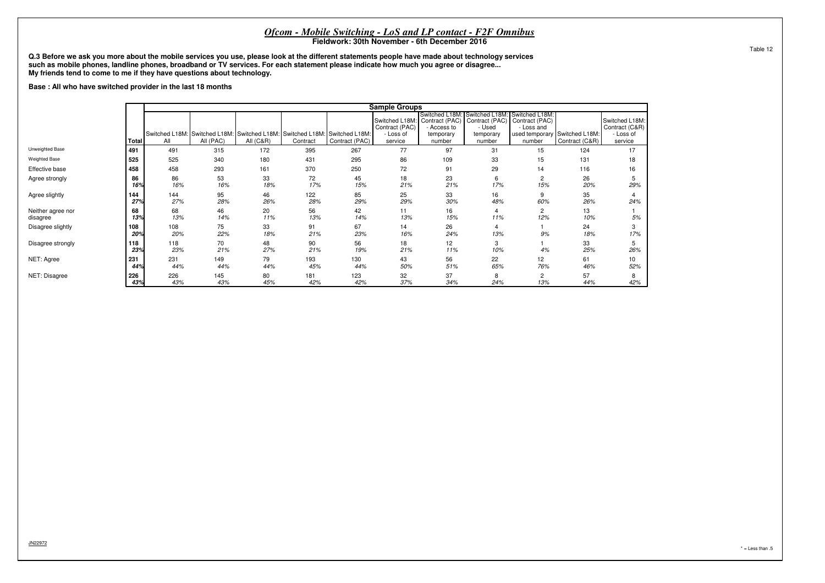**Q.3 Before we ask you more about the mobile services you use, please look at the different statements people have made about technology servicessuch as mobile phones, landline phones, broadband or TV services. For each statement please indicate how much you agree or disagree...My friends tend to come to me if they have questions about technology.**

**Base : All who have switched provider in the last 18 months**

|                               |            |            |                                                                                         |             |            |                | <b>Sample Groups</b>                                     |                                                                      |                                                                                                 |                       |                                                 |                                                          |
|-------------------------------|------------|------------|-----------------------------------------------------------------------------------------|-------------|------------|----------------|----------------------------------------------------------|----------------------------------------------------------------------|-------------------------------------------------------------------------------------------------|-----------------------|-------------------------------------------------|----------------------------------------------------------|
|                               | Total      | All        | Switched L18M: Switched L18M: Switched L18M: Switched L18M: Switched L18M:<br>All (PAC) | All $(C&R)$ | Contract   | Contract (PAC) | Switched L18M:<br>Contract (PAC)<br>- Loss of<br>service | Switched L18M:<br>Contract (PAC)<br>Access to<br>temporary<br>number | Switched L18M: Switched L18M:<br>Contract (PAC) Contract (PAC)<br>- Used<br>temporary<br>number | - Loss and<br>number  | used temporary Switched L18M:<br>Contract (C&R) | Switched L18M:<br>Contract (C&R)<br>- Loss of<br>service |
| Unweighted Base               | 491        | 491        | 315                                                                                     | 172         | 395        | 267            | 77                                                       | 97                                                                   | 31                                                                                              | 15                    | 124                                             | 17                                                       |
| <b>Weighted Base</b>          | 525        | 525        | 340                                                                                     | 180         | 431        | 295            | 86                                                       | 109                                                                  | 33                                                                                              | 15                    | 131                                             | 18                                                       |
| Effective base                | 458        | 458        | 293                                                                                     | 161         | 370        | 250            | 72                                                       | 91                                                                   | 29                                                                                              | 14                    | 116                                             | 16                                                       |
| Agree strongly                | 86<br>16%  | 86<br>16%  | 53<br>16%                                                                               | 33<br>18%   | 72<br>17%  | 45<br>15%      | 18<br>21%                                                | 23<br>21%                                                            | 6<br>17%                                                                                        | $\overline{c}$<br>15% | 26<br>20%                                       | 29%                                                      |
| Agree slightly                | 144<br>27% | 144<br>27% | 95<br>28%                                                                               | 46<br>26%   | 122<br>28% | 85<br>29%      | 25<br>29%                                                | 33<br>30%                                                            | 16<br>48%                                                                                       | 9<br>60%              | 35<br>26%                                       | 24%                                                      |
| Neither agree nor<br>disagree | 68<br>13%  | 68<br>13%  | 46<br>14%                                                                               | 20<br>11%   | 56<br>13%  | 42<br>14%      | 11<br>13%                                                | 16<br>15%                                                            | 4<br>11%                                                                                        | $\overline{c}$<br>12% | 13<br>10%                                       | 5%                                                       |
| Disagree slightly             | 108<br>20% | 108<br>20% | 75<br>22%                                                                               | 33<br>18%   | 91<br>21%  | 67<br>23%      | 14<br>16%                                                | 26<br>24%                                                            | 4<br>13%                                                                                        | 9%                    | 24<br>18%                                       | 17%                                                      |
| Disagree strongly             | 118<br>23% | 118<br>23% | 70<br>21%                                                                               | 48<br>27%   | 90<br>21%  | 56<br>19%      | 18<br>21%                                                | 12<br>11%                                                            | 3<br>10%                                                                                        | 4%                    | 33<br>25%                                       | 26%                                                      |
| NET: Agree                    | 231<br>44% | 231<br>44% | 149<br>44%                                                                              | 79<br>44%   | 193<br>45% | 130<br>44%     | 43<br>50%                                                | 56<br>51%                                                            | 22<br>65%                                                                                       | 12<br>76%             | 61<br>46%                                       | 10<br>52%                                                |
| NET: Disagree                 | 226<br>43% | 226<br>43% | 145<br>43%                                                                              | 80<br>45%   | 181<br>42% | 123<br>42%     | 32<br>37%                                                | 37<br>34%                                                            | 8<br>24%                                                                                        | 2<br>13%              | 57<br>44%                                       | 42%                                                      |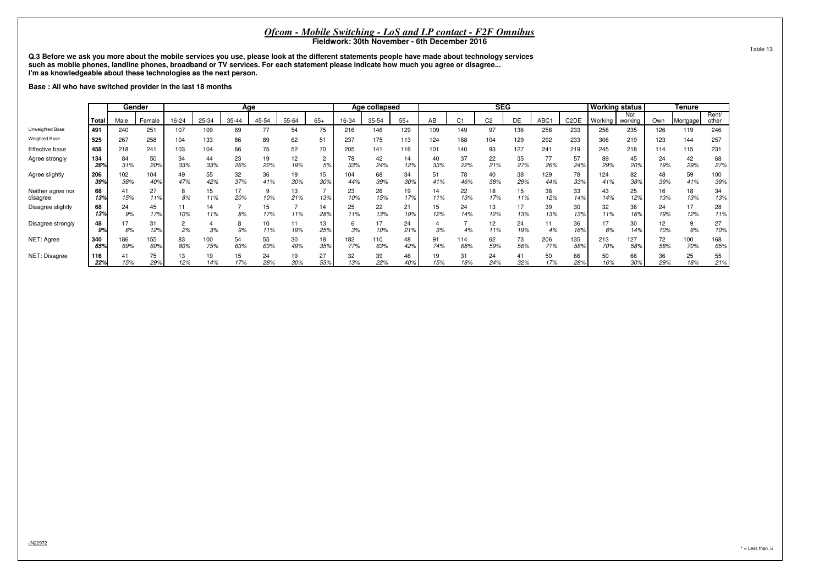**Q.3 Before we ask you more about the mobile services you use, please look at the different statements people have made about technology servicessuch as mobile phones, landline phones, broadband or TV services. For each statement please indicate how much you agree or disagree...I'm as knowledgeable about these technologies as the next person.**

**Base : All who have switched provider in the last 18 months**

|                               |              |            | Gender     |           |            |           | Age       |           |           |            | Age collapsed |           |           |                |                | <b>SEG</b> |            |                       | <b>Norking status</b> |                |           | <b>Tenure</b> |                |
|-------------------------------|--------------|------------|------------|-----------|------------|-----------|-----------|-----------|-----------|------------|---------------|-----------|-----------|----------------|----------------|------------|------------|-----------------------|-----------------------|----------------|-----------|---------------|----------------|
|                               | <b>Total</b> | Male       | Female     | 16-24     | 25-34      | 35-44     | 45-54     | 55-64     | $65+$     | 16-34      | 35-54         | $55+$     | AB        | C <sub>1</sub> | C <sub>2</sub> | DE         | ABC1       | C <sub>2</sub> DE     | Working               | Not<br>working | Own       | Mortgage I    | Rent/<br>other |
| Unweighted Base               | 491          | 240        | 251        | 107       | 109        | 69        | 77        | 54        | 75        | 216        | 146           | 129       | 109       | 149            | 97             | 136        | 258        | 233                   | 256                   | 235            | 126       | 119           | 246            |
| <b>Weighted Base</b>          | 525          | 267        | 258        | 104       | 133        | 86        | 89        | 62        | 51        | 237        | 175           | 113       | 124       | 168            | 104            | 129        | 292        | 233                   | 306                   | 219            | 123       | 144           | 257            |
| Effective base                | 458          | 218        | 241        | 103       | 104        | 66        | 75        | 52        | 70        | 205        | 141           | 116       | 101       | 140            | 93             | 127        | 241        | 219                   | 245                   | 218            | 114       | 115           | 231            |
| Agree strongly                | 134<br>26%   | 84<br>31%  | 50<br>20%  | 34<br>33% | 44<br>33%  | 23<br>26% | 19<br>22% | 12<br>19% | 5%        | 78<br>33%  | 42<br>24%     | 14<br>12% | 40<br>33% | 37<br>22%      | 22<br>21%      | 35<br>27%  | 77<br>26%  | 57<br>24 <sup>°</sup> | 89<br>29%             | 45<br>20%      | 24<br>19% | 42<br>29%     | 68<br>27%      |
| Agree slightly                | 206<br>39%   | 102<br>38% | 104<br>40% | 49<br>47% | 55<br>42%  | 32<br>37% | 36<br>41% | 19<br>30% | 15<br>30% | 104<br>44% | 68<br>39%     | 34<br>30% | 51<br>41% | 78<br>46%      | 40<br>38%      | 38<br>29%  | 129<br>44% | 78<br>33%             | 124<br>41%            | 82<br>38%      | 48<br>39% | 59<br>41%     | 100<br>39%     |
| Neither agree nor<br>disagree | 68<br>13%    | 41<br>15%  | 27<br>11%  | 8%        | 15<br>11%  | 17<br>20% | 10%       | 13<br>21% | 13%       | 23<br>10%  | 26<br>15%     | 19        | 14<br>11% | 22<br>13%      | 18<br>17%      | 15<br>11%  | 36<br>12%  | 33<br>14%             | 43<br>14%             | 25<br>12%      | 16<br>13% | 18<br>13%     | 34<br>13%      |
| Disagree slightly             | 68<br>13%    | 24<br>9%   | 45<br>17%  | 10%       | 14<br>11%  | 8%        | 15<br>17% | 11%       | 14<br>28% | 25<br>11%  | 22<br>13%     | 21<br>199 | 15<br>12% | 24<br>14%      | 13<br>12%      | 17<br>13%  | 39<br>13%  | 30<br>13%             | 32<br>11%             | 36<br>16%      | 24<br>19% | 17<br>12%     | 28<br>11%      |
| Disagree strongly             | 48<br>9%     | 6%         | 31<br>12%  | 2%        | 3%         | 9%        | 10<br>11% | 19%       | 13<br>25% | 3%         | 10%           | 24<br>21% | 3%        |                | 12<br>11%      | 24<br>19%  | 4%         | 36<br>16%             | 6%                    | 30<br>14%      | 12<br>10% | 6%            | 27<br>10%      |
| NET: Agree                    | 340<br>65%   | 186<br>69% | 155<br>60% | 83<br>80% | 100<br>75% | 54<br>63% | 55<br>63% | 30<br>49% | 18<br>35% | 182<br>77% | 110<br>63%    | 48<br>42% | 91<br>74% | 114<br>68%     | 62<br>59%      | 73<br>56%  | 206<br>71% | 135<br>58%            | 213<br>70%            | 127<br>58%     | 72<br>58% | 100<br>70%    | 168<br>65%     |
| NET: Disagree                 | 116<br>22%   | 15%        | 75<br>29%  | 13<br>12% | 19<br>14%  | 15<br>17% | 24<br>28% | 19<br>30% | 27<br>53% | 32<br>13%  | 39<br>22%     | 46<br>40% | 19<br>15% | 31<br>18%      | 24<br>24%      | 41<br>32%  | 50<br>17%  | 66<br>28%             | 50<br>16%             | 66<br>30%      | 36<br>29% | 25<br>18%     | 55<br>21%      |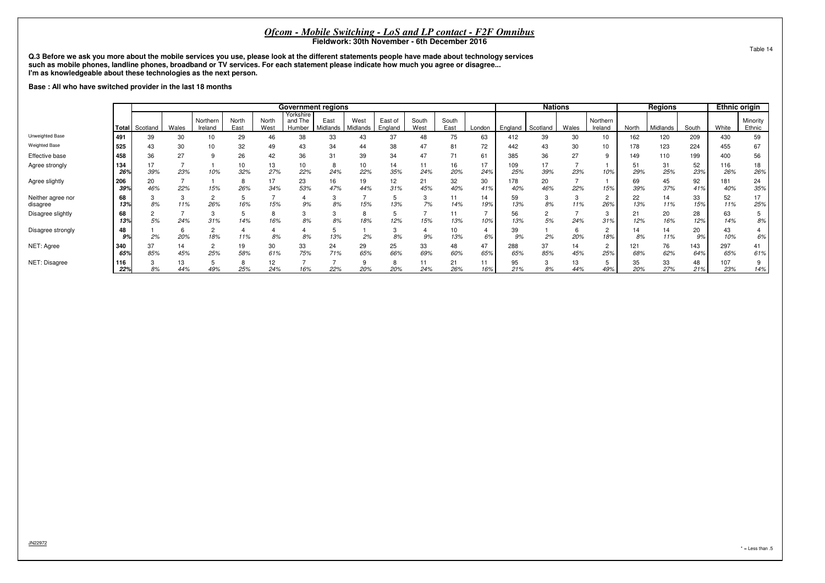**Q.3 Before we ask you more about the mobile services you use, please look at the different statements people have made about technology servicessuch as mobile phones, landline phones, broadband or TV services. For each statement please indicate how much you agree or disagree...I'm as knowledgeable about these technologies as the next person.**

**Base : All who have switched provider in the last 18 months**

|                               |                                                                        |           |           |               |                                |                  | <b>Government regions</b> |                    |                 |               |           |           |           |            | <b>Nations</b>      |           |          |            | Regions   |                    | <b>Ethnic origin</b> |           |
|-------------------------------|------------------------------------------------------------------------|-----------|-----------|---------------|--------------------------------|------------------|---------------------------|--------------------|-----------------|---------------|-----------|-----------|-----------|------------|---------------------|-----------|----------|------------|-----------|--------------------|----------------------|-----------|
|                               | Northern<br>North<br>Wales<br>East<br><b>Total</b> Scotland<br>Ireland |           |           | North<br>West | Yorkshire<br>and The<br>Humber | East<br>Midlands | West<br>Midlands          | East of<br>England | South<br>West   | South<br>East | London    | England   | Scotland  | Wales      | Northern<br>Ireland | North     | Midlands | South      | White     | Minority<br>Ethnic |                      |           |
| Unweighted Base               | .491                                                                   | 39        | 30        | 10            | 29                             | 46               | 38                        | 33                 | 43              | 37            | 48        | 75        | 63        | 412        | 39                  | 30        | 10       | 162        | 120       | 209                | 430                  | 59        |
| <b>Weighted Base</b>          | 525                                                                    | 43        | 30        | 10            | 32                             | 49               | 43                        | 34                 | 44              | 38            | 47        | 81        | 72        | 442        | 43                  | 30        | 10       | 178        | 123       | 224                | 455                  | 67        |
| Effective base                | 458                                                                    | 36        | 27        | 9             | 26                             | 42               | 36                        | 31                 | 39              | 34            | 47        |           | 61        | 385        | 36                  | 27        | 9        | 149        | 110       | 199                | 400                  | 56        |
| Agree strongly                | 134<br>26%                                                             | 17<br>39% | 23%       | 10%           | 32%                            | 13<br>27%        | 10<br>22%                 | 24%                | 10<br>22%       | 14<br>35%     | 11<br>24% | 16<br>20% | 17<br>24% | 109<br>25% | 17<br>39%           | 23%       | 10%      | 29%        | 31<br>25% | 52<br>23%          | 116<br>26%           | 18<br>26% |
| Agree slightly                | 206<br>39%                                                             | 20<br>46% | 22%       | 15%           | 26%                            | 17<br>34%        | 23<br>53%                 | 16<br>47%          | 19<br>44%       | 12<br>31%     | 21<br>45% | 32<br>40% | 30<br>41% | 178<br>40% | 20<br>46%           | 22%       | 15%      | 69<br>39%  | 45<br>37% | 92<br>41%          | 181<br>40%           | 24<br>35% |
| Neither agree nor<br>disagree | 68<br>13%                                                              | 8%        | 11%       | c<br>ے<br>26% | 16%                            | 15%              | 9%                        | 8%                 | 15%             | 13%           | 3<br>7%   | 11<br>14% | 14<br>19% | 59<br>13%  | 3<br>8%             | 11%       | 2<br>26% | 22<br>13%  | 14<br>11% | 33<br>15%          | 52<br>11%            | 17<br>25% |
| Disagree slightly             | 68<br>13%                                                              | 5%        | 24%       | 31%           | 14%                            | 16%              | 3<br>8%                   | 8%                 | 8<br>18%        | 12%           | 15%       | 13%       | 10%       | 56<br>13%  | 2<br>5%             | 24%       | 3<br>31% | 21<br>12%  | 20<br>16% | 28<br>12%          | 63<br>14%            | 5<br>8%   |
| Disagree strongly             | 48<br>9%                                                               | 2%        | 20%       | 18%           | 11%                            | 8%               | 8%                        | 13%                | 2%              | 8%            | 9%        | 10<br>13% | 6%        | 39<br>9%   | 2%                  | 20%       | 2<br>18% | 14<br>8%   | 14<br>11% | 20<br>9%           | 43<br>10%            | 6%        |
| NET: Agree                    | 340<br>65%                                                             | 37<br>85% | 14<br>45% | ے<br>25%      | 19<br>58%                      | 30<br>61%        | 33<br>75%                 | 24<br>71%          | 29<br>65%       | 25<br>66%     | 33<br>69% | 48<br>60% | 47<br>65% | 288<br>65% | 37<br>85%           | 14<br>45% | 2<br>25% | 121<br>68% | 76<br>62% | 143<br>64%         | 297<br>65%           | 41<br>61% |
| NET: Disagree                 | 116<br>22%                                                             | 8%        | 13<br>44% | 49%           | 25%                            | 12<br>24%        | 16%                       | 22%                | $\alpha$<br>20% | 20%           | 11<br>24% | 21<br>26% | 11<br>16% | 95<br>21%  | 3<br>8%             | 13<br>44% | 49%      | 35<br>20%  | 33<br>27% | 48<br>21%          | 107<br>23%           | 9<br>14%  |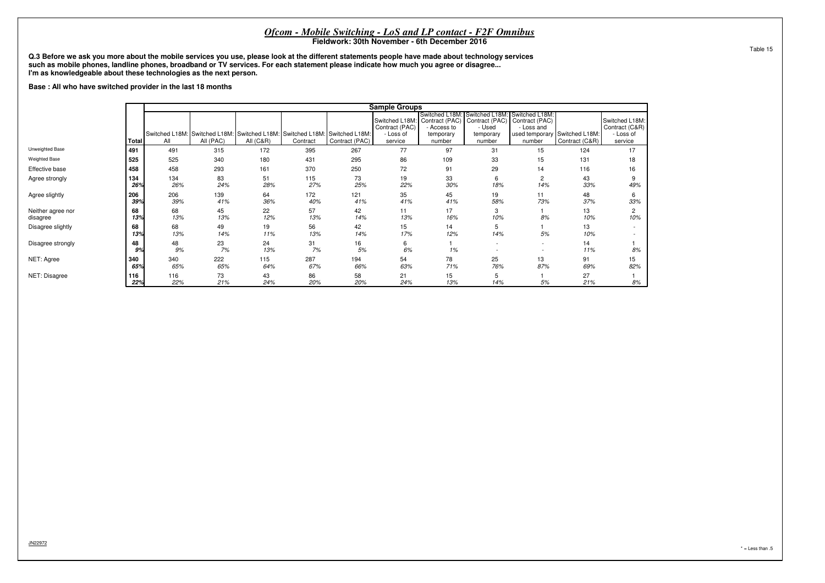**Q.3 Before we ask you more about the mobile services you use, please look at the different statements people have made about technology servicessuch as mobile phones, landline phones, broadband or TV services. For each statement please indicate how much you agree or disagree...I'm as knowledgeable about these technologies as the next person.**

**Base : All who have switched provider in the last 18 months**

|                               |            |            |                                                                                         |             |            |                | <b>Sample Groups</b>                                     |                                                                      |                                                                                                 |                       |                                                 |                                                          |
|-------------------------------|------------|------------|-----------------------------------------------------------------------------------------|-------------|------------|----------------|----------------------------------------------------------|----------------------------------------------------------------------|-------------------------------------------------------------------------------------------------|-----------------------|-------------------------------------------------|----------------------------------------------------------|
|                               | Total      | All        | Switched L18M: Switched L18M: Switched L18M: Switched L18M: Switched L18M:<br>All (PAC) | All $(C&R)$ | Contract   | Contract (PAC) | Switched L18M:<br>Contract (PAC)<br>- Loss of<br>service | Switched L18M:<br>Contract (PAC)<br>Access to<br>temporary<br>number | Switched L18M: Switched L18M:<br>Contract (PAC) Contract (PAC)<br>- Used<br>temporary<br>number | - Loss and<br>number  | used temporary Switched L18M:<br>Contract (C&R) | Switched L18M:<br>Contract (C&R)<br>- Loss of<br>service |
| Unweighted Base               | 491        | 491        | 315                                                                                     | 172         | 395        | 267            | 77                                                       | 97                                                                   | 31                                                                                              | 15                    | 124                                             | 17                                                       |
| <b>Weighted Base</b>          | 525        | 525        | 340                                                                                     | 180         | 431        | 295            | 86                                                       | 109                                                                  | 33                                                                                              | 15                    | 131                                             | 18                                                       |
| Effective base                | 458        | 458        | 293                                                                                     | 161         | 370        | 250            | 72                                                       | 91                                                                   | 29                                                                                              | 14                    | 116                                             | 16                                                       |
| Agree strongly                | 134<br>26% | 134<br>26% | 83<br>24%                                                                               | 51<br>28%   | 115<br>27% | 73<br>25%      | 19<br>22%                                                | 33<br>30%                                                            | 6<br>18%                                                                                        | $\overline{2}$<br>14% | 43<br>33%                                       | 9<br>49%                                                 |
| Agree slightly                | 206<br>39% | 206<br>39% | 139<br>41%                                                                              | 64<br>36%   | 172<br>40% | 121<br>41%     | 35<br>41%                                                | 45<br>41%                                                            | 19<br>58%                                                                                       | 11<br>73%             | 48<br>37%                                       | 6<br>33%                                                 |
| Neither agree nor<br>disagree | 68<br>13%  | 68<br>13%  | 45<br>13%                                                                               | 22<br>12%   | 57<br>13%  | 42<br>14%      | 11<br>13%                                                | 17<br>16%                                                            | 3<br>10%                                                                                        | 8%                    | 13<br>10%                                       | 10%                                                      |
| Disagree slightly             | 68<br>13%  | 68<br>13%  | 49<br>14%                                                                               | 19<br>11%   | 56<br>13%  | 42<br>14%      | 15<br>17%                                                | 14<br>12%                                                            | 5<br>14%                                                                                        | 5%                    | 13<br>10%                                       |                                                          |
| Disagree strongly             | 48<br>9%   | 48<br>9%   | 23<br>7%                                                                                | 24<br>13%   | 31<br>7%   | 16<br>5%       | 6<br>6%                                                  | 1%                                                                   | $\overline{\phantom{a}}$                                                                        | $\sim$                | 14<br>11%                                       | 8%                                                       |
| NET: Agree                    | 340<br>65% | 340<br>65% | 222<br>65%                                                                              | 115<br>64%  | 287<br>67% | 194<br>66%     | 54<br>63%                                                | 78<br>71%                                                            | 25<br>76%                                                                                       | 13<br>87%             | 91<br>69%                                       | 15<br>82%                                                |
| NET: Disagree                 | 116<br>22% | 116<br>22% | 73<br>21%                                                                               | 43<br>24%   | 86<br>20%  | 58<br>20%      | 21<br>24%                                                | 15<br>13%                                                            | 5<br>14%                                                                                        | 5%                    | 27<br>21%                                       | 8%                                                       |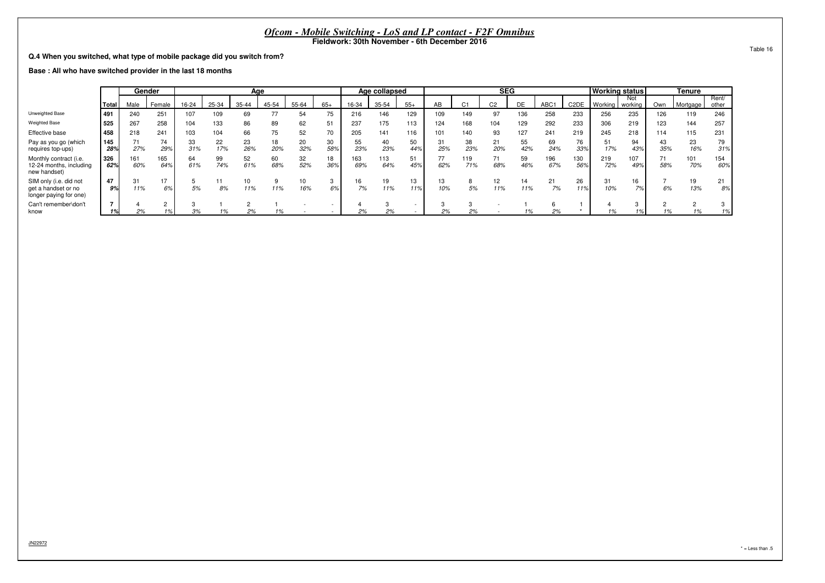**Q.4 When you switched, what type of mobile package did you switch from?**

**Base : All who have switched provider in the last 18 months**

|                                                                         |            |            | Gender     |           |           | Age       |           |           |           |            | Age collapsed |           |           |            | <b>SEG</b>     |           |            |                   | <b>Working status</b> |                |           | <b>Tenure</b> |                |
|-------------------------------------------------------------------------|------------|------------|------------|-----------|-----------|-----------|-----------|-----------|-----------|------------|---------------|-----------|-----------|------------|----------------|-----------|------------|-------------------|-----------------------|----------------|-----------|---------------|----------------|
|                                                                         | Total      | Male       | Female     | 16-24     | 25-34     | $35 - 44$ | 45-54     | 55-64     | $65+$     | 16-34      | 35-54         | $55+$     | AB        | C.         | C <sub>2</sub> | DE        | ABC1       | C <sub>2</sub> DE | Working               | Not<br>working | Own       | Mortgage I    | Rent/<br>other |
| Unweighted Base                                                         | 491        | 240        | 251        | 107       | 109       | 69        | 77        | 54        | 75        | 216        | 146           | 129       | 109       | 149        | 97             | 136       | 258        | 233               | 256                   | 235            | 126       | 119           | 246            |
| <b>Weighted Base</b>                                                    | 525        | 267        | 258        | 104       | 133       | 86        | 89        | 62        | 51        | 237        | 175           | 113       | 124       | 168        | 104            | 129       | 292        | 233               | 306                   | 219            | 123       | 144           | 257            |
| Effective base                                                          | 458        | 218        | 241        | 103       | 104       | 66        | 75        | 52        | 70        | 205        | 141           | 116       | 101       | 140        | 93             | 127       | 241        | 219               | 245                   | 218            | 114       | 115           | 231            |
| Pay as you go (which<br>requires top-ups)                               | 145<br>28% | 27%        | 74<br>29%  | 33<br>31% | 22<br>17% | 23<br>26% | 18<br>20% | 20<br>32% | 30<br>58% | 55<br>23%  | 40<br>23%     | 50<br>44% | 31<br>25% | 38<br>23%  | 21<br>20%      | 55<br>42% | 69<br>24%  | 76<br>33%         | 51<br>17%             | 94<br>43%      | 43<br>35% | 23<br>16%     | 79<br>31%      |
| Monthly contract (i.e.<br>12-24 months, including<br>new handset)       | 326<br>62% | 161<br>60% | 165<br>64% | 64<br>61% | 99<br>74% | 52<br>61% | 60<br>68% | 32<br>52% | 18<br>36% | 163<br>69% | 113<br>64%    | 51<br>45% | 77<br>62% | 119<br>71% | 68%            | 59<br>46% | 196<br>67% | 130<br>56%        | 219<br>72%            | 107<br>49%     | 74<br>58% | 101<br>70%    | 154<br>60%     |
| SIM only (i.e. did not<br>get a handset or no<br>longer paying for one) | 47<br>9%   | 31<br>11%  | 6%         | 5%        | 8%        | 10<br>11% | 11%       | 10<br>16% | 3<br>6%   | 16<br>7%   | 19<br>11%     | 13<br>11% | 13<br>10% | 5%         | 12<br>11%      | 14<br>11% | 21<br>7%   | 26<br>11%         | 31<br>10%             | 16<br>7%       | 6%        | 13%           | 21<br>8%       |
| Can't remember\don't<br>know                                            |            | 2%         |            | 3%        | 1%        | 2%        | 70        |           |           | 2%         | 2%            |           | 2%        | 2%         |                |           | 2%         |                   | 1%                    |                | 1%        |               | చ<br>1%        |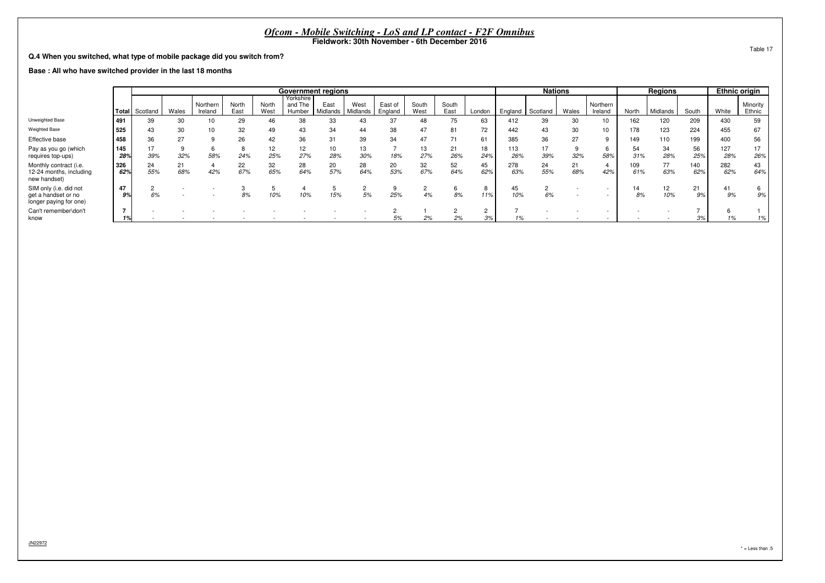**Q.4 When you switched, what type of mobile package did you switch from?**

**Base : All who have switched provider in the last 18 months**

|                                                                         |            |                |           |                     |               |               | <b>Government regions</b>      |                  |                  |                    |               |               |                              |            | <b>Nations</b> |           |                          |            | <b>Regions</b> |            | <b>Ethnic origin</b> |                    |
|-------------------------------------------------------------------------|------------|----------------|-----------|---------------------|---------------|---------------|--------------------------------|------------------|------------------|--------------------|---------------|---------------|------------------------------|------------|----------------|-----------|--------------------------|------------|----------------|------------|----------------------|--------------------|
|                                                                         |            | Total Scotland | Wales     | Northern<br>Ireland | North<br>East | North<br>West | Yorkshire<br>and The<br>Humber | East<br>Midlands | West<br>Midlands | East of<br>England | South<br>West | South<br>East | London                       | England    | Scotland       | Wales     | Northern<br>Ireland      | North      | Midlands       | South      | White                | Minority<br>Ethnic |
| Unweighted Base                                                         | .491       | 39             | 30        | 10                  | 29            | 46            | 38                             | 33               | 43               | 37                 | 48            | 75            | 63                           | 412        | 39             | 30        | 10                       | 162        | 120            | 209        | 430                  | 59                 |
| <b>Weighted Base</b>                                                    | 525        | 43             | 30        | 10                  | 32            | 49            | 43                             | 34               | 44               | 38                 | 47            | 81            | 72                           | 442        | 43             | 30        | 10                       | 178        | 123            | 224        | 455                  | 67                 |
| Effective base                                                          | 458        | 36             | 27        |                     | 26            | 42            | 36                             | 31               | 39               | 34                 | 47            |               | 61                           | 385        | 36             | 27        | $\alpha$                 | 149        | 110            | 199        | 400                  | 56                 |
| Pay as you go (which<br>requires top-ups)                               | 145<br>28% | 39%            | 32%       | 58%                 | 24%           | 12<br>25%     | 12<br>27%                      | 10<br>28%        | 13<br>30%        | 18%                | 13<br>27%     | 21<br>26%     | 18<br>24%                    | 113<br>26% | 17<br>39%      | 32%       | 6<br>58%                 | 54<br>31%  | 34<br>28%      | 56<br>25%  | 127<br>28%           | 17<br>26%          |
| Monthly contract (i.e.<br>12-24 months, including<br>new handset)       | 326<br>62% | 24<br>55%      | 21<br>68% | 42%                 | 22<br>67%     | 32<br>65%     | 28<br>64%                      | 20<br>57%        | 28<br>64%        | 20<br>53%          | 32<br>67%     | 52<br>64%     | 45<br>62%                    | 278<br>63% | 24<br>55%      | 21<br>68% | 4<br>42%                 | 109<br>61% | 77<br>63%      | 140<br>62% | 282<br>62%           | 43<br>64%          |
| SIM only (i.e. did not<br>get a handset or no<br>longer paying for one) | 47<br>9%   | 6%             |           |                     | 8%            | 10%           | 10%                            | 15%              | 5%               | 25%                | 2<br>4%       | 8%            | 8<br>11%                     | 45<br>10%  | 6%             |           | $\overline{\phantom{a}}$ | 14<br>8%   | 12<br>10%      | 21<br>9%   | 41<br>9%             | 9%                 |
| Can't remember\don't<br>know                                            | -          |                |           |                     |               |               |                                |                  |                  | 5%                 | 2%            | 2%            | $\epsilon$<br>0 <sup>0</sup> |            |                |           |                          |            |                | 3%         |                      | 1%                 |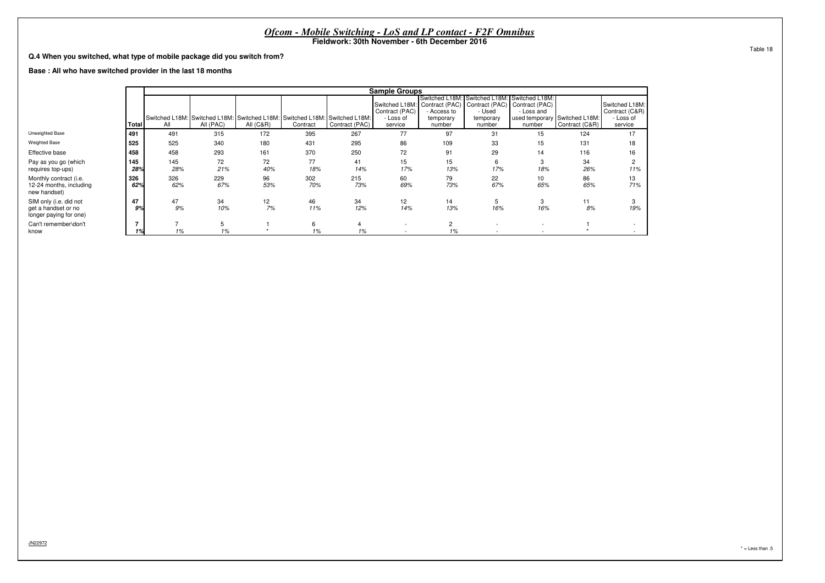|                                                                         |                                                                                                                                                                                                                                                                                                                                                                                                                                                                                                                                                     |            |            |           |            |            | Fieldwork: 30th November - 6th December 2016 |                      | <i>Ofcom - Mobile Switching - LoS and LP contact - F2F Omnibus</i> |           |           |                          |  |  |  |  |  |  |  |  |  |  |  |  |          |
|-------------------------------------------------------------------------|-----------------------------------------------------------------------------------------------------------------------------------------------------------------------------------------------------------------------------------------------------------------------------------------------------------------------------------------------------------------------------------------------------------------------------------------------------------------------------------------------------------------------------------------------------|------------|------------|-----------|------------|------------|----------------------------------------------|----------------------|--------------------------------------------------------------------|-----------|-----------|--------------------------|--|--|--|--|--|--|--|--|--|--|--|--|----------|
| Q.4 When you switched, what type of mobile package did you switch from? |                                                                                                                                                                                                                                                                                                                                                                                                                                                                                                                                                     |            |            |           |            |            |                                              |                      |                                                                    |           |           |                          |  |  |  |  |  |  |  |  |  |  |  |  | Table 18 |
|                                                                         |                                                                                                                                                                                                                                                                                                                                                                                                                                                                                                                                                     |            |            |           |            |            |                                              |                      |                                                                    |           |           |                          |  |  |  |  |  |  |  |  |  |  |  |  |          |
|                                                                         | <b>Sample Groups</b><br>Switched L18M: Switched L18M:<br>Switched L18M:                                                                                                                                                                                                                                                                                                                                                                                                                                                                             |            |            |           |            |            |                                              |                      |                                                                    |           |           |                          |  |  |  |  |  |  |  |  |  |  |  |  |          |
|                                                                         | Base: All who have switched provider in the last 18 months<br>Contract (PAC) Contract (PAC) Contract (PAC)<br>Switched L18M:<br>Switched L18M:<br>Contract (C&R)<br>Contract (PAC)<br>- Used<br>- Loss and<br>Access to<br>Switched L18M: Switched L18M: Switched L18M: Switched L18M: Switched L18M:<br>used temporary Switched L18M:<br>- Loss of<br>- Loss of<br>temporary<br>temporary<br>Contract (PAC)<br>All (PAC)<br>number<br>All<br><b>All (C&amp;R)</b><br>Contract<br>service<br>number<br>Contract (C&R)<br>service<br>Total<br>number |            |            |           |            |            |                                              |                      |                                                                    |           |           |                          |  |  |  |  |  |  |  |  |  |  |  |  |          |
| Unweighted Base                                                         | 491                                                                                                                                                                                                                                                                                                                                                                                                                                                                                                                                                 | 491        | 315        | 172       | 395        | 267        | 77                                           | 97                   | 31                                                                 | 15        | 124       | 17                       |  |  |  |  |  |  |  |  |  |  |  |  |          |
| <b>Weighted Base</b>                                                    | 525                                                                                                                                                                                                                                                                                                                                                                                                                                                                                                                                                 | 525        | 340        | 180       | 431        | 295        | 86                                           | 109                  | 33                                                                 | 15        | 131       | 18                       |  |  |  |  |  |  |  |  |  |  |  |  |          |
| Effective base                                                          | 458                                                                                                                                                                                                                                                                                                                                                                                                                                                                                                                                                 | 458        | 293        | 161       | 370        | 250        | 72                                           | 91                   | 29                                                                 | 14        | 116       | 16                       |  |  |  |  |  |  |  |  |  |  |  |  |          |
| Pay as you go (which<br>requires top-ups)                               | 145<br>28%                                                                                                                                                                                                                                                                                                                                                                                                                                                                                                                                          | 145<br>28% | 72<br>21%  | 72<br>40% | 77<br>18%  | 41<br>14%  | 15<br>17%                                    | 15<br>13%            | 6<br>17%                                                           | 18%       | 34<br>26% | $\overline{2}$<br>11%    |  |  |  |  |  |  |  |  |  |  |  |  |          |
| Monthly contract (i.e.<br>12-24 months, including<br>new handset)       | 326<br>62%                                                                                                                                                                                                                                                                                                                                                                                                                                                                                                                                          | 326<br>62% | 229<br>67% | 96<br>53% | 302<br>70% | 215<br>73% | 60<br>69%                                    | 79<br>73%            | 22<br>67%                                                          | 10<br>65% | 86<br>65% | 13<br>71%                |  |  |  |  |  |  |  |  |  |  |  |  |          |
| SIM only (i.e. did not<br>get a handset or no<br>longer paying for one) | 47<br>9%                                                                                                                                                                                                                                                                                                                                                                                                                                                                                                                                            | 47<br>9%   | 34<br>10%  | 12<br>7%  | 46<br>11%  | 34<br>12%  | 12<br>14%                                    | 14<br>13%            | 5<br>16%                                                           | 3<br>16%  | 11<br>8%  | 3<br>19%                 |  |  |  |  |  |  |  |  |  |  |  |  |          |
| Can't remember\don't<br>know                                            |                                                                                                                                                                                                                                                                                                                                                                                                                                                                                                                                                     | 1%         | 1%         |           | 6<br>1%    | 4<br>1%    |                                              | $\overline{c}$<br>1% |                                                                    |           |           | $\overline{\phantom{a}}$ |  |  |  |  |  |  |  |  |  |  |  |  |          |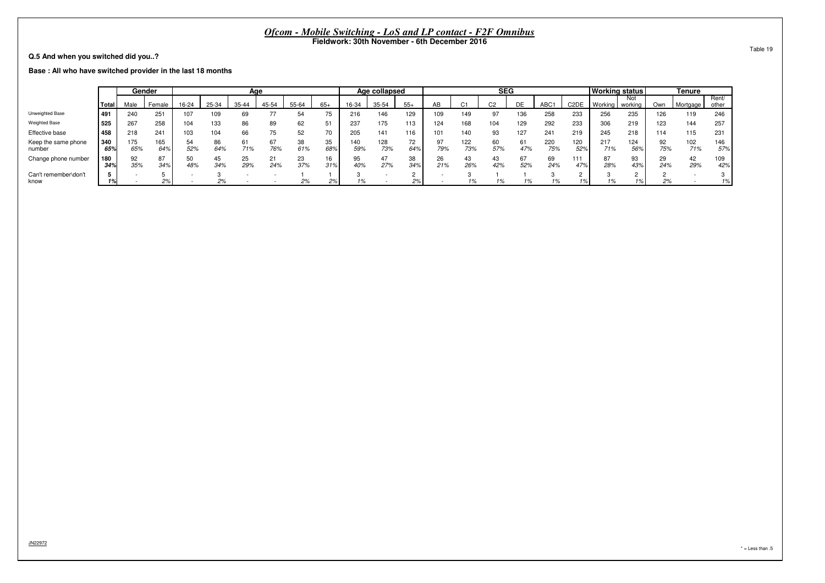**Q.5 And when you switched did you..?**

**Base : All who have switched provider in the last 18 months**

|                               |            |            | Gender     |           |           | Age       |           |           |           |            | Age collapsed |           |           |            | <b>SEG</b>     |     |            |                   | <b>Working status</b> |                |           | Tenure     |                |
|-------------------------------|------------|------------|------------|-----------|-----------|-----------|-----------|-----------|-----------|------------|---------------|-----------|-----------|------------|----------------|-----|------------|-------------------|-----------------------|----------------|-----------|------------|----------------|
|                               | Total      | Male       | Female     | 16-24     | 25-34     | 35-44     | 45-54     | 55-64     | $65+$     | 16-34      | 35-54         | $55+$     | AB        | $\sim$     | C <sub>2</sub> | DE  | <b>ABC</b> | C <sub>2</sub> DE | Working               | Not<br>working | Own       | Mortgage   | Rent/<br>other |
| Unweighted Base               | 491        | 240        | 251        | 107       | 109       |           |           | 54        | 75        | 216        | 146           | 129       | 109       | 149        | 07             | 136 | 258        | 233               | 256                   | 235            | 126       | 119        | 246            |
| Weighted Base                 | 525        | 267        | 258        | 104       | 133       |           | 89        | 62        | 51        | 237        | 175           | 113       | 124       | 168        | 104            | 129 | 292        | 233               | 306                   | 219            | 123       | 144        | 257            |
| Effective base                | 458        | 218        | 241        | 103       | 104       |           | 75        | 52        | 70        | 205        | 141           | 116       | 101       | 140        | 93             | 127 | 241        | 219               | 245                   | 218            | 114       | 115        | 231            |
| Keep the same phone<br>number | 340<br>65% | 175<br>65% | 165<br>64% | 54<br>52% | 86<br>64% | 61<br>71% | 67<br>76% | 38<br>61% | 35<br>68% | 140<br>59% | 128<br>73%    | 72<br>64% | n.<br>79% | 122<br>73% | 57%            | 47% | 220<br>75% | 120<br>52%        | 217<br>71%            | 124<br>56%     | 92<br>75% | 102<br>71% | 146<br>57%     |
| Change phone number           | 180<br>34% | 92<br>35%  | 87<br>34%  | 50<br>48% | 45<br>34% | 25<br>29% | 21<br>24% | 23<br>37% | 16<br>31% | 95<br>40%  | 47<br>27%     | 38<br>34% | 26<br>21% | 26%        | 43<br>42%      | 52% | 69<br>24%  | 11′<br>47%        | 87<br>28%             | 93<br>43%      | 29<br>24% | 42<br>29%  | 109<br>42%     |
| Can't remember\don't<br>know  |            |            | 2%         |           | 2%        |           |           | 2%        | 2%        | 1%         |               | 2%        |           | 1%         |                |     |            |                   | 1%                    |                | 2%        |            | 1%             |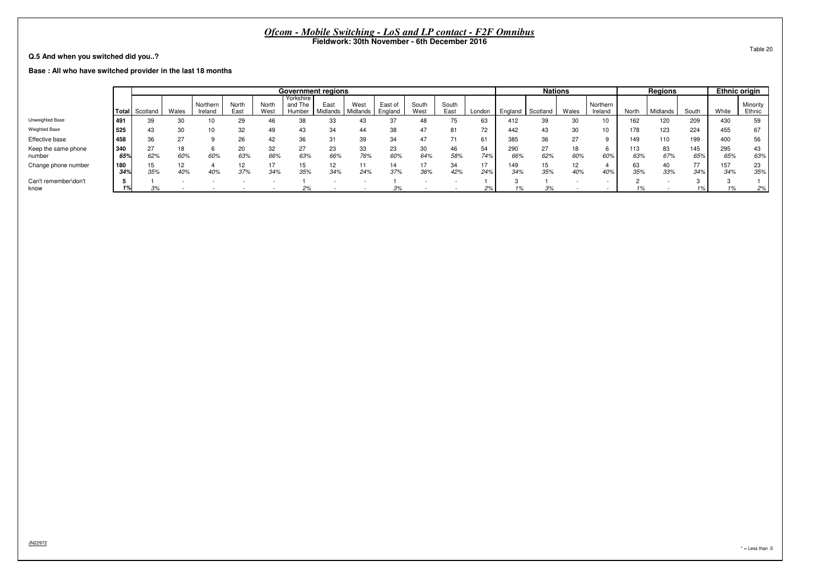**Q.5 And when you switched did you..?**

**Base : All who have switched provider in the last 18 months**

|                               |            |                       |       |                     |               |               | <b>Government regions</b>      |                  |                  |                    |               |               |           |            | <b>Nations</b> |       |                     |            | <b>Regions</b> |                       |            | <b>Ethnic origin</b> |
|-------------------------------|------------|-----------------------|-------|---------------------|---------------|---------------|--------------------------------|------------------|------------------|--------------------|---------------|---------------|-----------|------------|----------------|-------|---------------------|------------|----------------|-----------------------|------------|----------------------|
|                               |            | <b>Total</b> Scotland | Wales | Northern<br>Ireland | North<br>East | North<br>West | Yorkshire<br>and The<br>Humber | East<br>Midlands | West<br>Midlands | East of<br>England | South<br>West | South<br>East | London    | England    | Scotland       | Wales | Northern<br>Ireland | North      | Midlands       | South                 | White      | Minority<br>Ethnic   |
| Unweighted Base               | 491        | 39                    |       |                     | 29            |               | 38                             |                  |                  |                    | 48            |               | 63        | 412        | 39             |       | 10                  | 162        | 120            | 209                   | 430        | 59                   |
| <b>Weighted Base</b>          | 525        |                       | 30    |                     | 32            | 49            | 43                             | 34               | 44               |                    | 47            | 81            | 72        | 442        | 43             |       | 10                  | 178        | 123            | 224                   | 455        |                      |
| Effective base                | 1458       | 36                    | 27    |                     | 26            |               | 36                             |                  | 39               | 34                 | 47            |               |           | 385        | 36             | 27    |                     | 149        | 110            | 199                   | 400        | 56                   |
| Keep the same phone<br>number | 340<br>65% | 27<br>62%             | 60%   | 60%                 | 20<br>63%     | 66%           | 63%                            | 23<br>66%        | 33<br>76%        | 23<br>60%          | 30<br>64%     | 58%           | 54<br>74% | 290<br>66% | 27<br>62%      | 60%   | 60%                 | 113<br>63% | 83<br>67%      | 145<br>65%            | 295<br>65% | 43<br>63%            |
| Change phone number           | 180<br>34% | 35%                   | 40%   | 40%                 | 37%           | 34%           | 15<br>35%                      | 12<br>34%        | 24%              | 37%                | 36%           | 34<br>42%     | 17<br>24% | 149<br>34% | 15<br>35%      | 40%   | 40%                 | 63<br>35%  | 40<br>33%      | $\overline{ }$<br>34% | 157<br>34% | 23<br>35%            |
| Can't remember\don't<br>know  |            | 3%                    |       |                     |               |               | 2%                             |                  |                  | 3%                 |               |               | 2%        |            | 3%             |       |                     | 1%         |                | $1\%$                 |            | 2%                   |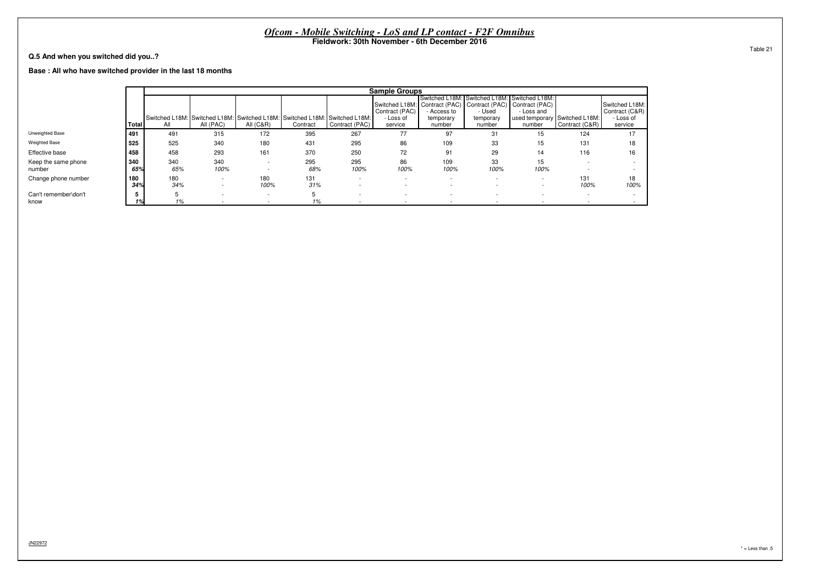|                                                            |            |            |                                                      |                                                      | Ofcom - Mobile Switching - LoS and LP contact - F2F Omnibus                            |                                                      |                                        | Fieldwork: 30th November - 6th December 2016                                                    |                                                                               |                      |                                                      |                                                          |          |
|------------------------------------------------------------|------------|------------|------------------------------------------------------|------------------------------------------------------|----------------------------------------------------------------------------------------|------------------------------------------------------|----------------------------------------|-------------------------------------------------------------------------------------------------|-------------------------------------------------------------------------------|----------------------|------------------------------------------------------|----------------------------------------------------------|----------|
| Q.5 And when you switched did you?                         |            |            |                                                      |                                                      |                                                                                        |                                                      |                                        |                                                                                                 |                                                                               |                      |                                                      |                                                          | Table 21 |
| Base: All who have switched provider in the last 18 months |            |            |                                                      |                                                      |                                                                                        |                                                      |                                        |                                                                                                 |                                                                               |                      |                                                      |                                                          |          |
|                                                            |            |            |                                                      |                                                      |                                                                                        |                                                      | <b>Sample Groups</b>                   |                                                                                                 |                                                                               |                      |                                                      |                                                          |          |
|                                                            | Total      | All        | All (PAC)                                            | All $(C&R)$                                          | Switched L18M: Switched L18M: Switched L18M: Switched L18M: Switched L18M:<br>Contract | Contract (PAC)                                       | Contract (PAC)<br>- Loss of<br>service | Switched L18M: Contract (PAC) Contract (PAC) Contract (PAC)<br>Access to<br>temporary<br>number | Switched L18M: Switched L18M: Switched L18M:<br>- Used<br>temporary<br>number | - Loss and<br>number | used temporary Switched L18M:<br>Contract (C&R)      | Switched L18M:<br>Contract (C&R)<br>- Loss of<br>service |          |
| Unweighted Base                                            | 491        | 491        | 315                                                  | 172                                                  | 395                                                                                    | 267                                                  | 77                                     | 97                                                                                              | 31                                                                            | 15                   | 124                                                  | 17                                                       |          |
| <b>Weighted Base</b>                                       | 525        | 525        | 340                                                  | 180                                                  | 431                                                                                    | 295                                                  | 86                                     | 109                                                                                             | 33                                                                            | 15                   | 131                                                  | 18                                                       |          |
| Effective base                                             | 458        | 458        | 293                                                  | 161                                                  | 370                                                                                    | 250                                                  | 72                                     | 91                                                                                              | 29                                                                            | 14                   | 116                                                  | 16                                                       |          |
| Keep the same phone<br>number                              | 340<br>65% | 340<br>65% | 340<br>100%                                          | $\overline{\phantom{a}}$<br>$\overline{\phantom{a}}$ | 295<br>68%                                                                             | 295<br>100%                                          | 86<br>100%                             | 109<br>100%                                                                                     | 33<br>100%                                                                    | 15<br>100%           | $\overline{\phantom{a}}$                             |                                                          |          |
| Change phone number                                        | 180<br>34% | 180<br>34% | $\overline{\phantom{a}}$<br>$\overline{\phantom{a}}$ | 180<br>100%                                          | 131<br>31%                                                                             | $\overline{\phantom{a}}$<br>$\overline{\phantom{a}}$ |                                        |                                                                                                 | $\sim$                                                                        |                      | 131<br>100%                                          | 18<br>100%                                               |          |
| Can't remember\don't<br>know                               |            | 1%         |                                                      | $\overline{\phantom{a}}$<br>$\overline{\phantom{a}}$ | 1%                                                                                     |                                                      |                                        | $\overline{\phantom{a}}$                                                                        |                                                                               |                      | $\overline{\phantom{a}}$<br>$\overline{\phantom{0}}$ |                                                          |          |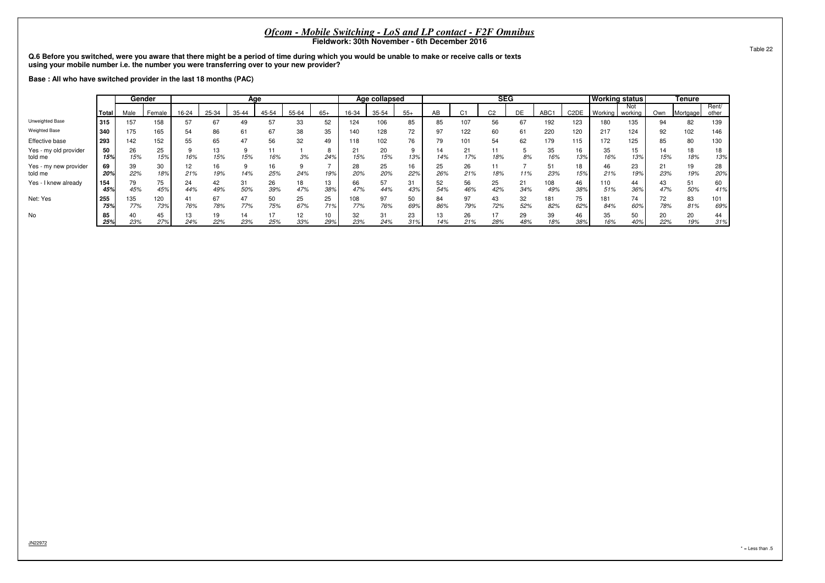Q.6 Before you switched, were you aware that there might be a period of time during which you would be unable to make or receive calls or texts<br>using your mobile number i.e. the number you were transferring over to your ne

**Base : All who have switched provider in the last 18 months (PAC)**

|                                  |            |            | Gender     |           |           | Age       |           |           |           |            | Age collapsed |           |           |           | <b>SEG</b>     |           |            |                   | <b>Working status</b> |                |           | <b>Tenure</b> |                |
|----------------------------------|------------|------------|------------|-----------|-----------|-----------|-----------|-----------|-----------|------------|---------------|-----------|-----------|-----------|----------------|-----------|------------|-------------------|-----------------------|----------------|-----------|---------------|----------------|
|                                  | Total      | Male       | Female     | 16-24     | 25-34     | 35-44     | 45-54     | 55-64     | $65+$     | 16-34      | 35-54         | $55+$     | AB        | C1        | C <sub>2</sub> | DE        | ABC1       | C <sub>2</sub> DE | Working               | Not<br>working | Own       | Mortgage      | Rent/<br>other |
| Unweighted Base                  | 315        | 157        | 158        | 57        | 67        | 49        | 57        | 33        | 52        | 124        | 106           | 85        | 85        | 107       | 56             | 67        | 192        | 123               | 180                   | 135            | 94        | 82            | 139            |
| <b>Weighted Base</b>             | 340        | 175        | 165        | 54        | 86        | 61        | 67        | 38        | 35        | 140        | 128           | 72        | 97        | 122       | 60             | 61        | 220        | 120               | 217                   | 124            | 92        | 102           | 146            |
| Effective base                   | 293        | 142        | 152        | 55        | 65        | 47        | 56        | 32        | 49        | 118        | 102           | 76        | 79        |           | 54             | 62        | 179        | 115               | 172                   | 125            | 85        | 80            | 130            |
| Yes - my old provider<br>told me | 50<br>15%  | 26<br>15%  | 25<br>15%  | 16%       | 13<br>15% | 15%       | 11<br>16% | 3%        | 24%       | 15%        | 20<br>15%     | 13%       | 14<br>14% | 17%       | 11<br>18%      | 8%        | 35<br>16%  | 16<br>13%         | 35<br>16%             | 15<br>13%      | 14<br>15% | 18%           | 18<br>13%      |
| Yes - my new provider<br>told me | 69<br>20%  | 39<br>22%  | 30<br>18%  | 12<br>21% | 16<br>19% | 14%       | 16<br>25% | 24%       | 19%       | 28<br>20%  | 25<br>20%     | 16<br>22% | 25<br>26% | 26<br>21% | 11<br>18%      | 11%       | 51<br>23%  | 18<br>15%         | 46<br>21%             | 23<br>19%      | 21<br>23% | 19<br>19%     | 28<br>20%      |
| Yes - I knew already             | 154<br>459 | 79<br>45%  | 75<br>45%  | 24<br>44% | 42<br>49% | 31<br>50% | 26<br>39% | 18<br>47% | 13<br>38% | 66<br>47%  | 57<br>44%     | 31<br>43% | 52<br>54% | 56<br>46% | 25<br>42%      | 21<br>34% | 108<br>49% | 46<br>38%         | 110<br>51%            | 36%            | 43<br>47% | 51<br>50%     | 60<br>41%      |
| Net: Yes                         | 255<br>75% | 135<br>77% | 120<br>73% | 41<br>76% | 67<br>78% | 47<br>77% | 50<br>75% | 25<br>67% | 25<br>71% | 108<br>77% | 97<br>76%     | 50<br>69% | 84<br>86% | 97<br>79% | 43<br>72%      | 32<br>52% | 181<br>82% | 75<br>62%         | 181<br>84%            | 74<br>60%      | 72<br>78% | 83<br>81%     | 101<br>69%     |
| No                               | 85<br>25%  | 23%        | 45<br>27%  | 13<br>24% | 19<br>22% | 14<br>23% | 17<br>25% | 12<br>33% | 10<br>29% | 32<br>23%  | 31<br>24%     | 23<br>31% | 13<br>14% | 26<br>21% | 17<br>28%      | 29<br>48% | 39<br>18%  | 46<br>38%         | 35<br>16%             | 50<br>40%      | 20<br>22% | 20<br>19%     | 44<br>31%      |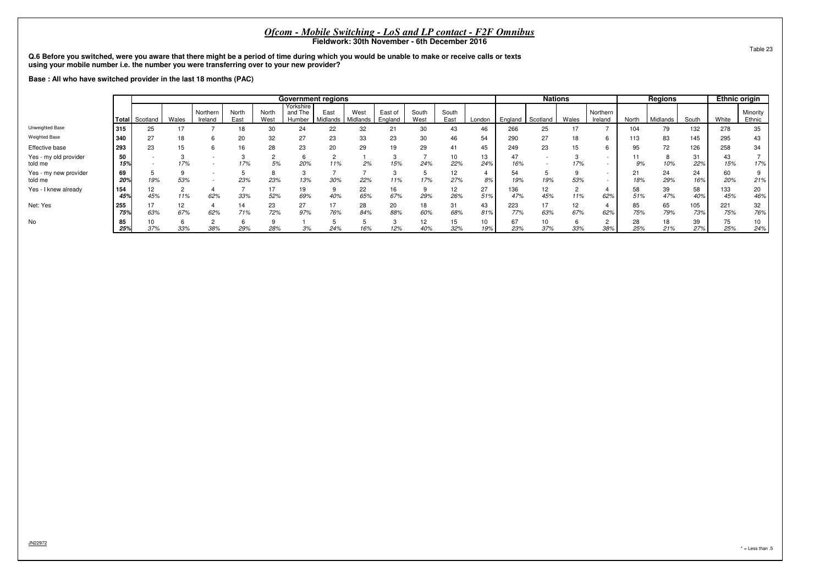Q.6 Before you switched, were you aware that there might be a period of time during which you would be unable to make or receive calls or texts<br>using your mobile number i.e. the number you were transferring over to your ne

**Base : All who have switched provider in the last 18 months (PAC)**

|                                  |            |                |           |                     |               |               | <b>Government regions</b>      |                  |                  |                    |               |                        |           |            | <b>Nations</b> |           |                          |           | <b>Regions</b> |            | <b>Ethnic origin</b> |                    |
|----------------------------------|------------|----------------|-----------|---------------------|---------------|---------------|--------------------------------|------------------|------------------|--------------------|---------------|------------------------|-----------|------------|----------------|-----------|--------------------------|-----------|----------------|------------|----------------------|--------------------|
|                                  |            | Total Scotland | Wales     | Northern<br>Ireland | North<br>East | North<br>West | Yorkshire<br>and The<br>Humber | East<br>Midlands | West<br>Midlands | East of<br>England | South<br>West | South<br>East          | London    | England    | Scotland       | Wales     | Northern<br>Ireland      | North     | Midlands       | South      | White                | Minority<br>Ethnic |
| Unweighted Base                  | 315        | 25             |           |                     | 18            | 30            | 24                             | 22               | 32               |                    |               | 43                     | 46        | 266        | 25             |           |                          | 104       | 79             | 132        | 278                  | 35                 |
| Weighted Base                    | 340        | 27             | 18        |                     | 20            | 32            | 27                             | 23               | 33               | 23                 |               |                        | 54        | 290        | 27             |           |                          | 113       | 83             | 145        | 295                  | 43                 |
| Effective base                   | 293        | 23             | 15        |                     | 16            | 28            | 23                             | 20               | 29               | 19                 | 29            | 41                     | 45        | 249        | 23             | 15        | b                        | 95        | 72             | 126        | 258                  | 34                 |
| Yes - my old provider<br>told me | 50<br>15%  |                | 17%       |                     | 17%           | 5%            | 20%                            | 11%              | 2%               | 15%                | 24%           | 10<br>22%              | 13<br>24% | 16%        |                | 17%       |                          | 9%        | 10%            | 31<br>22%  | 43<br>15%            | 17%                |
| Yes - my new provider<br>told me | 69<br>20%  | 19%            | 53%       |                     | 23%           | 23%           | 13%                            | 30%              | 22%              | 11%                | 17%           | 27%                    | 4<br>8%   | 54<br>19%  | Ð<br>19%       | 53%       | $\overline{\phantom{a}}$ | 21<br>18% | 24<br>29%      | 24<br>16%  | 60<br>20%            | 21%                |
| Yes - I knew already             | 154<br>45% | 12<br>45%      | 11%       | 62%                 | 33%           | 52%           | 19<br>69%                      | 40%              | 22<br>65%        | 16<br>67%          | 29%           | 12 <sup>°</sup><br>26% | 27<br>51% | 136<br>47% | 12<br>45%      | 11%       | 62%                      | 58<br>51% | 39<br>47%      | 58<br>40%  | 133<br>45%           | 20<br>46%          |
| Net: Yes                         | 255<br>75% | 17<br>63%      | 12<br>67% | 62%                 | 14<br>71%     | 23<br>72%     | 27<br>97%                      | 76%              | 28<br>84%        | 20<br>88%          | 18<br>60%     | 31<br>68%              | 43<br>81% | 223<br>77% | 17<br>63%      | 12<br>67% | 62%                      | 85<br>75% | 65<br>79%      | 105<br>73% | 221<br>75%           | 32<br>76%          |
| No                               | 85<br>25%  | 10<br>37%      | 33%       | 38%                 | 29%           | 28%           | 3%                             | 24%              | 16%              | 12%                | 12<br>40%     | 32%                    | 10<br>19% | 67<br>23%  | 10<br>37%      | 33%       | ے<br>38%                 | 28<br>25% | 18<br>21%      | 39<br>27%  | 75<br>25%            | 10<br>24%          |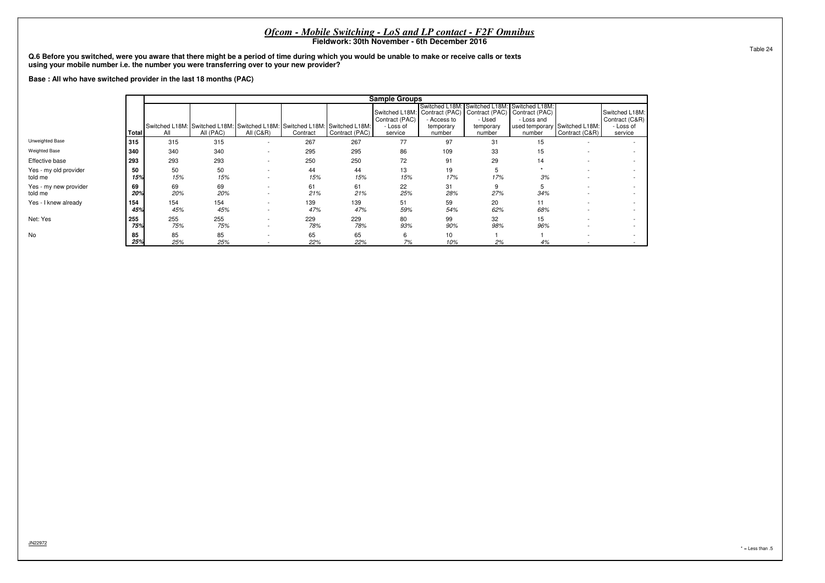|                                                                                                                                                 |            |                                                                                                                                                                                                                                                                                                                                                                                                        |                                                                                                                                                                                                                                                        |                  |            |            | <i>Ofcom - Mobile Switching - LoS and LP contact - F2F Omnibus</i><br>Fieldwork: 30th November - 6th December 2016 |           |           |           |                          |                          |  |  |  |  |  |
|-------------------------------------------------------------------------------------------------------------------------------------------------|------------|--------------------------------------------------------------------------------------------------------------------------------------------------------------------------------------------------------------------------------------------------------------------------------------------------------------------------------------------------------------------------------------------------------|--------------------------------------------------------------------------------------------------------------------------------------------------------------------------------------------------------------------------------------------------------|------------------|------------|------------|--------------------------------------------------------------------------------------------------------------------|-----------|-----------|-----------|--------------------------|--------------------------|--|--|--|--|--|
| Q.6 Before you switched, were you aware that there might be a period of time during which you would be unable to make or receive calls or texts |            |                                                                                                                                                                                                                                                                                                                                                                                                        |                                                                                                                                                                                                                                                        |                  |            |            |                                                                                                                    |           |           |           |                          |                          |  |  |  |  |  |
|                                                                                                                                                 |            | using your mobile number i.e. the number you were transferring over to your new provider?<br>Base: All who have switched provider in the last 18 months (PAC)<br><b>Sample Groups</b><br>Switched L18M: Switched L18M: Switched L18M:<br>Contract (PAC)   Contract (PAC)   Contract (PAC)<br>Switched L18M:<br>Switched L18M:<br>Contract (C&R)<br>Contract (PAC)<br>- Used<br>- Loss and<br>Access to |                                                                                                                                                                                                                                                        |                  |            |            |                                                                                                                    |           |           |           |                          |                          |  |  |  |  |  |
|                                                                                                                                                 |            |                                                                                                                                                                                                                                                                                                                                                                                                        |                                                                                                                                                                                                                                                        |                  |            |            |                                                                                                                    |           |           |           |                          |                          |  |  |  |  |  |
|                                                                                                                                                 | Total      | All                                                                                                                                                                                                                                                                                                                                                                                                    | used temporary Switched L18M:<br>- Loss of<br>temporary<br>temporary<br>Contract (PAC)<br>Contract (C&R)<br>All (PAC)<br><b>All (C&amp;R)</b><br>Contract<br>number<br>number<br>service<br>number<br>267<br>267<br>77<br>97<br>315<br>315<br>31<br>15 |                  |            |            |                                                                                                                    |           |           |           |                          |                          |  |  |  |  |  |
| Unweighted Base                                                                                                                                 | 315        | Switched L18M: Switched L18M: Switched L18M: Switched L18M: Switched L18M:<br>- Loss of<br>service<br>109<br>340<br>295<br>295<br>340<br>86<br>33<br>15                                                                                                                                                                                                                                                |                                                                                                                                                                                                                                                        |                  |            |            |                                                                                                                    |           |           |           |                          |                          |  |  |  |  |  |
| Weighted Base                                                                                                                                   | 340        |                                                                                                                                                                                                                                                                                                                                                                                                        |                                                                                                                                                                                                                                                        |                  |            |            |                                                                                                                    |           |           |           |                          |                          |  |  |  |  |  |
| Effective base                                                                                                                                  | 293        | 293                                                                                                                                                                                                                                                                                                                                                                                                    | 293                                                                                                                                                                                                                                                    |                  | 250        | 250        | 72                                                                                                                 | 91        | 29        | 14        |                          |                          |  |  |  |  |  |
| Yes - my old provider<br>told me                                                                                                                | 50<br>15%  | 50<br>15%                                                                                                                                                                                                                                                                                                                                                                                              | 50<br>15%                                                                                                                                                                                                                                              |                  | 44<br>15%  | 44<br>15%  | 13<br>15%                                                                                                          | 19<br>17% | 5<br>17%  | 3%        | $\overline{\phantom{a}}$ |                          |  |  |  |  |  |
| Yes - my new provider<br>told me                                                                                                                | 69<br>20%  | 69<br>20%                                                                                                                                                                                                                                                                                                                                                                                              | 69<br>20%                                                                                                                                                                                                                                              |                  | 61<br>21%  | 61<br>21%  | 22<br>25%                                                                                                          | 31<br>28% | 9<br>27%  | 34%       |                          | $\overline{\phantom{a}}$ |  |  |  |  |  |
| Yes - I knew already                                                                                                                            | 154<br>45% | 154<br>45%                                                                                                                                                                                                                                                                                                                                                                                             | 154<br>45%                                                                                                                                                                                                                                             |                  | 139<br>47% | 139<br>47% | 51<br>59%                                                                                                          | 59<br>54% | 20<br>62% | 11<br>68% |                          |                          |  |  |  |  |  |
| Net: Yes                                                                                                                                        | 255<br>75% | 255<br>75%                                                                                                                                                                                                                                                                                                                                                                                             | 255<br>75%                                                                                                                                                                                                                                             | $\sim$<br>$\sim$ | 229<br>78% | 229<br>78% | 80<br>93%                                                                                                          | 99<br>90% | 32<br>98% | 15<br>96% |                          | $\overline{\phantom{a}}$ |  |  |  |  |  |
| No                                                                                                                                              | 85<br>25%  | 85<br>25%                                                                                                                                                                                                                                                                                                                                                                                              | 85<br>25%                                                                                                                                                                                                                                              | $\sim$           | 65<br>22%  | 65<br>22%  | 6<br>7%                                                                                                            | 10<br>10% | 2%        | 4%        |                          |                          |  |  |  |  |  |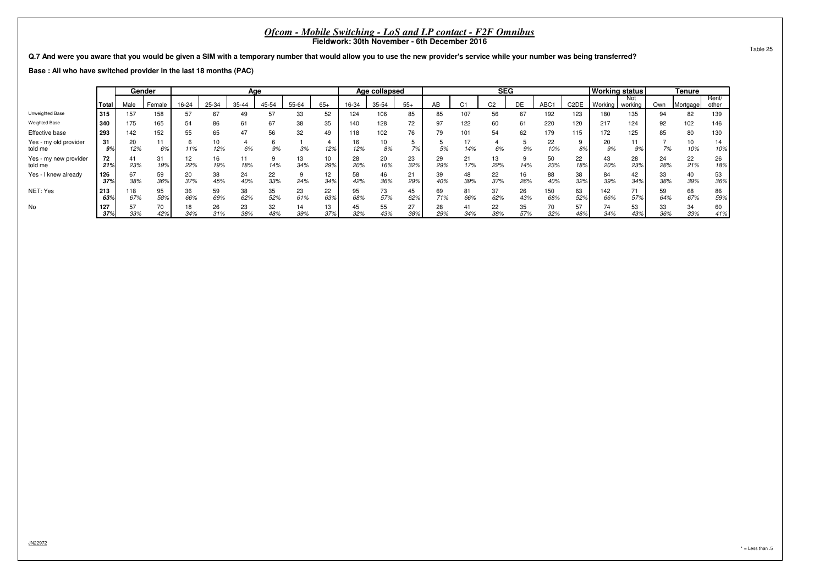**Q.7 And were you aware that you would be given a SIM with a temporary number that would allow you to use the new provider's service while your number was being transferred?**

**Base : All who have switched provider in the last 18 months (PAC)**

|                                  |            |            | Gender    |           |           | Age       |           |           |           |           | Age collapsed |           |           |              | <b>SEG</b>     |           |            |                   | <b>Working status</b> |                |           | <b>Tenure</b>          |                |
|----------------------------------|------------|------------|-----------|-----------|-----------|-----------|-----------|-----------|-----------|-----------|---------------|-----------|-----------|--------------|----------------|-----------|------------|-------------------|-----------------------|----------------|-----------|------------------------|----------------|
|                                  | Total      | Male       | Female    | 16-24     | 25-34     | 35-44     | 45-54     | 55-64     | $65+$     | 16-34     | 35-54         | $55+$     | AB        | $\sim$<br>ι, | C <sub>2</sub> | DE        | ABC1       | C <sub>2</sub> DE | Working               | Not<br>working | Own       | Mortgage               | Rent/<br>other |
| Unweighted Base                  | 315        | 157        | 158       | 57        | 67        | 49        | 57        | 33        | 52        | 124       | 106           | 85        | 85        | 107          | 56             | 67        | 192        | 123               | 180                   | 135            | 94        | 82                     | 139            |
| <b>Weighted Base</b>             | 340        | 175        | 165       | 54        | 86        | 61        | 67        | 38        | 35        | 140       | 128           | 72        | 97        | 122          | 60             |           | 220        | 120               | 217                   | 124            | 92        | 102                    | 146            |
| Effective base                   | 293        | 142        | 152       | 55        | 65        | 47        | 56        | 32        | 49        | 118       | 102           | 76        | 79        | 101          | 54             | 62        | 179        | 115               | 172                   | 125            | 85        | 80                     | 130            |
| Yes - my old provider<br>told me | 31<br>9%   | 20<br>12%  | 6%        | 11%       | 10<br>12% | 6%        | 9%        | 3%        | 12%       | 16<br>12% | 10<br>8%      | 7%        | 5%        | 14%          | 6%             | 9%        | 22<br>10%  | 8%                | 20<br>9%              |                | 7%        | 10 <sup>1</sup><br>10% | 14<br>10%      |
| Yes - my new provider<br>told me | 72<br>21%  | 41<br>23%  | 31<br>19% | 12<br>22% | 16<br>19% | 18%       | 14%       | 13<br>34% | 10<br>29% | 28<br>20% | 20<br>16%     | 23<br>32% | 29<br>29% | 21<br>17%    | 13<br>22%      | 14%       | 50<br>23%  | 22<br>18%         | 43<br>20%             | 28<br>23%      | 24<br>26% | 22<br>21%              | 26<br>18%      |
| Yes - I knew already             | 126<br>37% | 67<br>38%  | 59<br>36% | 20<br>37% | 38<br>45% | 24<br>40% | 22<br>33% | 24%       | 12<br>34% | 58<br>42% | 46<br>36%     | 21<br>29% | 39<br>40% | 48<br>39%    | 22<br>37%      | 16<br>26% | 88<br>40%  | 38<br>32%         | 84<br>39%             | 42<br>34%      | 33<br>36% | 40<br>39%              | 53<br>36%      |
| NET: Yes                         | 213<br>63% | 118<br>67% | 95<br>58% | 36<br>66% | 59<br>69% | 38<br>62% | 35<br>52% | 23<br>61% | 22<br>63% | 95<br>68% | 73<br>57%     | 45<br>62% | 69<br>71% | 81<br>66%    | 37<br>62%      | 26<br>43% | 150<br>68% | 63<br>52%         | 142<br>66%            | 57%            | 59<br>64% | 68<br>67%              | 86<br>59%      |
| No                               | 127<br>37% | 57<br>33%  | 70<br>42% | 18<br>34% | 26<br>31% | 23<br>38% | 32<br>48% | 14<br>39% | 13<br>37% | 45<br>32% | 55<br>43%     | 27<br>38% | 28<br>29% | 34%          | 22<br>38%      | 35<br>57% | 70<br>32%  | 57<br>48%         | 74<br>34%             | 53<br>43%      | 33<br>36% | 34<br>33%              | 60<br>41%      |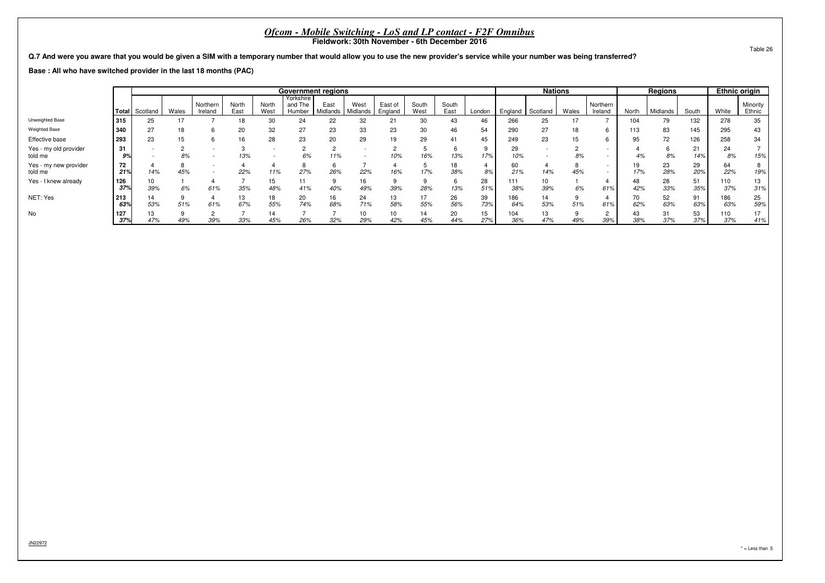**Q.7 And were you aware that you would be given a SIM with a temporary number that would allow you to use the new provider's service while your number was being transferred?**

**Base : All who have switched provider in the last 18 months (PAC)**

|                                  |            |                        |       |                     |               |               | <b>Government regions</b>      |                  |                  |                    |               |               |           |            | <b>Nations</b> |       |                                                      |           | <b>Regions</b> |           | <b>Ethnic origin</b> |                    |
|----------------------------------|------------|------------------------|-------|---------------------|---------------|---------------|--------------------------------|------------------|------------------|--------------------|---------------|---------------|-----------|------------|----------------|-------|------------------------------------------------------|-----------|----------------|-----------|----------------------|--------------------|
|                                  |            | Total Scotland         | Wales | Northern<br>Ireland | North<br>East | North<br>West | Yorkshire<br>and The<br>Humber | East<br>Midlands | West<br>Midlands | East of<br>England | South<br>West | South<br>East | London    | England    | Scotland       | Wales | Northern<br>Ireland                                  | North     | Midlands       | South     | White                | Minority<br>Ethnic |
| Unweighted Base                  | 315        | 25                     |       |                     | 18            | 30            | 24                             | 22               | 32               | 21                 | 30            | 43            | 46        | 266        | 25             | 17    |                                                      | 104       | 79             | 132       | 278                  | 35                 |
| <b>Weighted Base</b>             | 340        | 27                     |       |                     | 20            | 32            | 27                             | 23               | 33               | 23                 | 30            |               | 54        | 290        | 27             | 18    | 6                                                    | 113       | 83             | 145       | 295                  |                    |
| Effective base                   | 293        | 23                     | 15    |                     | 16            | 28            | 23                             | 20               | 29               | 19                 | 29            | 41            | 45        | 249        | 23             | 15    | 6                                                    | 95        | 72             | 126       | 258                  | 34                 |
| Yes - my old provider<br>told me | 31<br>9%   |                        | 8%    |                     | 13%           |               | 6%                             | 11%              |                  | 10%                | 16%           | 13%           | 17%       | 29<br>10%  |                | 8%    |                                                      | 4%        | 8%             | 21<br>14% | 24<br>8%             | 15%                |
| Yes - my new provider<br>told me | 72<br>21%  | 14%                    | 45%   |                     | 22%           | 11%           | 27%                            | 26%              | 22%              | 16%                | 17%           | 38%           | 4<br>8%   | 60<br>21%  | 14%            | 45%   | $\overline{\phantom{a}}$<br>$\overline{\phantom{a}}$ | 19<br>17% | 23<br>28%      | 29<br>20% | 64<br>22%            | 19%                |
| Yes - I knew already             | 126<br>37% | 10 <sup>1</sup><br>39% | 6%    | 61%                 | 35%           | 15<br>48%     | 41%                            | 40%              | 16<br>49%        | 39%                | 9<br>28%      | 13%           | 28<br>51% | 111<br>38% | 10<br>39%      | 6%    | 61%                                                  | 48<br>42% | 28<br>33%      | 51<br>35% | 110<br>37%           | 13<br>31%          |
| NET: Yes                         | 213<br>63% | 53%                    | 51%   | 61%                 | 13<br>67%     | 18<br>55%     | 20<br>74%                      | 16<br>68%        | 24<br>71%        | 13<br>58%          | 17<br>55%     | 26<br>56%     | 39<br>73% | 186<br>64% | 14<br>53%      | 51%   | 4<br>61%                                             | 62%       | 52<br>63%      | 91<br>63% | 186<br>63%           | 25<br>59%          |
| No                               | 127<br>37% | 47%                    | 49%   | 39%                 | 33%           | 45%           | 26%                            | 32%              | 10<br>29%        | 42%                | 14<br>45%     | 20<br>44%     | 15<br>27% | 104<br>36% | 13<br>47%      | 49%   | 39%                                                  | 43<br>38% | 31<br>37%      | 53<br>37% | 110<br>37%           | 17<br>41%          |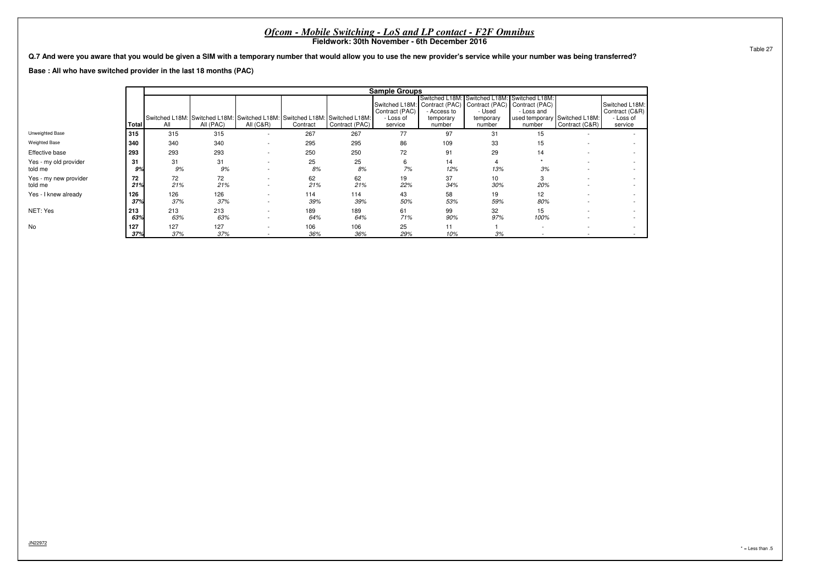|                                  | <i>Ofcom - Mobile Switching - LoS and LP contact - F2F Omnibus</i><br>Fieldwork: 30th November - 6th December 2016                                                                                                                                                                                                                                                                                                    |                                                                                                                    |            |                                    |            |            |           |           |           |            |  |  |  |  |  |  |
|----------------------------------|-----------------------------------------------------------------------------------------------------------------------------------------------------------------------------------------------------------------------------------------------------------------------------------------------------------------------------------------------------------------------------------------------------------------------|--------------------------------------------------------------------------------------------------------------------|------------|------------------------------------|------------|------------|-----------|-----------|-----------|------------|--|--|--|--|--|--|
|                                  | Q.7 And were you aware that you would be given a SIM with a temporary number that would allow you to use the new provider's service while your number was being transferred?<br>Base: All who have switched provider in the last 18 months (PAC)                                                                                                                                                                      |                                                                                                                    |            |                                    |            |            |           |           |           |            |  |  |  |  |  |  |
|                                  | <b>Sample Groups</b><br>Switched L18M:<br>Switched L18M:<br>Switched L18M:                                                                                                                                                                                                                                                                                                                                            |                                                                                                                    |            |                                    |            |            |           |           |           |            |  |  |  |  |  |  |
|                                  |                                                                                                                                                                                                                                                                                                                                                                                                                       | Switched L18M: Contract (PAC) Contract (PAC) Contract (PAC)<br>Contract (PAC)<br>- Used<br>- Loss and<br>Access to |            |                                    |            |            |           |           |           |            |  |  |  |  |  |  |
|                                  | Switched L18M:<br>Contract (C&R)<br>Switched L18M: Switched L18M: Switched L18M: Switched L18M: Switched L18M:<br>used temporary Switched L18M:<br>- Loss of<br>Loss of<br>temporary<br>temporary<br>All<br><b>All (C&amp;R)</b><br>Contract (PAC)<br>number<br>Total<br>All (PAC)<br>Contract (C&R)<br>Contract<br>number<br>service<br>service<br>number<br>315<br>315<br>267<br>77<br>315<br>267<br>97<br>31<br>15 |                                                                                                                    |            |                                    |            |            |           |           |           |            |  |  |  |  |  |  |
| Unweighted Base                  |                                                                                                                                                                                                                                                                                                                                                                                                                       |                                                                                                                    |            |                                    |            |            |           |           |           |            |  |  |  |  |  |  |
| <b>Weighted Base</b>             | 340                                                                                                                                                                                                                                                                                                                                                                                                                   | 340                                                                                                                | 340        |                                    | 295        | 295        | 86        | 109       | 33        | 15         |  |  |  |  |  |  |
| Effective base                   | 293                                                                                                                                                                                                                                                                                                                                                                                                                   | 293                                                                                                                | 293        |                                    | 250        | 250        | 72        | 91        | 29        | 14         |  |  |  |  |  |  |
| Yes - my old provider<br>told me | 31<br>9%                                                                                                                                                                                                                                                                                                                                                                                                              | 31<br>9%                                                                                                           | 31<br>9%   |                                    | 25<br>8%   | 25<br>8%   | 6<br>7%   | 14<br>12% | 13%       | 3%         |  |  |  |  |  |  |
| Yes - my new provider<br>told me | 72<br>21%                                                                                                                                                                                                                                                                                                                                                                                                             | 72<br>21%                                                                                                          | 72<br>21%  |                                    | 62<br>21%  | 62<br>21%  | 19<br>22% | 37<br>34% | 10<br>30% | 20%        |  |  |  |  |  |  |
| Yes - I knew already             | 126<br>37%                                                                                                                                                                                                                                                                                                                                                                                                            | 126<br>37%                                                                                                         | 126<br>37% | $\overline{\phantom{a}}$           | 114<br>39% | 114<br>39% | 43<br>50% | 58<br>53% | 19<br>59% | 12<br>80%  |  |  |  |  |  |  |
| NET: Yes                         | 213<br>63%                                                                                                                                                                                                                                                                                                                                                                                                            | 213<br>63%                                                                                                         | 213<br>63% | $\overline{\phantom{a}}$<br>$\sim$ | 189<br>64% | 189<br>64% | 61<br>71% | 99<br>90% | 32<br>97% | 15<br>100% |  |  |  |  |  |  |
| No                               | 127<br>37%                                                                                                                                                                                                                                                                                                                                                                                                            | 127<br>37%                                                                                                         | 127<br>37% | $\sim$                             | 106<br>36% | 106<br>36% | 25<br>29% | 11<br>10% | 3%        |            |  |  |  |  |  |  |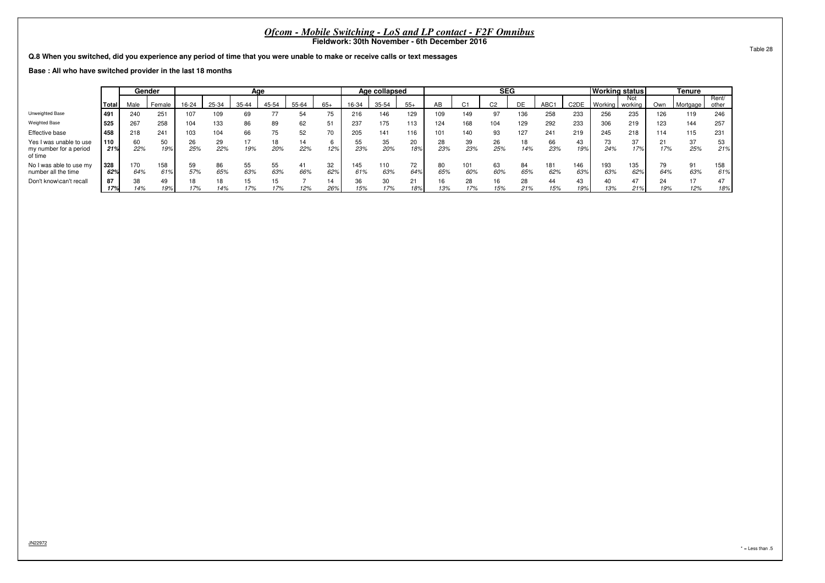**Q.8 When you switched, did you experience any period of time that you were unable to make or receive calls or text messages**

**Base : All who have switched provider in the last 18 months**

|                                                              |            |            | Gender       |           |           | Age       |           |           |           |            | Age collapsed |           |           |            | <b>SEG</b>     |           |            |                   | Working status |                |           | Tenure    |                |
|--------------------------------------------------------------|------------|------------|--------------|-----------|-----------|-----------|-----------|-----------|-----------|------------|---------------|-----------|-----------|------------|----------------|-----------|------------|-------------------|----------------|----------------|-----------|-----------|----------------|
|                                                              | Total      | Male       | Female       | 16-24     | 25-34     | $35 - 44$ | 45-54     | 55-64     | $65+$     | 16-34      | 35-54         | $55+$     | AB        | u          | C <sub>2</sub> | DE        | ABC1       | C <sub>2</sub> DE | Working        | Not<br>working | Own       | Mortgage  | Rent/<br>other |
| Unweighted Base                                              | 491        | 240        | $25^{\circ}$ | 107       | 109       | 69        | 77        | 54        | 75        | 216        | 146           | 129       | 109       | 149        | 97             | 136       | 258        | 233               | 256            | 235            | 126       | 119       | 246            |
| <b>Weighted Base</b>                                         | 525        | 267        | 258          | 104       | 133       | 86        | 89        | 62        | 51        | 237        | 175           | 113       | 124       | 168        | 104            | 129       | 292        | 233               | 306            | 219            | 123       | 144       | 257            |
| Effective base                                               | 458        | 218        | $24 -$       | 103       | 104       | 66        |           | 52        | 70        | 205        | 141           | 116       | 101       | 140        | 93             | 127       | 241        | 219               | 245            | 218            | 114       | 115       | 231            |
| Yes I was unable to use<br>my number for a period<br>of time | 110<br>21% | 60<br>22%  | 50<br>19%    | 26<br>25% | 29<br>22% | 17<br>19% | 20%       | 14<br>22% | b<br>12%  | 55<br>23%  | 35<br>20%     | 20<br>18% | 28<br>23% | 39<br>23%  | 26<br>25%      | 18<br>14% | 66<br>23%  | -43<br>19%        | 73<br>24%      | 37<br>17%      | 21<br>17% | 37<br>25% | 53<br>21%      |
| No I was able to use my<br>number all the time               | 328<br>62% | 170<br>64% | 158<br>61%   | 59<br>57% | 86<br>65% | 55<br>63% | 55<br>63% | 41<br>66% | 32<br>62% | 145<br>61% | 110<br>63%    | 72<br>64% | 80<br>65% | 101<br>60% | 63<br>60%      | 84<br>65% | 181<br>62% | 146<br>63%        | 193<br>63%     | 135<br>62%     | 79<br>64% | 91<br>63% | 158<br>61%     |
| Don't know\can't recall                                      | 87<br>17%  | 38<br>14%  | 49<br>19%    | 17%       | 14%       | 15<br>17% | 17%       | 12%       | 14<br>26% | 36<br>15%  | 30<br>17%     | 21<br>18% | 16<br>13% | 28<br>17%  | 16<br>15%      | 28<br>21% | 44<br>15%  | 43<br>19%         | 40<br>13%      | 47<br>21%      | 24<br>19% | 12%       | 47<br>18%      |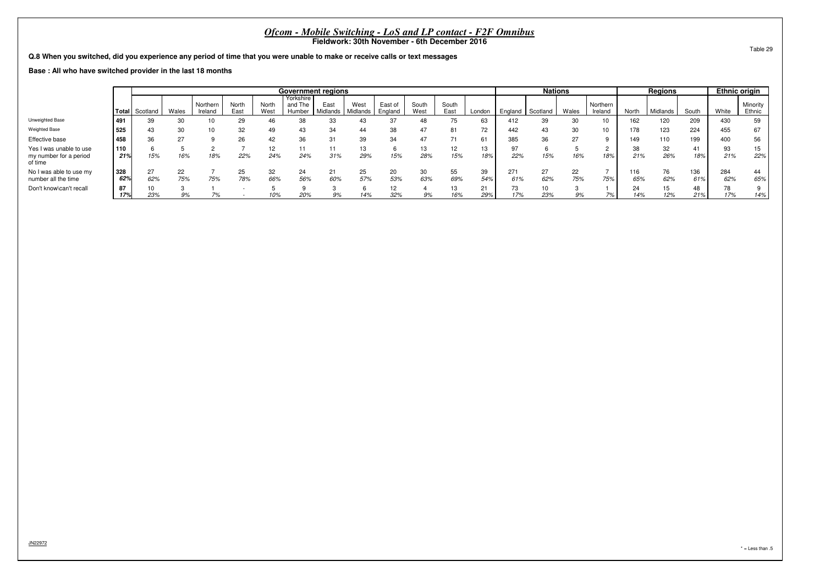**Q.8 When you switched, did you experience any period of time that you were unable to make or receive calls or text messages**

**Base : All who have switched provider in the last 18 months**

|                                                              |            |                |           |                     |               |                      |                                | <b>Government regions</b> |                             |                    |               |               |           |            | <b>Nations</b> |           |                     |            | <b>Regions</b> |            |            | <b>Ethnic origin</b> |
|--------------------------------------------------------------|------------|----------------|-----------|---------------------|---------------|----------------------|--------------------------------|---------------------------|-----------------------------|--------------------|---------------|---------------|-----------|------------|----------------|-----------|---------------------|------------|----------------|------------|------------|----------------------|
|                                                              |            | Total Scotland | Wales     | Northern<br>Ireland | North<br>East | <b>North</b><br>West | Yorkshire<br>and The<br>Humber | East                      | West<br>Midlands   Midlands | East of<br>England | South<br>West | South<br>East | London    | England    | Scotland       | Wales     | Northern<br>Ireland | North      | Midlands       | South      | White      | Minority<br>Ethnic   |
| Unweighted Base                                              | 1491       | 39             | 30        |                     | 29            | 46                   | 38                             | 33                        | 43                          | 37                 | 48            |               | 63        | 412        | 39             | 30        | 10                  | 162        | 120            | 209        | 430        | 59                   |
| <b>Weighted Base</b>                                         | 525        | 43             | 30        |                     | 32            | 49                   | 43                             | 34                        | 44                          | 38                 | 47            | 81            | 72        | 442        | 43             | 30        | 10                  | 178        | 123            | 224        | 455        | 67                   |
| Effective base                                               | 458        | 36             | 27        |                     | 26            | 42                   | 36                             | 31                        | 39                          | 34                 | 47            |               | 61        | 385        | 36             | 27        |                     | 149        | 110            | 199        | 400        | 56                   |
| Yes I was unable to use<br>my number for a period<br>of time | 110<br>21% | 15%            | 16%       | 18%                 | 22%           | 12<br>24%            | 24%                            | 31%                       | 13<br>29%                   | 15%                | 28%           | 12<br>15%     | 13<br>18% | 22%        | 15%            | 16%       | 18%                 | 38<br>21%  | 32<br>26%      | 41<br>18%  | 93<br>21%  | 15<br>22%            |
| No I was able to use my<br>number all the time               | 328<br>62% | 27<br>62%      | 22<br>75% | 75%                 | 25<br>78%     | 32<br>66%            | 24<br>56%                      | 60%                       | 25<br>57%                   | 20<br>53%          | 30<br>63%     | 55<br>69%     | 39<br>54% | 271<br>61% | 27<br>62%      | 22<br>75% | 75%                 | 116<br>65% | 76<br>62%      | 136<br>61% | 284<br>62% | 44<br>65%            |
| Don't know\can't recall                                      | 87<br>17%  | 23%            | 9%        |                     |               | 10%                  | 20%                            | 9%                        | 14%                         | 32%                | 9%            | 16%           | 21<br>29% | 73<br>17%  | 10<br>23%      | 9%        | 7%                  | 24<br>14%  | 15<br>12%      | 48<br>21%  | 70<br>17%  | 14%                  |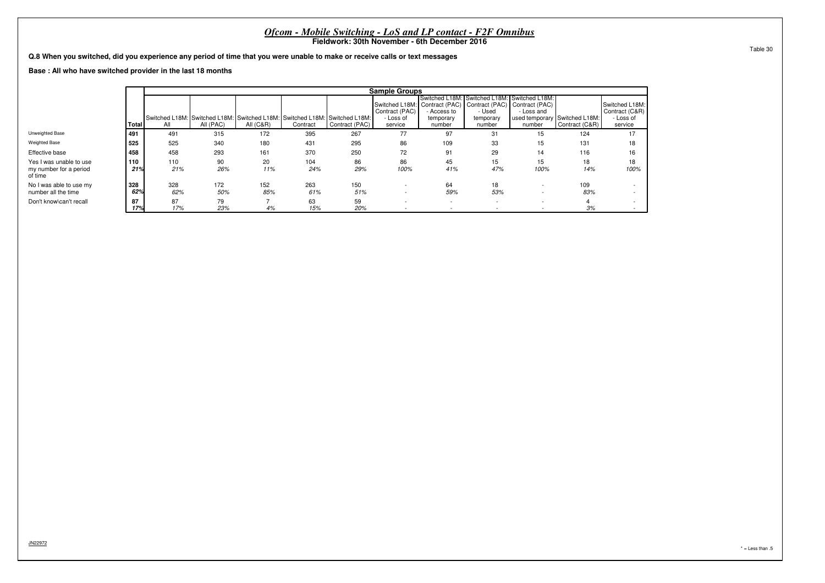|                                                                                                                             |                                                                                                                                                                                                                                                                                                                                                                                                                              |            |            |            | <i>Ofcom - Mobile Switching - LoS and LP contact - F2F Omnibus</i> | Fieldwork: 30th November - 6th December 2016 |            |                          |                          |                          |            |            |  |  |  |
|-----------------------------------------------------------------------------------------------------------------------------|------------------------------------------------------------------------------------------------------------------------------------------------------------------------------------------------------------------------------------------------------------------------------------------------------------------------------------------------------------------------------------------------------------------------------|------------|------------|------------|--------------------------------------------------------------------|----------------------------------------------|------------|--------------------------|--------------------------|--------------------------|------------|------------|--|--|--|
| Q.8 When you switched, did you experience any period of time that you were unable to make or receive calls or text messages |                                                                                                                                                                                                                                                                                                                                                                                                                              |            |            |            |                                                                    |                                              |            |                          |                          |                          |            |            |  |  |  |
|                                                                                                                             | Base: All who have switched provider in the last 18 months<br><b>Sample Groups</b><br>Switched L18M: Switched L18M: Switched L18M:<br>Switched L18M: Contract (PAC) Contract (PAC) Contract (PAC)                                                                                                                                                                                                                            |            |            |            |                                                                    |                                              |            |                          |                          |                          |            |            |  |  |  |
|                                                                                                                             | Contract (PAC)<br>- Used<br>- Loss and<br>- Access to                                                                                                                                                                                                                                                                                                                                                                        |            |            |            |                                                                    |                                              |            |                          |                          |                          |            |            |  |  |  |
|                                                                                                                             | Switched L18M:<br>Contract (C&R)<br>Switched L18M: Switched L18M: Switched L18M: Switched L18M: Switched L18M:<br>used temporary Switched L18M:<br>- Loss of<br>- Loss of<br>temporary<br>temporary<br>All $(C&R)$<br>Contract (PAC)<br>Contract (C&R)<br>All (PAC)<br>Contract<br>service<br>number<br>service<br>Total<br>number<br>number<br>All<br>77<br>491<br>172<br>267<br>97<br>491<br>315<br>395<br>31<br>124<br>15 |            |            |            |                                                                    |                                              |            |                          |                          |                          |            |            |  |  |  |
| Unweighted Base                                                                                                             |                                                                                                                                                                                                                                                                                                                                                                                                                              |            |            |            |                                                                    |                                              |            |                          |                          |                          |            | 17         |  |  |  |
| Weighted Base                                                                                                               | 525                                                                                                                                                                                                                                                                                                                                                                                                                          | 525        | 340        | 180        | 431                                                                | 295                                          | 86         | 109                      | 33                       | 15                       | 131        | 18         |  |  |  |
| Effective base                                                                                                              | 458                                                                                                                                                                                                                                                                                                                                                                                                                          | 458        | 293        | 161        | 370                                                                | 250                                          | 72         | 91                       | 29                       | 14                       | 116        | 16         |  |  |  |
| Yes I was unable to use<br>my number for a period<br>of time                                                                | 110<br>21%                                                                                                                                                                                                                                                                                                                                                                                                                   | 110<br>21% | 90<br>26%  | 20<br>11%  | 104<br>24%                                                         | 86<br>29%                                    | 86<br>100% | 45<br>41%                | 15<br>47%                | 15<br>100%               | 18<br>14%  | 18<br>100% |  |  |  |
| No I was able to use my<br>number all the time                                                                              | 328<br>62%                                                                                                                                                                                                                                                                                                                                                                                                                   | 328<br>62% | 172<br>50% | 152<br>85% | 263<br>61%                                                         | 150<br>51%                                   | $\sim$     | 64<br>59%                | 18<br>53%                | $\overline{\phantom{a}}$ | 109<br>83% |            |  |  |  |
| Don't know\can't recall                                                                                                     | 87<br>17%                                                                                                                                                                                                                                                                                                                                                                                                                    | 87<br>17%  | 79<br>23%  | 4%         | 63<br>15%                                                          | 59<br>20%                                    |            | $\overline{\phantom{a}}$ | $\overline{\phantom{a}}$ |                          | 3%         |            |  |  |  |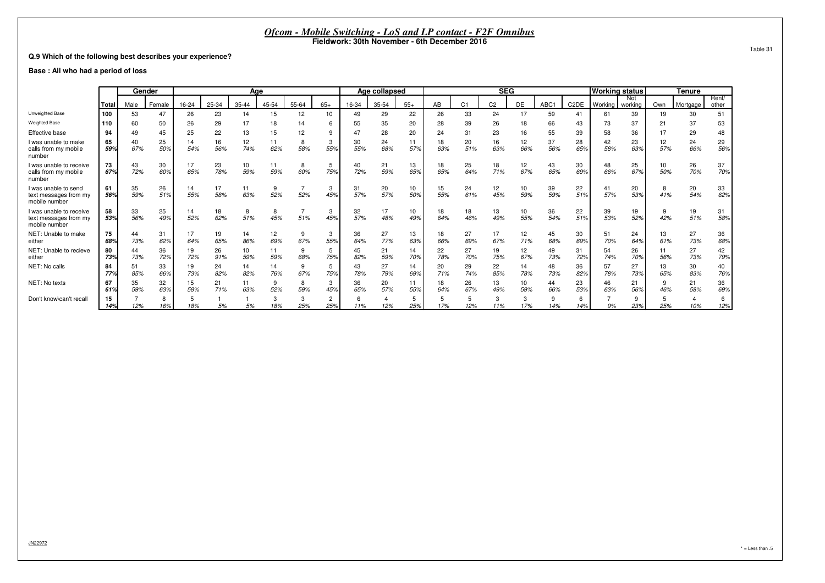#### **Q.9 Which of the following best describes your experience?**

#### **Base : All who had a period of loss**

|                                                                   |           |           | Gender    |           |           | Age       |           |          |                 |           | Age collapsed |           |           |                | <b>SEG</b>     |           |           |                   | <b>Working status</b> |                |           | <b>Tenure</b> |                |
|-------------------------------------------------------------------|-----------|-----------|-----------|-----------|-----------|-----------|-----------|----------|-----------------|-----------|---------------|-----------|-----------|----------------|----------------|-----------|-----------|-------------------|-----------------------|----------------|-----------|---------------|----------------|
|                                                                   | Total     | Male      | Female    | 16-24     | 25-34     | 35-44     | 45-54     | 55-64    | $65+$           | 16-34     | 35-54         | $55+$     | AB        | C <sub>1</sub> | C <sub>2</sub> | DE        | ABC1      | C <sub>2</sub> DE | Working               | Not<br>working | Own       | Mortgage      | Rent/<br>other |
| Unweighted Base                                                   | 100       | 53        | 47        | 26        | 23        | 14        | 15        | 12       | 10 <sup>1</sup> | 49        | 29            | 22        | 26        | 33             | 24             | 17        | 59        | 41                | 61                    | 39             | 19        | 30            | 51             |
| <b>Weighted Base</b>                                              | 110       | 60        | 50        | 26        | 29        | 17        | 18        | 14       | 6               | 55        | 35            | 20        | 28        | 39             | 26             | 18        | 66        | 43                | 73                    | 37             | 21        | 37            | 53             |
| Effective base                                                    | 94        | 49        | 45        |           | 22        |           | 15        |          | 9               |           | 28            | 20        | 24        | 31             | 23             |           |           | 39                | 58                    | 36             |           | 29            | 48             |
| I was unable to make<br>calls from my mobile<br>number            | 65<br>59% | 40<br>67% | 25<br>50% | 14<br>54% | 16<br>56% | 12<br>74% | 11<br>62% | 58%      | 3<br>55%        | 30<br>55% | 24<br>68%     | 57%       | 18<br>63% | 20<br>51%      | 16<br>63%      | 12<br>66% | 37<br>56% | 28<br>65%         | 42<br>58%             | 23<br>63%      | 12<br>57% | 24<br>66%     | 29<br>56%      |
| I was unable to receive<br>calls from my mobile<br>number         | 73<br>67% | 43<br>72% | 30<br>60% | 17<br>65% | 23<br>78% | 10<br>59% | 11<br>59% | 8<br>60% | 5<br>75%        | 40<br>72% | 21<br>59%     | 13<br>65% | 18<br>65% | 25<br>64%      | 18<br>71%      | 12<br>67% | 43<br>65% | 30<br>69%         | 48<br>66%             | 25<br>67%      | 10<br>50% | 26<br>70%     | 37<br>70%      |
| I was unable to send<br>text messages from my<br>mobile number    | 61<br>56% | 35<br>59% | 26<br>51% | 14<br>55% | 17<br>58% | 11<br>63% | 9<br>52%  | 52%      | 3<br>45%        | 31<br>57% | 20<br>57%     | 10<br>50% | 15<br>55% | 24<br>61%      | 12<br>45%      | 10<br>59% | 39<br>59% | 22<br>51%         | 41<br>57%             | 20<br>53%      | 41%       | 20<br>54%     | 33<br>62%      |
| I was unable to receive<br>text messages from my<br>mobile number | 58<br>53% | 33<br>56% | 25<br>49% | 14<br>52% | 18<br>62% | 51%       | 8<br>45%  | 51%      | 3<br>45%        | 32<br>57% | 17<br>48%     | 10<br>49% | 18<br>64% | 18<br>46%      | 13<br>49%      | 10<br>55% | 36<br>54% | 22<br>51%         | 39<br>53%             | 19<br>52%      | 42%       | 19<br>51%     | 31<br>58%      |
| NET: Unable to make<br>either                                     | 75<br>68% | 44<br>73% | 31<br>62% | 17<br>64% | 19<br>65% | 14<br>86% | 12<br>69% | 67%      | 3<br>55%        | 36<br>64% | 27<br>77%     | 13<br>63% | 18<br>66% | 27<br>69%      | 17<br>67%      | 12<br>71% | 45<br>68% | 30<br>69%         | 51<br>70%             | 24<br>64%      | 13<br>61% | 27<br>73%     | 36<br>68%      |
| NET: Unable to recieve<br>either                                  | 80<br>73% | 44<br>73% | 36<br>72% | 19<br>72% | 26<br>91% | 10<br>59% | 11<br>59% | 9<br>68% | 5<br>75%        | 45<br>82% | 21<br>59%     | 14<br>70% | 22<br>78% | 27<br>70%      | 19<br>75%      | 12<br>67% | 49<br>73% | 31<br>72%         | 54<br>74%             | 26<br>70%      | 11<br>56% | 27<br>73%     | 42<br>79%      |
| NET: No calls                                                     | 84<br>77% | 51<br>85% | 33<br>66% | 19<br>73% | 24<br>82% | 14<br>82% | 14<br>76% | 9<br>67% | 5<br>75%        | 43<br>78% | 27<br>79%     | 14<br>69% | 20<br>71% | 29<br>74%      | 22<br>85%      | 14<br>78% | 48<br>73% | 36<br>82%         | 57<br>78%             | 27<br>73%      | 13<br>65% | 30<br>83%     | 40<br>76%      |
| NET: No texts                                                     | 67<br>61% | 35<br>59% | 32<br>63% | 15<br>58% | 21<br>71% | 11<br>63% | 9<br>52%  | 8<br>59% | 3<br>45%        | 36<br>65% | 20<br>57%     | 11<br>55% | 18<br>64% | 26<br>67%      | 13<br>49%      | 10<br>59% | 44<br>66% | 23<br>53%         | 46<br>63%             | 21<br>56%      | 9<br>46%  | 21<br>58%     | 36<br>69%      |
| Don't know\can't recall                                           | 15<br>14% | 12%       | 8<br>16%  | 18%       | 5%        | 5%        | 18%       | 25%      | 2<br>25%        | 11%       | 12%           | 25%       | 5<br>17%  | 12%            | 3<br>11%       | 17%       | 14%       | 14%               | 9%                    | 9<br>23%       | 25%       | 10%           | 6<br>12%       |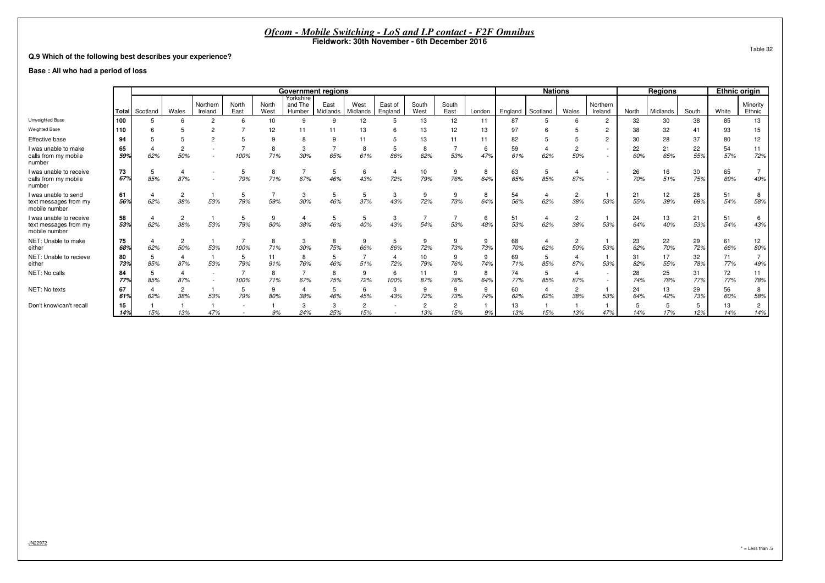#### **Q.9 Which of the following best describes your experience?**

#### **Base : All who had a period of loss**

|                                                                   |           |          |                       |                     |               |               | <b>Government regions</b>      |                  |                  |                    |                       |               |          |           | <b>Nations</b>        |                       |                                    |           | Regions   |           | <b>Ethnic origin</b> |                        |
|-------------------------------------------------------------------|-----------|----------|-----------------------|---------------------|---------------|---------------|--------------------------------|------------------|------------------|--------------------|-----------------------|---------------|----------|-----------|-----------------------|-----------------------|------------------------------------|-----------|-----------|-----------|----------------------|------------------------|
|                                                                   | Total     | Scotland | Wales                 | Northern<br>Ireland | North<br>East | North<br>West | Yorkshire<br>and The<br>Humber | East<br>Midlands | West<br>Midlands | East of<br>England | South<br>West         | South<br>East | London   | England   | Scotland              | Wales                 | Northern<br>Ireland                | North     | Midlands  | South     | White                | Minority<br>Ethnic     |
| Unweighted Base                                                   | 100       |          |                       | $\overline{2}$      |               | 10            | 9                              |                  | 12               |                    | 13                    | 12            | 11       | 87        | 5                     |                       | $\overline{2}$                     | 32        | 30        | 38        | 85                   | 13                     |
| <b>Weighted Base</b>                                              | 110       |          |                       |                     |               |               |                                |                  |                  |                    | 13                    | 12            | 13       |           |                       |                       | $\overline{2}$                     | 38        | 32        | 41        | 93                   | 15                     |
| Effective base                                                    | 94        |          |                       | $\sim$              |               |               |                                |                  |                  |                    | 13                    | 11            | 11       |           |                       |                       | $\overline{2}$                     | 30        | 28        | 37        | 80                   | 12                     |
| I was unable to make<br>calls from my mobile<br>number            | 65<br>59% | 62%      | 50%                   |                     | 100%          | 71%           | 3<br>30%                       | 65%              | 8<br>61%         | 86%                | 8<br>62%              | 53%           | 6<br>47% | 59<br>61% | 62%                   | 50%                   | ٠<br>٠                             | 22<br>60% | 21<br>65% | 22<br>55% | 54<br>57%            | 11<br>72%              |
| I was unable to receive<br>calls from my mobile<br>number         | 73<br>67% | 85%      | 87%                   |                     | 79%           | 71%           | 67%                            | 46%              | 6<br>43%         | 72%                | 10<br>79%             | 76%           | 8<br>64% | 63<br>65% | 5<br>85%              | 87%                   | $\sim$<br>$\overline{\phantom{a}}$ | 26<br>70% | 16<br>51% | 30<br>75% | 65<br>69%            | 49%                    |
| I was unable to send<br>text messages from my<br>mobile number    | 61<br>56% | 62%      | $\overline{2}$<br>38% | 53%                 | 79%           | 59%           | 3<br>30%                       | 46%              | 5<br>37%         | 3<br>43%           | 9<br>72%              | 73%           | 8<br>64% | 54<br>56% | $\overline{4}$<br>62% | 38%                   | 53%                                | 21<br>55% | 12<br>39% | 28<br>69% | 51<br>54%            | 8<br>58%               |
| I was unable to receive<br>text messages from my<br>mobile number | 58<br>53% | 62%      | $\overline{c}$<br>38% | 53%                 | 79%           | 80%           | 38%                            | 46%              | 40%              | 3<br>43%           | 54%                   | 53%           | 6<br>48% | 51<br>53% | 4<br>62%              | 38%                   | 53%                                | 24<br>64% | 13<br>40% | 21<br>53% | 51<br>54%            | 6<br>43%               |
| NET: Unable to make<br>either                                     | 75<br>68% | 62%      | $\overline{c}$<br>50% | 53%                 | 100%          | 71%           | 3<br>30%                       | 8<br>75%         | 9<br>66%         | 5<br>86%           | 9<br>72%              | 73%           | 9<br>73% | 68<br>70% | 4<br>62%              | 50%                   | 53%                                | 23<br>62% | 22<br>70% | 29<br>72% | 61<br>66%            | 12 <sup>2</sup><br>80% |
| NET: Unable to recieve<br>either                                  | 80<br>73% | 85%      | 87%                   | 53%                 | 5<br>79%      | 11<br>91%     | 8<br>76%                       | 5<br>46%         | 51%              | 72%                | 10<br>79%             | 9<br>76%      | 9<br>74% | 69<br>71% | 5<br>85%              | 87%                   | 53%                                | 31<br>82% | 17<br>55% | 32<br>78% | 71<br>77%            | 49%                    |
| NET: No calls                                                     | 84<br>77% | 85%      | 87%                   |                     | 100%          | 71%           | 67%                            | 8<br>75%         | 9<br>72%         | 6<br>100%          | 11<br>87%             | 76%           | 8<br>64% | 74<br>77% | 5<br>85%              | 87%                   | $\overline{\phantom{a}}$           | 28<br>74% | 25<br>78% | 31<br>77% | 72<br>77%            | 11<br>78%              |
| NET: No texts                                                     | 67<br>619 | 62%      | $\overline{2}$<br>38% | 53%                 | 5<br>79%      | 80%           | 4<br>38%                       | b.<br>46%        | 6<br>45%         | 3<br>43%           | 9<br>72%              | 9<br>73%      | 9<br>74% | 60<br>62% | $\overline{4}$<br>62% | $\overline{2}$<br>38% | 53%                                | 24<br>64% | 13<br>42% | 29<br>73% | 56<br>60%            | 8<br>58%               |
| Don't know\can't recall                                           | 15<br>14% | 15%      | 13%                   | 47%                 |               | 9%            | 3<br>24%                       | 25%              | 2<br>15%         |                    | $\overline{2}$<br>13% | 15%           | 9%       | 13<br>13% | 15%                   | 13%                   | 47%                                | 14%       | 17%       | 5<br>12%  | 13<br>14%            | 2<br>14%               |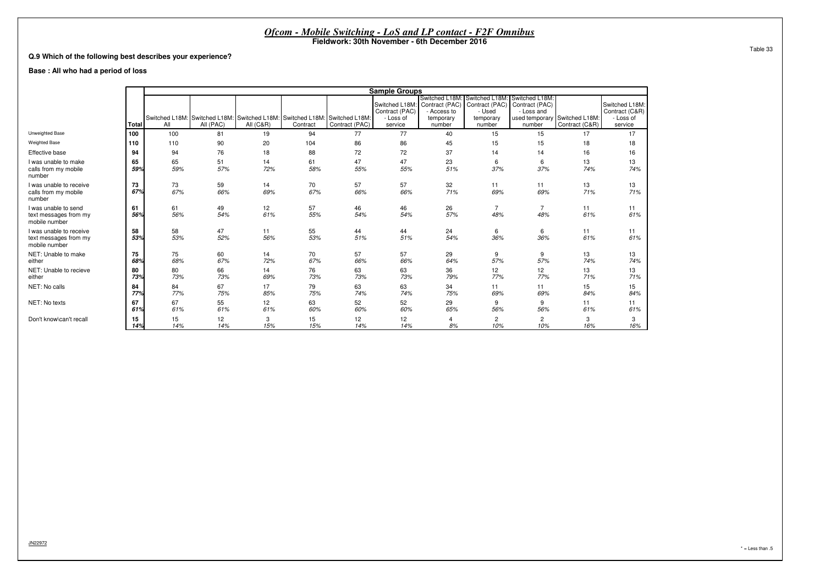#### **Q.9 Which of the following best describes your experience?**

#### **Base : All who had a period of loss**

|                                                                   |           |           |           |                      |                                                                                        |                | <b>Sample Groups</b>                                     |                                                                        |                                                                   |                                                                                           |                |                                                          |
|-------------------------------------------------------------------|-----------|-----------|-----------|----------------------|----------------------------------------------------------------------------------------|----------------|----------------------------------------------------------|------------------------------------------------------------------------|-------------------------------------------------------------------|-------------------------------------------------------------------------------------------|----------------|----------------------------------------------------------|
|                                                                   | Total     | All       | All (PAC) | <b>All (C&amp;R)</b> | Switched L18M: Switched L18M: Switched L18M: Switched L18M: Switched L18M:<br>Contract | Contract (PAC) | Switched L18M:<br>Contract (PAC)<br>- Loss of<br>service | Switched L18M:<br>Contract (PAC)<br>- Access to<br>temporary<br>number | Switched L18M:<br>Contract (PAC)<br>- Used<br>temporary<br>number | Switched L18M:<br>Contract (PAC)<br>- Loss and<br>used temporary Switched L18M:<br>number | Contract (C&R) | Switched L18M:<br>Contract (C&R)<br>- Loss of<br>service |
| Unweighted Base                                                   | 100       | 100       | 81        | 19                   | 94                                                                                     | 77             | 77                                                       | 40                                                                     | 15                                                                | 15                                                                                        | 17             | 17                                                       |
| <b>Weighted Base</b>                                              | 110       | 110       | 90        | 20                   | 104                                                                                    | 86             | 86                                                       | 45                                                                     | 15                                                                | 15                                                                                        | 18             | 18                                                       |
| Effective base                                                    | 94        | 94        | 76        | 18                   | 88                                                                                     | 72             | 72                                                       | 37                                                                     | 14                                                                | 14                                                                                        | 16             | 16                                                       |
| I was unable to make<br>calls from my mobile<br>number            | 65<br>59% | 65<br>59% | 51<br>57% | 14<br>72%            | 61<br>58%                                                                              | 47<br>55%      | 47<br>55%                                                | 23<br>51%                                                              | 6<br>37%                                                          | 6<br>37%                                                                                  | 13<br>74%      | 13<br>74%                                                |
| I was unable to receive<br>calls from my mobile<br>number         | 73<br>67% | 73<br>67% | 59<br>66% | 14<br>69%            | 70<br>67%                                                                              | 57<br>66%      | 57<br>66%                                                | 32<br>71%                                                              | 11<br>69%                                                         | 11<br>69%                                                                                 | 13<br>71%      | 13<br>71%                                                |
| I was unable to send<br>text messages from my<br>mobile number    | 61<br>56% | 61<br>56% | 49<br>54% | 12<br>61%            | 57<br>55%                                                                              | 46<br>54%      | 46<br>54%                                                | 26<br>57%                                                              | $\overline{7}$<br>48%                                             | $\overline{7}$<br>48%                                                                     | 11<br>61%      | 11<br>61%                                                |
| I was unable to receive<br>text messages from my<br>mobile number | 58<br>53% | 58<br>53% | 47<br>52% | 11<br>56%            | 55<br>53%                                                                              | 44<br>51%      | 44<br>51%                                                | 24<br>54%                                                              | 6<br>36%                                                          | 6<br>36%                                                                                  | 11<br>61%      | 11<br>61%                                                |
| NET: Unable to make<br>either                                     | 75<br>68% | 75<br>68% | 60<br>67% | 14<br>72%            | 70<br>67%                                                                              | 57<br>66%      | 57<br>66%                                                | 29<br>64%                                                              | 9<br>57%                                                          | 9<br>57%                                                                                  | 13<br>74%      | 13<br>74%                                                |
| NET: Unable to recieve<br>either                                  | 80<br>73% | 80<br>73% | 66<br>73% | 14<br>69%            | 76<br>73%                                                                              | 63<br>73%      | 63<br>73%                                                | 36<br>79%                                                              | 12<br>77%                                                         | 12<br>77%                                                                                 | 13<br>71%      | 13<br>71%                                                |
| NET: No calls                                                     | 84<br>77% | 84<br>77% | 67<br>75% | 17<br>85%            | 79<br>75%                                                                              | 63<br>74%      | 63<br>74%                                                | 34<br>75%                                                              | 11<br>69%                                                         | 11<br>69%                                                                                 | 15<br>84%      | 15<br>84%                                                |
| NET: No texts                                                     | 67<br>61% | 67<br>61% | 55<br>61% | 12<br>61%            | 63<br>60%                                                                              | 52<br>60%      | 52<br>60%                                                | 29<br>65%                                                              | 9<br>56%                                                          | 9<br>56%                                                                                  | 11<br>61%      | 11<br>61%                                                |
| Don't know\can't recall                                           | 15<br>14% | 15<br>14% | 12<br>14% | 3<br>15%             | 15<br>15%                                                                              | 12<br>14%      | 12<br>14%                                                | 8%                                                                     | 2<br>10%                                                          | $\overline{2}$<br>10%                                                                     | 3<br>16%       | 3<br>16%                                                 |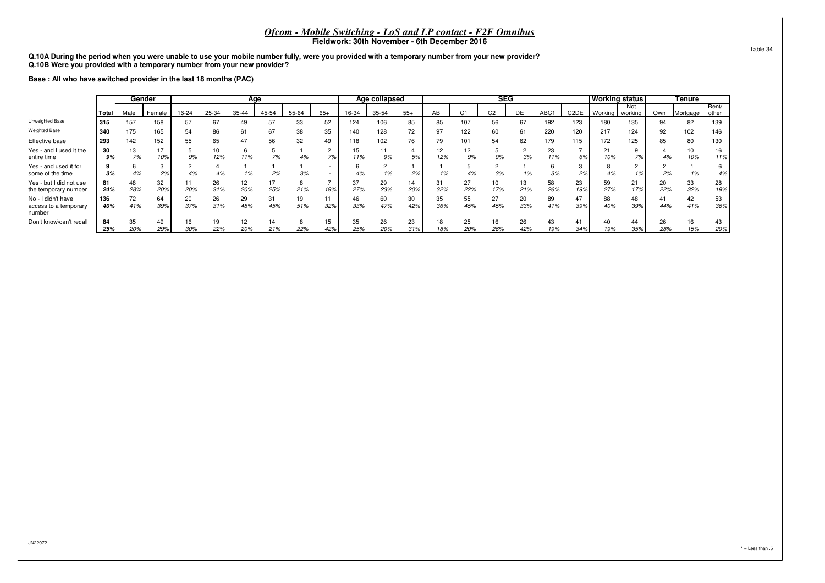**Q.10A During the period when you were unable to use your mobile number fully, were you provided with a temporary number from your new provider?Q.10B Were you provided with a temporary number from your new provider?**

**Base : All who have switched provider in the last 18 months (PAC)**

|                                                       |            |           | Gender    |           |           |                        | Age       |           |           |           | Age collapsed |           |           |           | <b>SEG</b>     |           |           |                   | <b>Working status</b> |           |           | <b>Tenure</b> |                |
|-------------------------------------------------------|------------|-----------|-----------|-----------|-----------|------------------------|-----------|-----------|-----------|-----------|---------------|-----------|-----------|-----------|----------------|-----------|-----------|-------------------|-----------------------|-----------|-----------|---------------|----------------|
|                                                       | Total      | Male      | Female    | 16-24     | 25-34     | 35-44                  | 45-54     | 55-64     | $65+$     | 16-34     | 35-54         | $55+$     | AB        | C1        | C <sub>2</sub> | DE        | ABC1      | C <sub>2</sub> DE | Working   working     | Not       | Own       | Mortgage      | Rent/<br>other |
| Unweighted Base                                       | 315        | 157       | 158       | 57        | 67        | 49                     | 57        | 33        | 52        | 124       | 106           | 85        | 85        | 107       | 56             | 67        | 192       | 123               | 180                   | 135       | 94        | 82            | 139            |
| <b>Weighted Base</b>                                  | 340        | 175       | 165       | 54        | 86        | 61                     | 67        | 38        | 35        | 140       | 128           | 72        | 97        | 122       | 60             | 61        | 220       | 120               | 217                   | 124       | 92        | 102           | 146            |
| Effective base                                        | 293        | 142       | 152       | 55        | 65        | 47                     | 56        | 32        | 49        | 118       | 102           | 76        | 79        | 101       | 54             | 62        | 179       | 115               | 172                   | 125       | 85        | 80            | 130            |
| Yes - and I used it the<br>entire time                | 30<br>9%   | 13<br>7%  | 17<br>10% | 9%        | 10<br>12% | 11%                    | 7%        | 4%        | 7%        | 15<br>11% | 11<br>9%      | 5%        | 12<br>12% | 9%        | 9%             | 3%        | 23<br>11% | 6%                | 21<br>10%             | 7%        | 4%        | 10%           | 16<br>11%      |
| Yes - and used it for<br>some of the time             | 3%         | 4%        | 2%        | 4%        | 4%        | 1%                     | 2%        | 3%        |           | 4%        | 1%            | 2%        | 1%        | 4%        | 3%             | 1%        | 3%        | 2%                | 4%                    | 1%        | 2%        | 1%            | 6<br>4%        |
| Yes - but I did not use<br>the temporary number       | 81<br>24%  | 48<br>28% | 32<br>20% | 11<br>20% | 26<br>31% | 12 <sup>2</sup><br>20% | 17<br>25% | 21%       | 19%       | 37<br>27% | 29<br>23%     | 14<br>20% | 31<br>32% | 27<br>22% | 10<br>17%      | 13<br>21% | 58<br>26% | 23<br>19%         | 59<br>27%             | 21<br>17% | 20<br>22% | 33<br>32%     | 28<br>19%      |
| No - I didn't have<br>access to a temporary<br>number | 136<br>40% | 72<br>41% | 64<br>39% | 20<br>37% | 26<br>31% | 29<br>48%              | 31<br>45% | 19<br>51% | 11<br>32% | 46<br>33% | 60<br>47%     | 30<br>42% | 35<br>36% | 55<br>45% | 27<br>45%      | 20<br>33% | 89<br>41% | 39%               | 88<br>40%             | 48<br>39% | 41<br>44% | 42<br>41%     | 53<br>36%      |
| Don't know\can't recall                               | 84<br>25%  | 35<br>20% | 49<br>29% | 16<br>30% | 19<br>22% | 12<br>20%              | 14<br>21% | 22%       | 15<br>42% | 35<br>25% | 26<br>20%     | 23<br>31% | 18<br>18% | 25<br>20% | 16<br>26%      | 26<br>42% | 43<br>19% | 34%               | 40<br>19%             | 44<br>35% | 26<br>28% | 15%           | 43<br>29%      |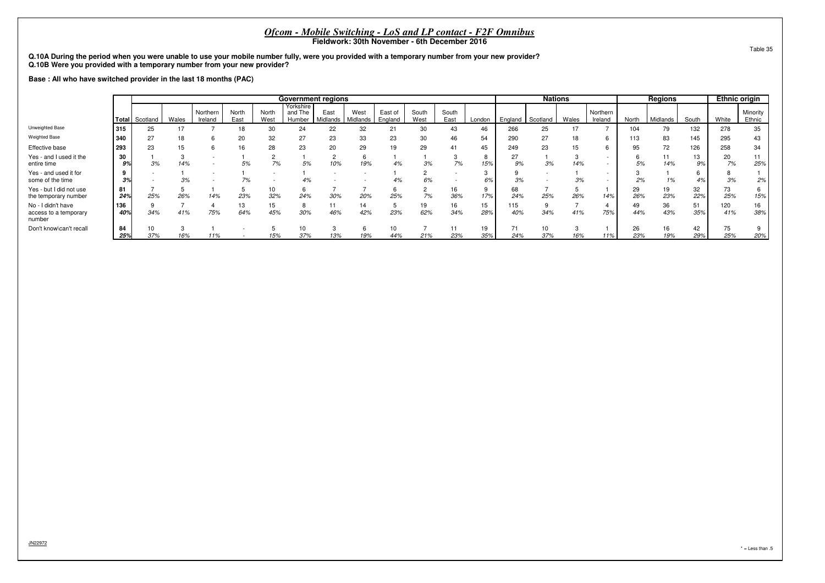**Q.10A During the period when you were unable to use your mobile number fully, were you provided with a temporary number from your new provider?Q.10B Were you provided with a temporary number from your new provider?**

**Base : All who have switched provider in the last 18 months (PAC)**

|                                                       |            |           |       |                     |               |               | <b>Government regions</b>      |                  |                  |                    |               |               |           |            | <b>Nations</b> |       |                     |           | <b>Regions</b> |           | <b>Ethnic origin</b> |                    |
|-------------------------------------------------------|------------|-----------|-------|---------------------|---------------|---------------|--------------------------------|------------------|------------------|--------------------|---------------|---------------|-----------|------------|----------------|-------|---------------------|-----------|----------------|-----------|----------------------|--------------------|
|                                                       | Total      | Scotland  | Wales | Northern<br>Ireland | North<br>East | North<br>West | Yorkshire<br>and The<br>Humber | East<br>Midlands | West<br>Midlands | East of<br>England | South<br>West | South<br>East | London    | England    | Scotland       | Wales | Northern<br>Ireland | North     | Midlands       | South     | White                | Minority<br>Ethnic |
| Unweighted Base                                       | 315        | 25        |       |                     |               | 30            | 24                             | 22               | 32               | 21                 | 30            | 43            | 46        | 266        | 25             |       |                     | 104       | 79             | 132       | 278                  | 35                 |
| <b>Weighted Base</b>                                  | 340        | 27        |       | h.                  | 20            | 32            | 27                             | 23               | 33               | 23                 | 30            | 46            | 54        | 290        | 27             | 18    | 6                   | 113       | 83             | 145       | 295                  | 43                 |
| Effective base                                        | l 293      | 23        |       |                     | 16            | 28            | 23                             | 20               | 29               | 19                 | 29            | 41            | 45        | 249        | 23             |       |                     | 95        | 72             | 126       | 258                  | 34                 |
| Yes - and I used it the<br>entire time                | 30<br>9%   | 3%        | 14%   |                     | 5%            | 7%            | 5%                             |                  | 19%              |                    | 3%            | 7%            | 8<br>15%  | 27<br>9%   | 3%             | 14%   |                     | 5%        | 11<br>14%      | 13<br>9%  | 20<br>7%             | 11<br>25%          |
| Yes - and used it for<br>some of the time             | 3%         |           | 3%    |                     | 7%            |               | 4%                             |                  |                  |                    | 6%            |               | 3<br>6%   | 3%         |                |       |                     | 2%        | 1%             | 4%        | 3%                   | 2%                 |
| Yes - but I did not use<br>the temporary number       | 81<br>24%  | 25%       | 26%   | 14%                 | 23%           | 10<br>32%     | 24%                            | 30%              | 20%              | 25%                | 7%            | 16<br>36%     | 9<br>17%  | 68<br>24%  | 25%            | 26%   | 14%                 | 29<br>26% | 19<br>23%      | 32<br>22% | 73<br>25%            | 15%                |
| No - I didn't have<br>access to a temporary<br>number | 136<br>40% | 34%       | 41%   | 75%                 | 13<br>64%     | 15<br>45%     | 8<br>30%                       | 11<br>46%        | 14<br>42%        | 23%                | 19<br>62%     | 16<br>34%     | 15<br>28% | 115<br>40% | 9<br>34%       | 41%   | 75%                 | 49<br>44% | 36<br>43%      | 51<br>35% | 120<br>41%           | 16<br>38%          |
| Don't know\can't recall                               | 84<br>25%  | 10<br>37% | 16%   | 11%                 |               | 15%           | 10<br>37%                      | 13%              | 19%              | 10<br>44%          | 21%           | 11<br>23%     | 19<br>35% | 71<br>24%  | 10<br>37%      | 16%   | 11%                 | 26<br>23% | 16<br>19%      | 42<br>29% | 75<br>25%            | 20%                |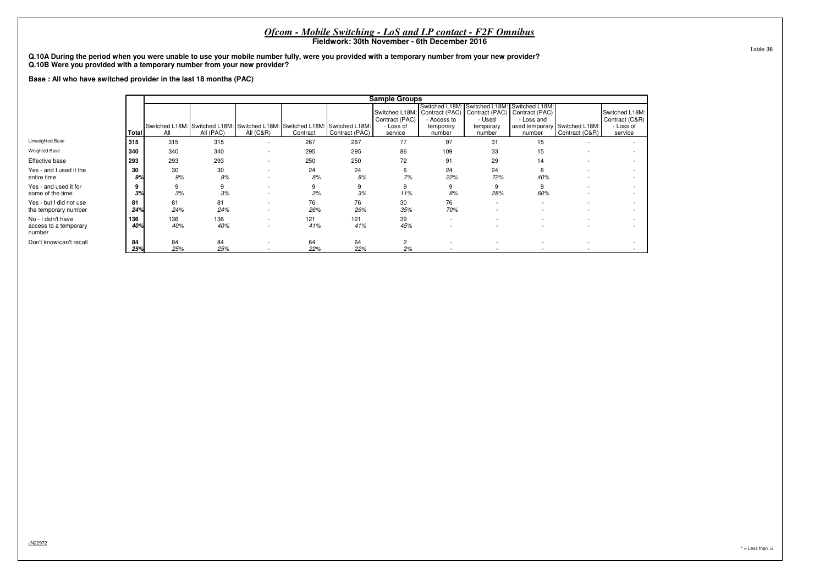|                                                                                                                                                                                                                            |           |            |                                                                                         |                          |            |                | <i>Ofcom - Mobile Switching - LoS and LP contact - F2F Omnibus</i><br>Fieldwork: 30th November - 6th December 2016 |                                    |                                                                                                                    |                                                                         |                |                                                          |
|----------------------------------------------------------------------------------------------------------------------------------------------------------------------------------------------------------------------------|-----------|------------|-----------------------------------------------------------------------------------------|--------------------------|------------|----------------|--------------------------------------------------------------------------------------------------------------------|------------------------------------|--------------------------------------------------------------------------------------------------------------------|-------------------------------------------------------------------------|----------------|----------------------------------------------------------|
| Q.10A During the period when you were unable to use your mobile number fully, were you provided with a temporary number from your new provider?<br>Q.10B Were you provided with a temporary number from your new provider? |           |            |                                                                                         |                          |            |                |                                                                                                                    |                                    |                                                                                                                    |                                                                         |                |                                                          |
| Base: All who have switched provider in the last 18 months (PAC)                                                                                                                                                           |           |            |                                                                                         |                          |            |                |                                                                                                                    |                                    |                                                                                                                    |                                                                         |                |                                                          |
|                                                                                                                                                                                                                            |           |            |                                                                                         |                          |            |                | <b>Sample Groups</b>                                                                                               |                                    |                                                                                                                    |                                                                         |                |                                                          |
|                                                                                                                                                                                                                            | l Total   | All        | Switched L18M: Switched L18M: Switched L18M: Switched L18M: Switched L18M:<br>All (PAC) | All $(C&R)$              | Contract   | Contract (PAC) | Switched L18M:<br>Contract (PAC)<br>- Loss of<br>service                                                           | - Access to<br>temporary<br>number | Switched L18M: Switched L18M:<br>Contract (PAC)   Contract (PAC)   Contract (PAC)<br>- Used<br>temporary<br>number | Switched L18M:<br>- Loss and<br>used temporary Switched L18M:<br>number | Contract (C&R) | Switched L18M:<br>Contract (C&R)<br>- Loss of<br>service |
| Unweighted Base                                                                                                                                                                                                            | 315       | 315        | 315                                                                                     | $\overline{\phantom{a}}$ | 267        | 267            | 77                                                                                                                 | 97                                 | 31                                                                                                                 | 15                                                                      |                |                                                          |
| <b>Weighted Base</b>                                                                                                                                                                                                       | 340       | 340        | 340                                                                                     | $\overline{\phantom{a}}$ | 295        | 295            | 86                                                                                                                 | 109                                | 33                                                                                                                 | 15                                                                      |                |                                                          |
| Effective base                                                                                                                                                                                                             | 293       | 293        | 293                                                                                     |                          | 250        | 250            | 72                                                                                                                 | 91                                 | 29                                                                                                                 | 14                                                                      |                |                                                          |
| Yes - and I used it the<br>entire time                                                                                                                                                                                     | 30<br>9%  | 30<br>9%   | 30<br>9%                                                                                |                          | 24<br>8%   | 24<br>8%       | 6<br>7%                                                                                                            | 24<br>22%                          | 24<br>72%                                                                                                          | 40%                                                                     |                | $\overline{\phantom{a}}$                                 |
| Yes - and used it for<br>some of the time                                                                                                                                                                                  | 3%        | 9<br>3%    | 3%                                                                                      |                          | 3%         | 3%             | 9<br>11%                                                                                                           | 9<br>8%                            | 28%                                                                                                                | 60%                                                                     |                |                                                          |
| Yes - but I did not use<br>the temporary number                                                                                                                                                                            | 81<br>24% | 81<br>24%  | 81<br>24%                                                                               | $\overline{\phantom{a}}$ | 76<br>26%  | 76<br>26%      | 30<br>35%                                                                                                          | 76<br>70%                          |                                                                                                                    |                                                                         |                |                                                          |
| No - I didn't have<br>access to a temporary<br>number                                                                                                                                                                      | 36<br>40% | 136<br>40% | 136<br>40%                                                                              | $\sim$<br>$\sim$         | 121<br>41% | 121<br>41%     | 39<br>45%                                                                                                          |                                    |                                                                                                                    |                                                                         | $\sim$         |                                                          |
| Don't know\can't recall                                                                                                                                                                                                    | 84<br>25% | 84<br>25%  | 84<br>25%                                                                               | $\sim$                   | 64<br>22%  | 64<br>22%      | 2<br>2%                                                                                                            |                                    |                                                                                                                    |                                                                         |                |                                                          |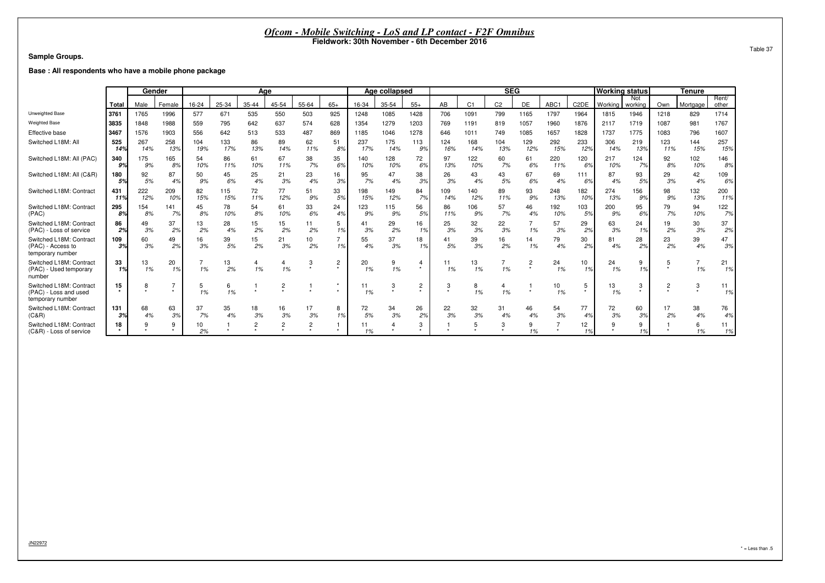**Sample Groups.**

**Base : All respondents who have a mobile phone package**

|                                                                      |                 | Gender     |            |            |            | Age       |           |                |          |            | Age collapsed |                |            |                | <b>SEG</b>     |            |                  |                   | <b>Working status</b> |                       |            | Tenure     |                |
|----------------------------------------------------------------------|-----------------|------------|------------|------------|------------|-----------|-----------|----------------|----------|------------|---------------|----------------|------------|----------------|----------------|------------|------------------|-------------------|-----------------------|-----------------------|------------|------------|----------------|
|                                                                      | Total           | Male       | Female     | 16-24      | 25-34      | 35-44     | 45-54     | 55-64          | $65+$    | 16-34      | 35-54         | $55+$          | AB         | C <sub>1</sub> | C <sub>2</sub> | DE         | ABC <sub>1</sub> | C <sub>2</sub> DE | Working               | <b>Not</b><br>working | Own        | Mortgage   | Rent/<br>other |
| Unweighted Base                                                      | 3761            | 1765       | 1996       | 577        | 671        | 535       | 550       | 503            | 925      | 1248       | 1085          | 1428           | 706        | 1091           | 799            | 1165       | 1797             | 1964              | 1815                  | 1946                  | 1218       | 829        | 1714           |
| <b>Weighted Base</b>                                                 | 3835            | 1848       | 1988       | 559        | 795        | 642       | 637       | 574            | 628      | 1354       | 1279          | 1203           | 769        | 1191           | 819            | 1057       | 1960             | 1876              | 2117                  | 1719                  | 1087       | 981        | 1767           |
| Effective base                                                       | 3467            | 1576       | 1903       | 556        | 642        | 513       | 533       | 487            | 869      | 1185       | 1046          | 1278           | 646        | 1011           | 749            | 1085       | 1657             | 1828              | 1737                  | 1775                  | 1083       | 796        | 1607           |
| Switched L18M: All                                                   | 525<br>149      | 267<br>14% | 258<br>13% | 104<br>19% | 133<br>17% | 86<br>13% | 89<br>14% | 62<br>11%      | 51<br>89 | 237<br>17% | 175<br>14%    | 113<br>9%      | 124<br>16% | 168<br>14%     | 104<br>13%     | 129<br>12% | 292<br>15%       | 233<br>12%        | 306<br>14%            | 219<br>13%            | 123<br>11% | 144<br>15% | 257<br>15%     |
| Switched L18M: All (PAC)                                             | 340<br>9%       | 175<br>9%  | 165<br>8%  | 54<br>10%  | 86<br>11%  | 61<br>10% | 67<br>11% | 38<br>7%       | 35<br>6% | 140<br>10% | 128<br>10%    | 72<br>6%       | 97<br>13%  | 122<br>10%     | 60<br>7%       | 61<br>6%   | 220<br>11%       | 120<br>6%         | 217<br>10%            | 124<br>7%             | 92<br>8%   | 102<br>10% | 146<br>8%      |
| Switched L18M: All (C&R)                                             | 180<br>5%       | 92<br>5%   | 87<br>4%   | 50<br>9%   | 45<br>6%   | 25<br>4%  | 21<br>3%  | 23<br>4%       | 16<br>3% | 95<br>7%   | 47<br>4%      | 38<br>3%       | 26<br>3%   | 43<br>4%       | 43<br>5%       | 67<br>6%   | 69<br>4%         | 111<br>6%         | 87<br>4%              | 93<br>5%              | 29<br>3%   | 42<br>4%   | 109<br>6%      |
| Switched L18M: Contract                                              | 431<br>11%      | 222<br>12% | 209<br>10% | 82<br>15%  | 115<br>15% | 72<br>11% | 77<br>12% | 51<br>9%       | 33<br>5% | 198<br>15% | 149<br>12%    | 84<br>7%       | 109<br>14% | 140<br>12%     | 89<br>11%      | 93<br>9%   | 248<br>13%       | 182<br>10%        | 274<br>13%            | 156<br>9%             | 98<br>9%   | 132<br>13% | 200<br>11%     |
| Switched L18M: Contract<br>(PAC)                                     | 295<br>8%       | 154<br>8%  | 141<br>7%  | 45<br>8%   | 78<br>10%  | 54<br>8%  | 61<br>10% | 33<br>6%       | 24<br>4% | 123<br>9%  | 115<br>9%     | 56<br>5%       | 86<br>11%  | 106<br>9%      | 57<br>7%       | 46<br>4%   | 192<br>10%       | 103<br>5%         | 200<br>9%             | 95<br>6%              | 79<br>7%   | 94<br>10%  | 122<br>7%      |
| Switched L18M: Contract<br>(PAC) - Loss of service                   | 86<br>2%        | 49<br>3%   | 37<br>2%   | 13<br>2%   | 28<br>4%   | 15<br>2%  | 15<br>2%  | 11<br>2%       | 5<br>1%  | 41<br>3%   | 29<br>2%      | 16<br>1%       | 25<br>3%   | 32<br>3%       | 22<br>3%       | 1%         | 57<br>3%         | 29<br>2%          | 63<br>3%              | 24<br>1%              | 19<br>2%   | 30<br>3%   | 37<br>2%       |
| Switched L18M: Contract<br>(PAC) - Access to<br>temporary number     | 109<br>3%       | 60<br>3%   | 49<br>2%   | 16<br>3%   | 39<br>5%   | 15<br>2%  | 21<br>3%  | 10<br>2%       | 1%       | 55<br>4%   | 37<br>3%      | 18<br>1%       | 41<br>5%   | 39<br>3%       | 16<br>2%       | 14<br>1%   | 79<br>4%         | 30<br>2%          | 81<br>4%              | 28<br>2%              | 23<br>2%   | 39<br>4%   | 47<br>3%       |
| Switched L18M: Contract<br>(PAC) - Used temporary<br>number          | 33<br>1%        | 13<br>1%   | 20<br>1%   | 1%         | 13<br>2%   | 4<br>1%   | 1%        | 3              | 2        | 20<br>1%   | 9<br>1%       | $\star$        | 11<br>1%   | 13<br>1%       | 1%             |            | 24<br>1%         | 10<br>1%          | 24<br>1%              | 9<br>1%               |            | 1%         | 21<br>1%       |
| Switched L18M: Contract<br>(PAC) - Loss and used<br>temporary number | 15<br>$\ddot{}$ | ਨ          |            | 5<br>1%    | 6<br>1%    |           |           |                |          | 11<br>1%   | 3             | $\overline{c}$ | 3<br>٠     | 8<br>1%        | 4<br>1%        |            | 10<br>1%         | 5                 | 13<br>1%              | 3                     |            | 3          | 11<br>1%       |
| Switched L18M: Contract<br>(C&R)                                     | 131<br>3%       | 68<br>4%   | 63<br>3%   | 37<br>7%   | 35<br>4%   | 18<br>3%  | 16<br>3%  | 17<br>3%       | 8<br>1%  | 72<br>5%   | 34<br>3%      | 26<br>2%       | 22<br>3%   | 32<br>3%       | 31<br>4%       | 46<br>4%   | 54<br>3%         | 77<br>4%          | 72<br>3%              | 60<br>3%              | 17<br>2%   | 38<br>4%   | 76<br>4%       |
| Switched L18M: Contract<br>(C&R) - Loss of service                   | 18<br>$\star$   |            | 9          | 10<br>2%   |            | 2         |           | $\overline{2}$ |          | 11<br>1%   |               | 3              |            |                | 3              | 9<br>1%    |                  | 12<br>1%          |                       | 9<br>1%               |            | 6<br>1%    | 11<br>1%       |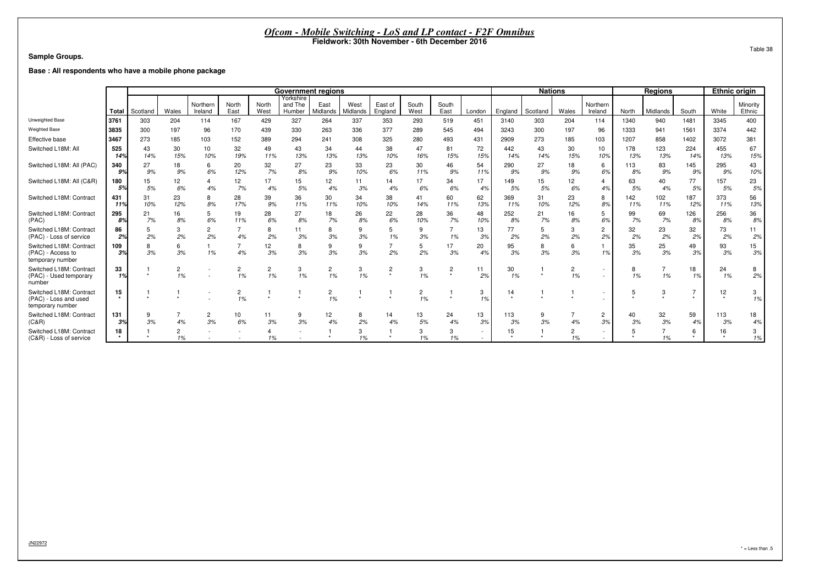#### **Sample Groups.**

**Base : All respondents who have a mobile phone package**

|                                                                      |            |           |           |                      |                      |                      | <b>Government regions</b>      |                  |                         |                    |               |               |           |            | <b>Nations</b> |           |                      |            | <b>Regions</b>       |            | <b>Ethnic origin</b>       |                        |
|----------------------------------------------------------------------|------------|-----------|-----------|----------------------|----------------------|----------------------|--------------------------------|------------------|-------------------------|--------------------|---------------|---------------|-----------|------------|----------------|-----------|----------------------|------------|----------------------|------------|----------------------------|------------------------|
|                                                                      | Total      | Scotland  | Wales     | Northern<br>Ireland  | North<br>East        | North<br>West        | Yorkshire<br>and The<br>Humber | East<br>Midlands | West<br><b>Aidlands</b> | East of<br>England | South<br>West | South<br>East | London    | England    | Scotland       | Wales     | Northern<br>Ireland  | North      | Midlands             | South      | White                      | Minority<br>Ethnic     |
| Unweighted Base                                                      | 3761       | 303       | 204       | 114                  | 167                  | 429                  | 327                            | 264              | 337                     | 353                | 293           | 519           | 451       | 3140       | 303            | 204       | 114                  | 1340       | 940                  | 1481       | 3345                       | 400                    |
| <b>Weighted Base</b>                                                 | 3835       | 300       | 197       | 96                   | 170                  | 439                  | 330                            | 263              | 336                     | 377                | 289           | 545           | 494       | 3243       | 300            | 197       | 96                   | 1333       | 941                  | 1561       | 3374                       | 442                    |
| Effective base                                                       | 3467       | 273       | 185       | 103                  | 152                  | 389                  | 294                            | 241              | 308                     | 325                | 280           | 493           | 431       | 2909       | 273            | 185       | 103                  | 1207       | 858                  | 1402       | 3072                       | 381                    |
| Switched L18M: All                                                   | 525<br>14% | 43<br>14% | 30<br>15% | 10<br>10%            | 32<br>19%            | 49<br>11%            | 43<br>13%                      | 34<br>13%        | 44<br>13%               | 38<br>10%          | 47<br>16%     | 81<br>15%     | 72<br>15% | 442<br>14% | 43<br>14%      | 30<br>15% | 10<br>10%            | 178<br>13% | 123<br>13%           | 224<br>14% | 455<br>13%                 | 67<br>15%              |
| Switched L18M: All (PAC)                                             | 340<br>9%  | 27<br>9%  | 18<br>9%  | 6<br>6%              | 20<br>12%            | 32<br>7%             | 27<br>8%                       | 23<br>9%         | 33<br>10%               | 23<br>6%           | 30<br>11%     | 46<br>9%      | 54<br>11% | 290<br>9%  | 27<br>9%       | 18<br>9%  | 6<br>6%              | 113<br>8%  | 83<br>9%             | 145<br>9%  | 295<br>9%                  | 43<br>10%              |
| Switched L18M: All (C&R)                                             | 180<br>5%  | 15<br>5%  | 12<br>6%  | 4%                   | 12<br>7%             | 17<br>4%             | 15<br>5%                       | 12<br>4%         | 11<br>3%                | 14<br>4%           | 17<br>6%      | 34<br>6%      | 17<br>4%  | 149<br>5%  | 15<br>5%       | 12<br>6%  | 4%                   | 63<br>5%   | 40<br>4%             | 77<br>5%   | 157<br>5%                  | 23<br>5%               |
| Switched L18M: Contract                                              | 431<br>11% | 31<br>10% | 23<br>12% | 8<br>8%              | 28<br>17%            | 39<br>9%             | 36<br>11%                      | 30<br>11%        | 34<br>10%               | 38<br>10%          | 41<br>14%     | 60<br>11%     | 62<br>13% | 369<br>11% | 31<br>10%      | 23<br>12% | 8<br>8%              | 142<br>11% | 102<br>11%           | 187<br>12% | 373<br>11%                 | 56<br>13%              |
| Switched L18M: Contract<br>(PAC)                                     | 295<br>8%  | 21<br>7%  | 16<br>8%  | 5<br>6%              | 19<br>11%            | 28<br>6%             | 27<br>8%                       | 18<br>7%         | 26<br>8%                | 22<br>6%           | 28<br>10%     | 36<br>7%      | 48<br>10% | 252<br>8%  | 21<br>7%       | 16<br>8%  | 5<br>6%              | 99<br>7%   | 69<br>7%             | 126<br>8%  | 256<br>8%                  | 36<br>8%               |
| Switched L18M: Contract<br>(PAC) - Loss of service                   | 86<br>2%   | 5<br>2%   | 3<br>2%   | 2<br>2%              | 4%                   | 8<br>2%              | 11<br>3%                       | 8<br>3%          | 3%                      | 1%                 | 9<br>3%       | 1%            | 13<br>3%  | 77<br>2%   | 5<br>2%        | 3<br>2%   | $\overline{2}$<br>2% | 32<br>2%   | 23<br>2%             | 32<br>2%   | 73<br>2%                   | 11<br>2%               |
| Switched L18M: Contract<br>(PAC) - Access to<br>temporary number     | 109<br>3%  | 8<br>3%   | 6<br>3%   | 1%                   | 4%                   | 12<br>3%             | 8<br>3%                        | 9<br>3%          | 9<br>3%                 | 2%                 | 5<br>2%       | 17<br>3%      | 20<br>4%  | 95<br>3%   | 8<br>3%        | 6<br>3%   | 1%                   | 35<br>3%   | 25<br>3%             | 49<br>3%   | 93<br>3%                   | 15 <sub>15</sub><br>3% |
| Switched L18M: Contract<br>(PAC) - Used temporary<br>number          | 33<br>1%   |           | 2<br>1%   |                      | $\overline{2}$<br>1% | $\overline{c}$<br>1% | 3<br>1%                        | 2<br>1%          | 3<br>1%                 | 2                  | 3<br>1%       | 2<br>۰        | 11<br>2%  | 30<br>1%   |                | 2<br>1%   | ٠<br>٠               | 8<br>1%    | $\overline{7}$<br>1% | 18<br>1%   | 24<br>1%                   | 8<br>2%                |
| Switched L18M: Contract<br>(PAC) - Loss and used<br>temporary number | 15         |           |           |                      | $\overline{2}$<br>1% |                      |                                | 2<br>1%          |                         |                    | 2<br>1%       |               | 3<br>1%   | 14         |                |           | ٠                    |            | 3                    |            | 12<br>$\ddot{\phantom{1}}$ | 3<br>1%                |
| Switched L18M: Contract<br>(C&R)                                     | 131<br>3%  | 9<br>3%   | 4%        | $\overline{2}$<br>3% | 10<br>6%             | 11<br>3%             | 9<br>3%                        | 12<br>4%         | 8<br>2%                 | 14<br>4%           | 13<br>5%      | 24<br>4%      | 13<br>3%  | 113<br>3%  | 9<br>3%        | 4%        | $\overline{2}$<br>3% | 40<br>3%   | 32<br>3%             | 59<br>4%   | 113<br>3%                  | 18<br>4%               |
| Switched L18M: Contract<br>(C&R) - Loss of service                   | 18         |           | 2<br>1%   |                      |                      | 1%                   |                                |                  | 3<br>1%                 |                    | 3<br>1%       | 3<br>1%       |           | 15         |                | 2<br>1%   |                      |            | 1%                   | 6          | 16<br>$\cdot$              | 3<br>1%                |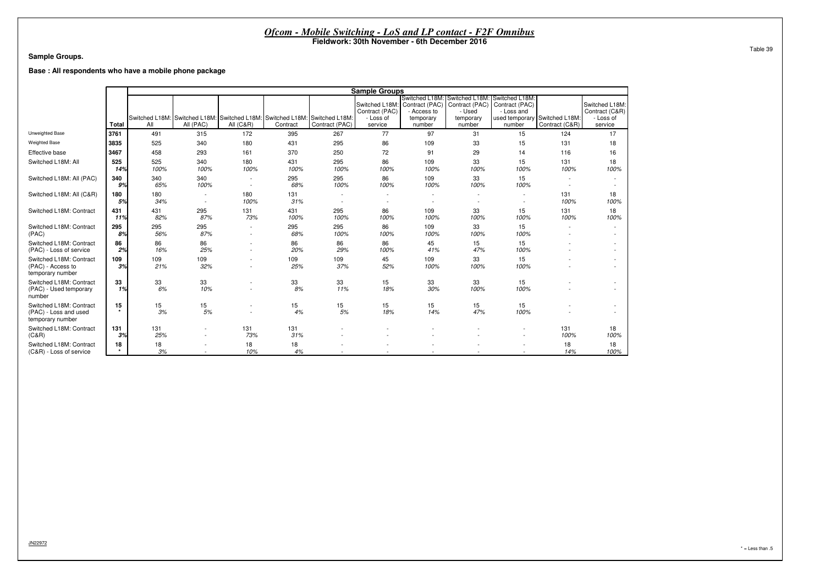#### **Sample Groups.**

**Base : All respondents who have a mobile phone package**

|                                                                      |               |             |                                                                                         |                          |             |                          | <b>Sample Groups</b>                                     |                                                                    |                                                                    |                                                                            |                                  |                                                          |
|----------------------------------------------------------------------|---------------|-------------|-----------------------------------------------------------------------------------------|--------------------------|-------------|--------------------------|----------------------------------------------------------|--------------------------------------------------------------------|--------------------------------------------------------------------|----------------------------------------------------------------------------|----------------------------------|----------------------------------------------------------|
|                                                                      | <b>Total</b>  | All         | Switched L18M: Switched L18M: Switched L18M: Switched L18M: Switched L18M:<br>All (PAC) | <b>All (C&amp;R)</b>     | Contract    | Contract (PAC)           | Switched L18M:<br>Contract (PAC)<br>- Loss of<br>service | Switched L18M: Switched L18M<br>- Access to<br>temporary<br>number | Contract (PAC)   Contract (PAC)  <br>- Used<br>temporary<br>number | Switched L18M:<br>Contract (PAC)<br>- Loss and<br>used temporary<br>number | Switched L18M:<br>Contract (C&R) | Switched L18M:<br>Contract (C&R)<br>- Loss of<br>service |
| Unweighted Base                                                      | 3761          | 491         | 315                                                                                     | 172                      | 395         | 267                      | 77                                                       | 97                                                                 | 31                                                                 | 15                                                                         | 124                              | 17                                                       |
| <b>Weighted Base</b>                                                 | 3835          | 525         | 340                                                                                     | 180                      | 431         | 295                      |                                                          | 109                                                                | 33                                                                 |                                                                            | 131                              |                                                          |
|                                                                      |               |             |                                                                                         |                          |             |                          | 86                                                       |                                                                    |                                                                    | 15                                                                         |                                  | 18                                                       |
| Effective base                                                       | 3467          | 458         | 293                                                                                     | 161                      | 370         | 250                      | 72                                                       | 91                                                                 | 29                                                                 | 14                                                                         | 116                              | 16                                                       |
| Switched L18M: All                                                   | 525<br>14%    | 525<br>100% | 340<br>100%                                                                             | 180<br>100%              | 431<br>100% | 295<br>100%              | 86<br>100%                                               | 109<br>100%                                                        | 33<br>100%                                                         | 15<br>100%                                                                 | 131<br>100%                      | 18<br>100%                                               |
| Switched L18M: All (PAC)                                             | 340<br>9%     | 340<br>65%  | 340<br>100%                                                                             | $\overline{\phantom{a}}$ | 295<br>68%  | 295<br>100%              | 86<br>100%                                               | 109<br>100%                                                        | 33<br>100%                                                         | 15<br>100%                                                                 |                                  |                                                          |
| Switched L18M: All (C&R)                                             | 180<br>5%     | 180<br>34%  |                                                                                         | 180<br>100%              | 131<br>31%  | $\overline{\phantom{a}}$ |                                                          |                                                                    |                                                                    |                                                                            | 131<br>100%                      | 18<br>100%                                               |
| Switched L18M: Contract                                              | 431<br>11%    | 431<br>82%  | 295<br>87%                                                                              | 131<br>73%               | 431<br>100% | 295<br>100%              | 86<br>100%                                               | 109<br>100%                                                        | 33<br>100%                                                         | 15<br>100%                                                                 | 131<br>100%                      | 18<br>100%                                               |
| Switched L18M: Contract<br>(PAC)                                     | 295<br>8%     | 295<br>56%  | 295<br>87%                                                                              | $\sim$                   | 295<br>68%  | 295<br>100%              | 86<br>100%                                               | 109<br>100%                                                        | 33<br>100%                                                         | 15<br>100%                                                                 | $\sim$                           |                                                          |
| Switched L18M: Contract<br>(PAC) - Loss of service                   | 86<br>2%      | 86<br>16%   | 86<br>25%                                                                               |                          | 86<br>20%   | 86<br>29%                | 86<br>100%                                               | 45<br>41%                                                          | 15<br>47%                                                          | 15<br>100%                                                                 |                                  | $\sim$<br>$\overline{\phantom{a}}$                       |
| Switched L18M: Contract<br>(PAC) - Access to<br>temporary number     | 109<br>3%     | 109<br>21%  | 109<br>32%                                                                              |                          | 109<br>25%  | 109<br>37%               | 45<br>52%                                                | 109<br>100%                                                        | 33<br>100%                                                         | 15<br>100%                                                                 |                                  |                                                          |
| Switched L18M: Contract<br>(PAC) - Used temporary<br>number          | 33<br>1%      | 33<br>6%    | 33<br>10%                                                                               |                          | 33<br>8%    | 33<br>11%                | 15<br>18%                                                | 33<br>30%                                                          | 33<br>100%                                                         | 15<br>100%                                                                 |                                  |                                                          |
| Switched L18M: Contract<br>(PAC) - Loss and used<br>temporary number | 15<br>$\star$ | 15<br>3%    | 15<br>5%                                                                                |                          | 15<br>4%    | 15<br>$5%$               | 15<br>18%                                                | 15<br>14%                                                          | 15<br>47%                                                          | 15<br>100%                                                                 |                                  | $\sim$                                                   |
| Switched L18M: Contract<br>(C&R)                                     | 131<br>3%     | 131<br>25%  | $\overline{\phantom{a}}$                                                                | 131<br>73%               | 131<br>31%  |                          |                                                          |                                                                    |                                                                    |                                                                            | 131<br>100%                      | 18<br>100%                                               |
| Switched L18M: Contract<br>(C&R) - Loss of service                   | 18            | 18<br>3%    |                                                                                         | 18<br>10%                | 18<br>4%    |                          |                                                          |                                                                    |                                                                    |                                                                            | 18<br>14%                        | 18<br>100%                                               |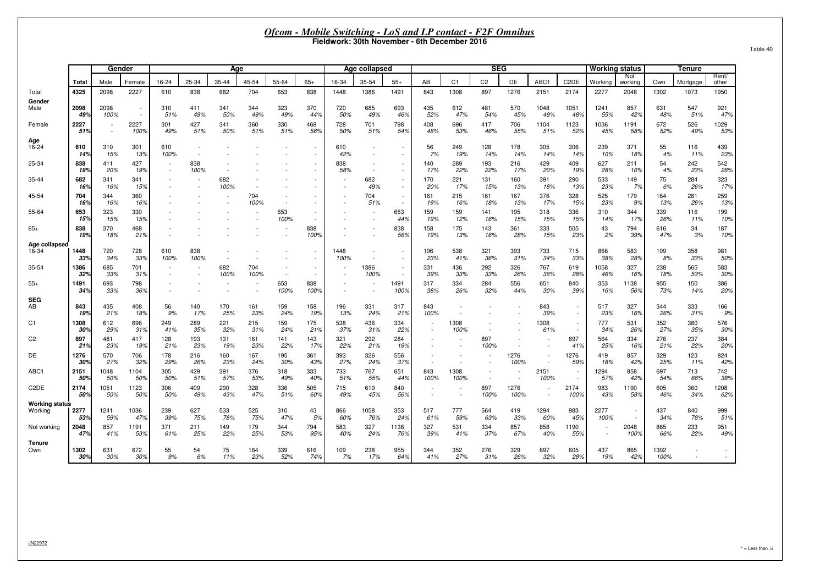|                                  |             |                  |                  |                          |                          |             |             |                          |                          | Fieldwork: 30th November - 6th December 2016 |                                    |                          | Ofcom - Mobile Switching - LoS and LP contact - F2F Omnibus |                |                          |              |                                    |                                |                          |                |              |                                    |                          |
|----------------------------------|-------------|------------------|------------------|--------------------------|--------------------------|-------------|-------------|--------------------------|--------------------------|----------------------------------------------|------------------------------------|--------------------------|-------------------------------------------------------------|----------------|--------------------------|--------------|------------------------------------|--------------------------------|--------------------------|----------------|--------------|------------------------------------|--------------------------|
|                                  |             | Gender           |                  |                          |                          | Age         |             |                          |                          |                                              | Age collapsed                      |                          |                                                             |                | <b>SEG</b>               |              |                                    |                                | <b>Working status</b>    |                |              | Tenure                             |                          |
|                                  | Total       | Male             | Female           | 16-24                    | 25-34                    | 35-44       | 45-54       | 55-64                    | $65+$                    | 16-34                                        | 35-54                              | $55+$                    | AB                                                          | C <sub>1</sub> | C <sub>2</sub>           | DE           | ABC1                               | C <sub>2</sub> DE              | Working                  | Not<br>working | Own          | Mortgage                           | Rent/<br>other           |
| Total                            | 4325        | 2098             | 2227             | 610                      | 838                      | 682         | 704         | 653                      | 838                      | 1448                                         | 1386                               | 1491                     | 843                                                         | 1308           | 897                      | 1276         | 2151                               | 2174                           | 2277                     | 2048           | 1302         | 1073                               | 1950                     |
| Gender<br>Male                   | 2098<br>49% | 2098<br>100%     | $\sim$<br>$\sim$ | 310<br>51%               | 411<br>49%               | 341<br>50%  | 344<br>49%  | 323<br>49%               | 370<br>44%               | 720<br>50%                                   | 685<br>49%                         | 693<br>46%               | 435<br>52%                                                  | 612<br>47%     | 481<br>54%               | 570<br>45%   | 1048<br>49%                        | 1051<br>48%                    | 1241<br>55%              | 857<br>42%     | 631<br>48%   | 547<br>51%                         | 921<br>47%               |
| Female                           | 2227<br>51% | $\sim$<br>$\sim$ | 2227<br>100%     | 301<br>49%               | 427<br>51%               | 341<br>50%  | 360<br>51%  | 330<br>51%               | 468<br>56%               | 728<br>50%                                   | 701<br>51%                         | 798<br>54%               | 408<br>48%                                                  | 696<br>53%     | 417<br>46%               | 706<br>55%   | 1104<br>51%                        | 1123<br>52%                    | 1036<br>45%              | 1191<br>58%    | 672<br>52%   | 526<br>49%                         | 1029<br>53%              |
| 16-24                            | 610<br>14%  | 310<br>15%       | 301<br>13%       | 610<br>100%              |                          |             |             |                          | $\sim$                   | 610<br>42%                                   | $\overline{\phantom{a}}$<br>$\sim$ | $\sim$                   | 56<br>7%                                                    | 249<br>19%     | 128<br>14%               | 178<br>14%   | 305<br>14%                         | 306<br>14%                     | 239<br>10%               | 371<br>18%     | 55<br>4%     | 116<br>11%                         | 439<br>23%               |
| 25-34                            | 838<br>19%  | 411<br>20%       | 427<br>19%       | $\sim$                   | 838<br>100%              |             |             |                          |                          | 838<br>58%                                   | $\sim$                             |                          | 140<br>17%                                                  | 289<br>22%     | 193<br>22%               | 216<br>17%   | 429<br>20%                         | 409<br>19%                     | 627<br>28%               | 211<br>10%     | 54<br>4%     | 242<br>23%                         | 542<br>28%               |
| 35-44                            | 682<br>16%  | 341<br>16%       | 341<br>15%       |                          |                          | 682<br>100% |             |                          |                          |                                              | 682<br>49%                         |                          | 170<br>20%                                                  | 221<br>17%     | 131<br>15%               | 160<br>13%   | 391<br>18%                         | 290<br>13%                     | 533<br>23%               | 149<br>7%      | 75<br>6%     | 284<br>26%                         | 323<br>17%               |
| 45-54                            | 704<br>16%  | 344<br>16%       | 360<br>16%       |                          |                          |             | 704<br>100% |                          |                          |                                              | 704<br>51%                         | $\sim$                   | 161<br>19%                                                  | 215<br>16%     | 161<br>18%               | 167<br>13%   | 376<br>17%                         | 328<br>15%                     | 525<br>23%               | 179<br>9%      | 164<br>13%   | 281<br>26%                         | 259<br>13%               |
| 55-64                            | 653<br>15%  | 323<br>15%       | 330<br>15%       |                          |                          |             |             | 653<br>100%              |                          |                                              |                                    | 653<br>44%               | 159<br>19%                                                  | 159<br>12%     | 141<br>16%               | 195<br>15%   | 318<br>15%                         | 336<br>15%                     | 310<br>14%               | 344<br>17%     | 339<br>26%   | 116<br>11%                         | 199<br>10%               |
|                                  | 838<br>19%  | 370<br>18%       | 468<br>21%       |                          |                          |             |             |                          | 838<br>100%              |                                              |                                    | 838<br>56%               | 158<br>19%                                                  | 175<br>13%     | 143<br>16%               | 361<br>28%   | 333<br>15%                         | 505<br>23%                     | 43<br>2%                 | 794<br>39%     | 616<br>47%   | 34<br>3%                           | 187<br>10%               |
| Age collapsed<br>16-34           | 1448<br>33% | 720<br>34%       | 728<br>33%       | 610<br>100%              | 838<br>100%              |             |             |                          | $\overline{\phantom{a}}$ | 1448<br>100%                                 | $\overline{\phantom{a}}$<br>$\sim$ | $\overline{\phantom{a}}$ | 196<br>23%                                                  | 538<br>41%     | 321<br>36%               | 393<br>31%   | 733<br>34%                         | 715<br>33%                     | 866<br>38%               | 583<br>28%     | 109<br>8%    | 358<br>33%                         | 981<br>50%               |
| 35-54                            | 1386<br>32% | 685<br>33%       | 701<br>31%       |                          | $\overline{\phantom{a}}$ | 682<br>100% | 704<br>100% | $\overline{\phantom{a}}$ | $\sim$                   |                                              | 1386<br>100%                       |                          | 331<br>39%                                                  | 436<br>33%     | 292<br>33%               | 326<br>26%   | 767<br>36%                         | 619<br>28%                     | 1058<br>46%              | 327<br>16%     | 238<br>18%   | 565<br>53%                         | 583<br>30%               |
|                                  | 1491<br>34% | 693<br>33%       | 798<br>36%       | $\overline{\phantom{a}}$ |                          |             | $\sim$      | 653<br>100%              | 838<br>100%              |                                              | $\overline{a}$                     | 1491<br>100%             | 317<br>38%                                                  | 334<br>26%     | 284<br>32%               | 556<br>44%   | 651<br>30%                         | 840<br>39%                     | 353<br>16%               | 1138<br>56%    | 955<br>73%   | 150<br>14%                         | 386<br>20%               |
| <b>SEG</b>                       | 843<br>19%  | 435<br>21%       | 408<br>18%       | 56<br>9%                 | 140<br>17%               | 170<br>25%  | 161<br>23%  | 159<br>24%               | 158<br>19%               | 196<br>13%                                   | 331<br>24%                         | 317<br>21%               | 843<br>100%                                                 | $\overline{a}$ | $\overline{\phantom{a}}$ |              | 843<br>39%                         | $\blacksquare$<br>$\mathbf{r}$ | 517<br>23%               | 327<br>16%     | 344<br>26%   | 333<br>31%                         | 166<br>9%                |
|                                  | 1308<br>30% | 612<br>29%       | 696<br>31%       | 249<br>41%               | 289<br>35%               | 221<br>32%  | 215<br>31%  | 159<br>24%               | 175<br>21%               | 538<br>37%                                   | 436<br>31%                         | 334<br>22%               |                                                             | 1308<br>100%   | $\sim$                   |              | 1308<br>61%                        | $\overline{\phantom{a}}$       | 777<br>34%               | 531<br>26%     | 352<br>27%   | 380<br>35%                         | 576<br>30%               |
|                                  | 897<br>21%  | 481<br>23%       | 417<br>19%       | 128<br>21%               | 193<br>23%               | 131<br>19%  | 161<br>23%  | 141<br>22%               | 143<br>17%               | 321<br>22%                                   | 292<br>21%                         | 284<br>19%               |                                                             |                | 897<br>100%              |              |                                    | 897<br>41%                     | 564<br>25%               | 334<br>16%     | 276<br>21%   | 237<br>22%                         | 384<br>20%               |
|                                  | 1276<br>30% | 570<br>27%       | 706<br>32%       | 178<br>29%               | 216<br>26%               | 160<br>23%  | 167<br>24%  | 195<br>30%               | 361<br>43%               | 393<br>27%                                   | 326<br>24%                         | 556<br>37%               |                                                             |                | $\overline{\phantom{a}}$ | 1276<br>100% | $\overline{\phantom{a}}$<br>$\sim$ | 1276<br>59%                    | 419<br>18%               | 857<br>42%     | 329<br>25%   | 123<br>11%                         | 824<br>42%               |
| ABC1                             | 2151<br>50% | 1048<br>50%      | 1104<br>50%      | 305<br>50%               | 429<br>51%               | 391<br>57%  | 376<br>53%  | 318<br>49%               | 333<br>40%               | 733<br>51%                                   | 767<br>55%                         | 651<br>44%               | 843<br>100%                                                 | 1308<br>100%   | $\overline{\phantom{a}}$ |              | 2151<br>100%                       |                                | 1294<br>57%              | 858<br>42%     | 697<br>54%   | 713<br>66%                         | 742<br>38%               |
| C <sub>2</sub> DE                | 2174<br>50% | 1051<br>50%      | 1123<br>50%      | 306<br>50%               | 409<br>49%               | 290<br>43%  | 328<br>47%  | 336<br>51%               | 505<br>60%               | 715<br>49%                                   | 619<br>45%                         | 840<br>56%               | $\sim$                                                      | $\overline{a}$ | 897<br>100%              | 1276<br>100% | $\sim$<br>$\sim$                   | 2174<br>100%                   | 983<br>43%               | 1190<br>58%    | 605<br>46%   | 360<br>34%                         | 1208<br>62%              |
| <b>Working status</b><br>Working | 2277<br>53% | 1241<br>59%      | 1036<br>47%      | 239<br>39%               | 627<br>75%               | 533<br>78%  | 525<br>75%  | 310<br>47%               | 43<br>5%                 | 866<br>60%                                   | 1058<br>76%                        | 353<br>24%               | 517<br>61%                                                  | 777<br>59%     | 564<br>63%               | 419<br>33%   | 1294<br>60%                        | 983<br>45%                     | 2277<br>100%             |                | 437<br>34%   | 840<br>78%                         | 999<br>51%               |
| Not working                      | 2048<br>47% | 857<br>41%       | 1191<br>53%      | 371<br>61%               | 211<br>25%               | 149<br>22%  | 179<br>25%  | 344<br>53%               | 794<br>95%               | 583<br>40%                                   | 327<br>24%                         | 1138<br>76%              | 327<br>39%                                                  | 531<br>41%     | 334<br>37%               | 857<br>67%   | 858<br>40%                         | 1190<br>55%                    | $\overline{\phantom{a}}$ | 2048<br>100%   | 865<br>66%   | 233<br>22%                         | 951<br>49%               |
| Tenure<br>Own                    | 1302<br>30% | 631<br>30%       | 672<br>30%       | 55<br>9%                 | 54<br>6%                 | 75<br>11%   | 164<br>23%  | 339<br>52%               | 616<br>74%               | 109<br>7%                                    | 238<br>17%                         | 955<br>64%               | 344<br>41%                                                  | 352<br>27%     | 276<br>31%               | 329<br>26%   | 697<br>32%                         | 605<br>28%                     | 437<br>19%               | 865<br>42%     | 1302<br>100% | $\overline{\phantom{a}}$<br>$\sim$ | $\overline{\phantom{a}}$ |

JN22972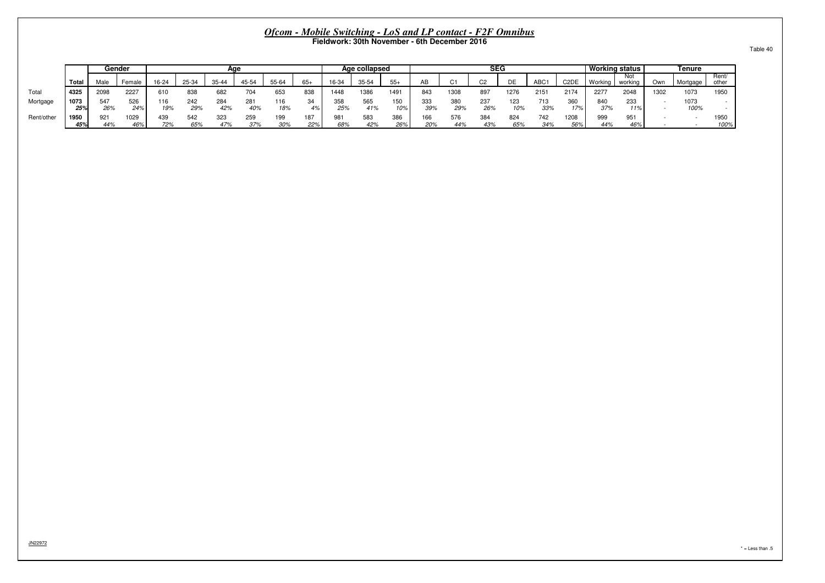|            |             |            | Gender             |            |            | Aae        |                     |            |            |            | Age collapsed |            |            |            | <b>SEG</b> |            |            |                               |                 | <b>Working status</b> |      | Tenure       |                |
|------------|-------------|------------|--------------------|------------|------------|------------|---------------------|------------|------------|------------|---------------|------------|------------|------------|------------|------------|------------|-------------------------------|-----------------|-----------------------|------|--------------|----------------|
|            | Total       | Male       | <sup>⊏</sup> emale | $16 - 24$  | 25-34      | 35-44      | 45-54               | 55-64      |            | 16-34      | 35-54         |            | AB         |            | $\sim$     | DE         | <b>ABC</b> | C <sub>2</sub> D <sub>E</sub> | Working         | Not<br>working        | Own  | Mortgage     | Rent/<br>other |
| Total      | 4325        | 2098       | 2227               | 610        | 838        | 682        |                     | 653        | 838        | 448        | 1386          | $149 -$    | 843        | 130        | 897        | 1276       | 2151       | 2174                          | 2277            | 2048                  | 1302 | 1073         | 1950           |
| Mortgage   | 1073<br>25% | 547<br>26% | 526<br>24%         | 116<br>19% | 242<br>29% | 284<br>42% | $28^{\circ}$<br>40% | 116<br>18% | 34<br>4%   | 25%        | 565<br>41%    | 150<br>10% | 333<br>39% | 380<br>29% | 237<br>26% | 123<br>10% | 713<br>33% | 360<br>17%                    | 840<br>37%      | 233<br>11%            |      | 1073<br>100% | $\sim$         |
| Rent/other | 1950<br>45% | 921<br>44% | 1029<br>46%        | 439<br>72% | 542<br>65% | 323<br>47% | 259<br>37%          | 195<br>30% | 187<br>22% | 98۰<br>68% | 583<br>42%    | 386<br>26% | 166<br>20% | 576<br>44% | 384        | 824<br>65% | 742<br>34% | 1208<br>56%                   | $\Omega$<br>44% | 951<br>46%            |      |              | 1950<br>100%   |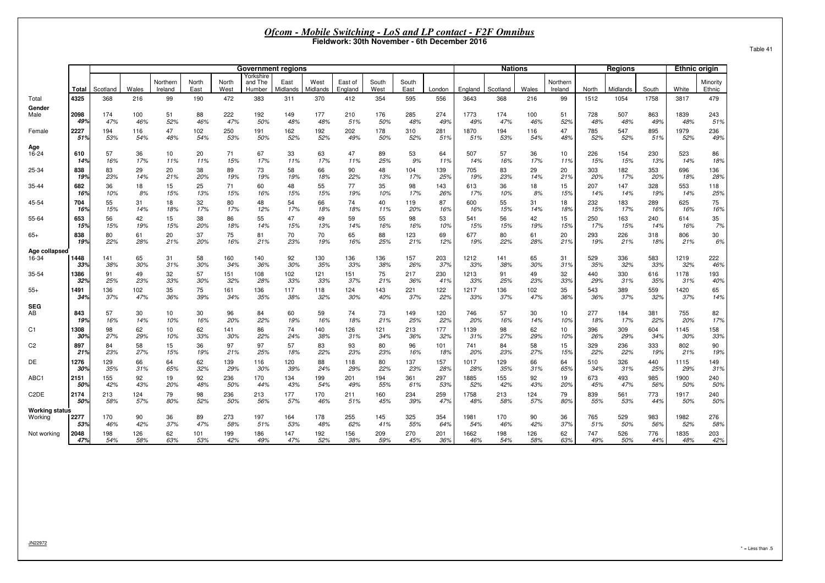| c<br>- |  |  |  |  |
|--------|--|--|--|--|
|--------|--|--|--|--|

|                                  |              |            |           |                     |               |               | <b>Government regions</b>      |                  |                  |                    |               |               |            |             | <b>Nations</b> |           |                     |            | <b>Regions</b> |            |             | <b>Ethnic origin</b> |
|----------------------------------|--------------|------------|-----------|---------------------|---------------|---------------|--------------------------------|------------------|------------------|--------------------|---------------|---------------|------------|-------------|----------------|-----------|---------------------|------------|----------------|------------|-------------|----------------------|
|                                  | <b>Total</b> | Scotland   | Wales     | Northern<br>Ireland | North<br>East | North<br>West | Yorkshire<br>and The<br>Humber | East<br>Midlands | West<br>Midlands | East of<br>England | South<br>West | South<br>East | London     | England     | Scotland       | Wales     | Northern<br>Ireland | North      | Midlands       | South      | White       | Minority<br>Ethnic   |
| Total                            | 4325         | 368        | 216       | 99                  | 190           | 472           | 383                            | 311              | 370              | 412                | 354           | 595           | 556        | 3643        | 368            | 216       | 99                  | 1512       | 1054           | 1758       | 3817        | 479                  |
| Gender                           |              |            |           |                     |               |               |                                |                  |                  |                    |               |               |            |             |                |           |                     |            |                |            |             |                      |
| Male                             | 2098         | 174        | 100       | 51                  | 88            | 222           | 192                            | 149              | 177              | 210                | 176           | 285           | 274        | 1773        | 174            | 100       | 51                  | 728        | 507            | 863        | 1839        | 243                  |
|                                  | 49%          | 47%        | 46%       | 52%                 | 46%           | 47%           | 50%                            | 48%              | 48%              | 51%                | 50%           | 48%           | 49%        | 49%         | 47%            | 46%       | 52%                 | 48%        | 48%            | 49%        | 48%         | 51%                  |
| Female                           | 2227         | 194        | 116       | 47                  | 102           | 250           | 191                            | 162              | 192              | 202                | 178           | 310           | 281        | 1870        | 194            | 116       | 47                  | 785        | 547            | 895        | 1979        | 236                  |
|                                  | 51%          | 53%        | 54%       | 48%                 | 54%           | 53%           | 50%                            | 52%              | 52%              | 49%                | 50%           | 52%           | 51%        | 51%         | 53%            | 54%       | 48%                 | 52%        | 52%            | 51%        | 52%         | 49%                  |
| Age<br>16-24                     | 610          | 57         | 36        | 10                  | 20            | 71            | 67                             | 33               | 63               | 47                 | 89            | 53            | 64         | 507         | 57             | 36        | 10                  | 226        | 154            | 230        | 523         | 86                   |
|                                  | 14%          | 16%        | 17%       | 11%                 | 11%           | 15%           | 17%                            | 11%              | 17%              | 11%                | 25%           | 9%            | 11%        | 14%         | 16%            | 17%       | 11%                 | 15%        | 15%            | 13%        | 14%         | 18%                  |
| 25-34                            | 838          | 83         | 29        | 20                  | 38            | 89            | 73                             | 58               | 66               | 90                 | 48            | 104           | 139        | 705         | 83             | 29        | 20                  | 303        | 182            | 353        | 696         | 136                  |
|                                  | 19%          | 23%        | 14%       | 21%                 | 20%           | 19%           | 19%                            | 19%              | 18%              | 22%                | 13%           | 17%           | 25%        | 19%         | 23%            | 14%       | 21%                 | 20%        | 17%            | 20%        | 18%         | 28%                  |
| 35-44                            | 682          | 36         | 18        | 15                  | 25            | 71            | 60                             | 48               | 55               | 77                 | 35            | 98            | 143        | 613         | 36             | 18        | 15                  | 207        | 147            | 328        | 553         | 118                  |
|                                  | 16%          | 10%        | 8%        | 15%                 | 13%           | 15%           | 16%                            | 15%              | 15%              | 19%                | 10%           | 17%           | 26%        | 17%         | 10%            | 8%        | 15%                 | 14%        | 14%            | 19%        | 14%         | 25%                  |
| 45-54                            | 704          | 55         | 31        | 18                  | 32            | 80            | 48                             | 54               | 66               | 74                 | 40            | 119           | 87         | 600         | 55             | 31        | 18                  | 232        | 183            | 289        | 625         | 75                   |
|                                  | 16%          | 15%        | 14%       | 18%                 | 17%           | 17%           | 12%                            | 17%              | 18%              | 18%                | 11%           | 20%           | 16%        | 16%         | 15%            | 14%       | 18%                 | 15%        | 17%            | 16%        | 16%         | 16%                  |
| 55-64                            | 653          | 56         | 42        | 15                  | 38            | 86            | 55                             | 47               | 49               | 59                 | 55            | 98            | 53         | 541         | 56             | 42        | 15                  | 250        | 163            | 240        | 614         | 35                   |
|                                  | 15%          | 15%        | 19%       | 15%                 | 20%           | 18%           | 14%                            | 15%              | 13%              | 14%                | 16%           | 16%           | 10%        | 15%         | 15%            | 19%       | 15%                 | 17%        | 15%            | 14%        | 16%         | 7%                   |
| $65+$                            | 838          | 80         | 61        | 20                  | 37            | 75            | 81                             | 70               | 70               | 65                 | 88            | 123           | 69         | 677         | 80             | 61        | 20                  | 293        | 226            | 318        | 806         | 30                   |
|                                  | 19%          | 22%        | 28%       | 21%                 | 20%           | 16%           | 21%                            | 23%              | 19%              | 16%                | 25%           | 21%           | 12%        | 19%         | 22%            | 28%       | 21%                 | 19%        | 21%            | 18%        | 21%         | 6%                   |
| Age collapsed                    |              |            |           |                     |               |               |                                |                  |                  |                    |               |               |            |             |                |           |                     |            |                |            |             |                      |
| 16-34                            | 1448         | 141        | 65        | 31                  | 58            | 160           | 140                            | 92               | 130              | 136                | 136           | 157           | 203        | 1212        | 141            | 65        | 31                  | 529        | 336            | 583        | 1219        | 222                  |
|                                  | 33%          | 38%        | 30%       | 31%                 | 30%           | 34%           | 36%                            | 30%              | 35%              | 33%                | 38%           | 26%           | 37%        | 33%         | 38%            | 30%       | 31%                 | 35%        | 32%            | 33%        | 32%         | 46%                  |
| 35-54                            | 1386         | 91         | 49        | 32                  | 57            | 151           | 108                            | 102              | 121              | 151                | 75            | 217           | 230        | 1213        | 91             | 49        | 32                  | 440        | 330            | 616        | 1178        | 193                  |
|                                  | 329          | 25%        | 23%       | 33%                 | 30%           | 32%           | 28%                            | 33%              | 33%              | 37%                | 21%           | 36%           | 41%        | 33%         | 25%            | 23%       | 33%                 | 29%        | 31%            | 35%        | 31%         | 40%                  |
| $55+$                            | 1491         | 136        | 102       | 35                  | 75            | 161           | 136                            | 117              | 118              | 124                | 143           | 221           | 122        | 1217        | 136            | 102       | 35                  | 543        | 389            | 559        | 1420        | 65                   |
|                                  | 34%          | 37%        | 47%       | 36%                 | 39%           | 34%           | 35%                            | 38%              | 32%              | 30%                | 40%           | 37%           | 22%        | 33%         | 37%            | 47%       | 36%                 | 36%        | 37%            | 32%        | 37%         | 14%                  |
| <b>SEG</b><br>AB                 | 843          | 57         | 30        | 10 <sub>1</sub>     | 30            | 96            | 84                             | 60               | 59               | 74                 | 73            | 149           | 120        | 746         | 57             | 30        | 10                  | 277        | 184            | 381        | 755         | 82                   |
| C <sub>1</sub>                   | 19%          | 16%        | 14%       | 10%                 | 16%           | 20%           | 22%                            | 19%              | 16%              | 18%                | 21%           | 25%           | 22%        | 20%         | 16%            | 14%       | 10%                 | 18%        | 17%            | 22%        | 20%         | 17%                  |
|                                  | 1308         | 98         | 62        | 10                  | 62            | 141           | 86                             | 74               | 140              | 126                | 121           | 213           | 177        | 1139        | 98             | 62        | 10                  | 396        | 309            | 604        | 1145        | 158                  |
| C <sub>2</sub>                   | 30%          | 27%        | 29%       | 10%                 | 33%           | 30%           | 22%                            | 24%              | 38%              | 31%                | 34%           | 36%           | 32%        | 31%         | 27%            | 29%       | 10%                 | 26%        | 29%            | 34%        | 30%         | 33%                  |
|                                  | 897          | 84         | 58        | 15                  | 36            | 97            | 97                             | 57               | 83               | 93                 | 80            | 96            | 101        | 741         | 84             | 58        | 15                  | 329        | 236            | 333        | 802         | 90                   |
| DE                               | 21%          | 23%        | 27%       | 15%                 | 19%           | 21%           | 25%                            | 18%              | 22%              | 23%                | 23%           | 16%           | 18%        | 20%         | 23%            | 27%       | 15%                 | 22%        | 22%            | 19%        | 21%         | 19%                  |
|                                  | 1276         | 129        | 66        | 64                  | 62            | 139           | 116                            | 120              | 88               | 118                | 80            | 137           | 157        | 1017        | 129            | 66        | 64                  | 510        | 326            | 440        | 1115        | 149                  |
|                                  | 30%          | 35%<br>155 | 31%       | 65%                 | 32%           | 29%           | 30%                            | 39%              | 24%              | 29%                | 22%           | 23%           | 28%<br>297 | 28%         | 35%            | 31%       | 65%                 | 34%        | 31%            | 25%<br>985 | 29%         | 31%<br>240           |
| ABC1                             | 2151<br>50%  | 42%        | 92<br>43% | 19<br>20%           | 92<br>48%     | 236<br>50%    | 170<br>44%                     | 134<br>43%       | 199<br>54%       | 201<br>49%         | 194<br>55%    | 361<br>61%    | 53%        | 1885<br>52% | 155<br>42%     | 92<br>43% | 19<br>20%           | 673<br>45% | 493<br>47%     | 56%        | 1900<br>50% | 50%                  |
| C <sub>2</sub> D <sub>E</sub>    | 2174         | 213        | 124       | 79                  | 98            | 236           | 213                            | 177              | 170              | 211                | 160           | 234           | 259        | 1758        | 213            | 124       | 79                  | 839        | 561            | 773        | 1917        | 240                  |
|                                  | 50%          | 58%        | 57%       | 80%                 | 52%           | 50%           | 56%                            | 57%              | 46%              | 51%                | 45%           | 39%           | 47%        | 48%         | 58%            | 57%       | 80%                 | 55%        | 53%            | 44%        | 50%         | 50%                  |
| <b>Working status</b><br>Working | 2277         | 170        | 90        | 36                  | 89            | 273           | 197                            | 164              | 178              | 255                | 145           | 325           | 354        | 1981        | 170            | 90        | 36                  | 765        | 529            | 983        | 1982        | 276                  |
| Not working                      | 53%          | 46%        | 42%       | 37%                 | 47%           | 58%           | 51%                            | 53%              | 48%              | 62%                | 41%           | 55%           | 64%        | 54%         | 46%            | 42%       | 37%                 | 51%        | 50%            | 56%        | 52%         | 58%                  |
|                                  | 2048         | 198        | 126       | 62                  | 101           | 199           | 186                            | 147              | 192              | 156                | 209           | 270           | 201        | 1662        | 198            | 126       | 62                  | 747        | 526            | 776        | 1835        | 203                  |
|                                  | 47%          | 54%        | 58%       | 63%                 | 53%           | 42%           | 49%                            | 47%              | 52%              | 38%                | 59%           | 45%           | 36%        | 46%         | 54%            | 58%       | 63%                 | 49%        | 50%            | 44%        | 48%         | 42%                  |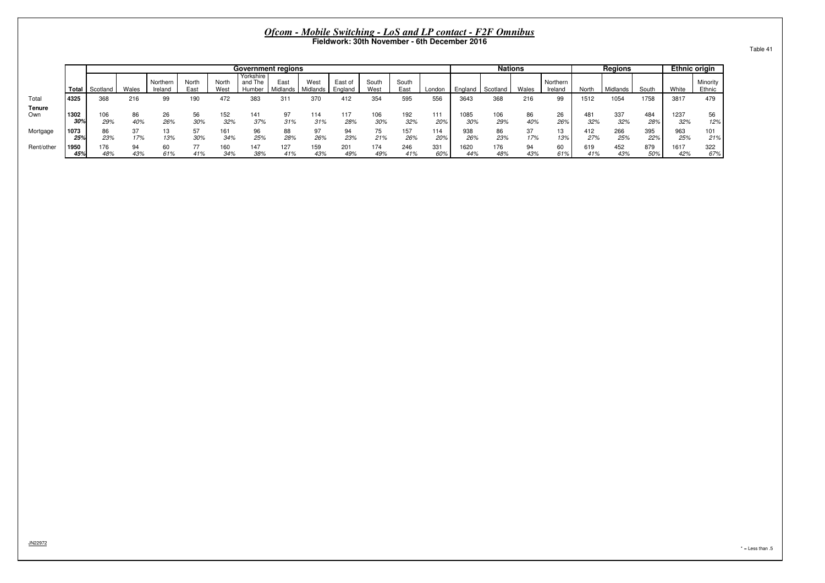|               |             |            |           |                     |               |              |                                | <b>Government regions</b> |                  |                    |               |               |            |             | <b>Nations</b> |           |                     |            | <b>Regions</b> |            | <b>Ethnic origin</b> |                    |
|---------------|-------------|------------|-----------|---------------------|---------------|--------------|--------------------------------|---------------------------|------------------|--------------------|---------------|---------------|------------|-------------|----------------|-----------|---------------------|------------|----------------|------------|----------------------|--------------------|
|               | Total       | Scotland   | Wales     | Northern<br>Ireland | North<br>East | Nort<br>West | Yorkshire<br>and The<br>Humber | East<br>Midlands          | West<br>Midlands | East of<br>England | South<br>West | South<br>East | London     | England     | Scotland       | Wales     | Northern<br>Ireland | Nort       | Midlands       | South      | White                | Minority<br>Ethnic |
|               |             |            |           |                     |               |              |                                |                           |                  |                    |               |               |            |             |                |           |                     |            |                |            |                      |                    |
| Total         | 4325        | 368        | 216       | 99                  | 190           | 472          | 383                            | 31'                       | 370              | 412                | 354           | 595           | 556        | 3643        | 368            | 216       | 99                  | 1512       | 1054           | 1758       | 3817                 | 479                |
| Tenure<br>Own | 1302<br>30° | 106<br>29% | 86<br>40% | 26<br>26%           | 56<br>30%     | 152<br>32%   | 141<br>37%                     | 97<br>31%                 | 114<br>31%       | 117<br>28%         | 106<br>30%    | 192<br>32%    | 111<br>20% | 1085<br>30% | 106<br>29%     | 86<br>40% | 26<br>26%           | 481<br>32% | 337<br>32%     | 484<br>28% | 1237<br>32%          | 56<br>12%          |
| Mortgage      | 1073<br>25% | 86<br>23%  | 37<br>17% | 13%                 | 57<br>30%     | 161<br>34%   | 25%                            | 88<br>28%                 | 97<br>26%        | 94<br>23%          | 75<br>21%     | 157<br>26%    | 114<br>20% | 938<br>26%  | 86<br>23%      | 37<br>17% | 13<br>13%           | 412<br>27% | 266<br>25%     | 395<br>22% | 963<br>25%           | 101<br>21%         |
| Rent/other    | 1950<br>45% | 176<br>48% | 94<br>43% | 60<br>61%           | 77<br>41%     | 160<br>34%   | 147<br>38%                     | 127<br>41%                | 159<br>43%       | 201<br>49%         | 174<br>49%    | 246<br>41%    | 331<br>60% | 1620<br>44% | 176<br>48%     | 94<br>43% | 60<br>61%           | 619<br>41% | 452<br>43%     | 879<br>50% | 1617<br>42%          | 322<br>67%         |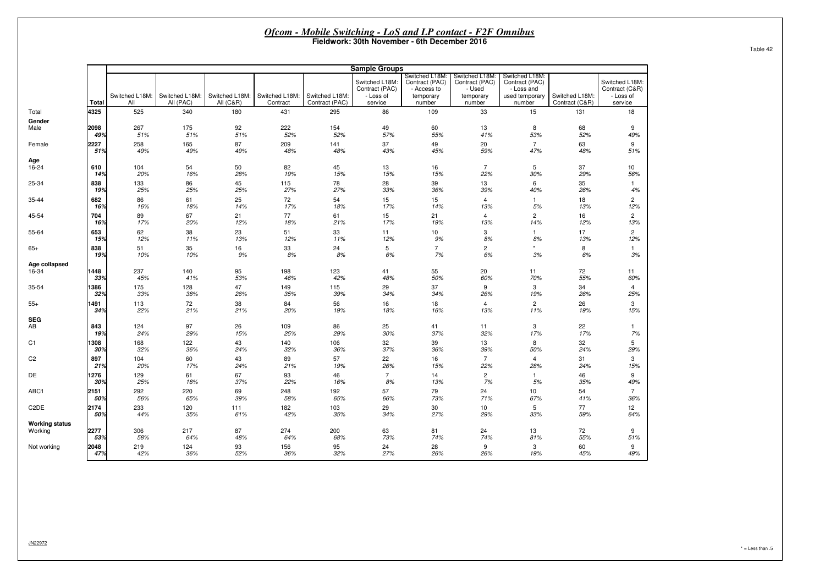|                        |             |                |                |                |                |                | <b>Sample Groups</b>                          |                                                              |                                                         |                                                                  |                |                                               |
|------------------------|-------------|----------------|----------------|----------------|----------------|----------------|-----------------------------------------------|--------------------------------------------------------------|---------------------------------------------------------|------------------------------------------------------------------|----------------|-----------------------------------------------|
|                        |             | Switched L18M: | Switched L18M: | Switched L18M: | Switched L18M: | Switched L18M: | Switched L18M:<br>Contract (PAC)<br>- Loss of | Switched L18M:<br>Contract (PAC)<br>- Access to<br>temporary | Switched L18M:<br>Contract (PAC)<br>- Used<br>temporary | Switched L18M:<br>Contract (PAC)<br>- Loss and<br>used temporary | Switched L18M: | Switched L18M:<br>Contract (C&R)<br>- Loss of |
|                        | Total       | All            | All (PAC)      | All (C&R)      | Contract       | Contract (PAC) | service                                       | number                                                       | number                                                  | number                                                           | Contract (C&R) | service                                       |
| Total                  | 4325        | 525            | 340            | 180            | 431            | 295            | 86                                            | 109                                                          | 33                                                      | 15                                                               | 131            | 18                                            |
| Gender<br>Male         | 2098        | 267            | 175            | 92             | 222            | 154            | 49                                            | 60                                                           | 13                                                      | 8                                                                | 68             | 9                                             |
|                        | 49%         | 51%            | 51%            | 51%            | 52%            | 52%            | 57%                                           | 55%                                                          | 41%                                                     | 53%                                                              | 52%            | 49%                                           |
| Female                 | 2227        | 258            | 165            | 87             | 209            | 141            | 37                                            | 49                                                           | 20                                                      | $\overline{7}$                                                   | 63             | 9                                             |
|                        | 51%         | 49%            | 49%            | 49%            | 48%            | 48%            | 43%                                           | 45%                                                          | 59%                                                     | 47%                                                              | 48%            | 51%                                           |
| Age                    |             |                |                |                |                |                |                                               |                                                              |                                                         |                                                                  |                |                                               |
| 16-24                  | 610         | 104            | 54             | 50             | 82             | 45             | 13                                            | 16                                                           | $\overline{7}$                                          | 5                                                                | 37             | 10                                            |
|                        | 14%         | 20%            | 16%            | 28%            | 19%            | 15%            | 15%                                           | 15%                                                          | 22%                                                     | 30%                                                              | 29%            | 56%                                           |
| 25-34                  | 838<br>19%  | 133<br>25%     | 86<br>25%      | 45<br>25%      | 115<br>27%     | 78<br>27%      | 28<br>33%                                     | 39<br>36%                                                    | 13<br>39%                                               | 6<br>40%                                                         | 35<br>26%      | -1<br>4%                                      |
|                        |             |                |                |                |                |                |                                               |                                                              |                                                         |                                                                  |                |                                               |
| 35-44                  | 682<br>16%  | 86<br>16%      | 61<br>18%      | 25<br>14%      | 72<br>17%      | 54<br>18%      | 15<br>17%                                     | 15<br>14%                                                    | $\overline{4}$<br>13%                                   | 1.<br>5%                                                         | 18<br>13%      | $\overline{2}$<br>12%                         |
| 45-54                  | 704         | 89             | 67             | 21             | 77             | 61             | 15                                            | 21                                                           | $\overline{4}$                                          | $\overline{2}$                                                   | 16             | $\overline{2}$                                |
|                        | 16%         | 17%            | 20%            | 12%            | 18%            | 21%            | 17%                                           | 19%                                                          | 13%                                                     | 14%                                                              | 12%            | 13%                                           |
| 55-64                  | 653         | 62             | 38             | 23             | 51             | 33             | 11                                            | 10                                                           | 3                                                       | $\mathbf{1}$                                                     | 17             | $\overline{2}$                                |
|                        | 15%         | 12%            | 11%            | 13%            | 12%            | 11%            | 12%                                           | 9%                                                           | 8%                                                      | 8%                                                               | 13%            | 12%                                           |
| 65+                    | 838<br>19%  | 51<br>10%      | 35<br>10%      | 16<br>9%       | 33<br>8%       | 24<br>8%       | 5<br>6%                                       | $\overline{7}$<br>7%                                         | $\overline{2}$<br>6%                                    | 3%                                                               | 8<br>6%        | $\mathbf{1}$<br>3%                            |
| Age collapsed<br>16-34 | 1448<br>33% | 237<br>45%     | 140<br>41%     | 95<br>53%      | 198<br>46%     | 123<br>42%     | 41<br>48%                                     | 55<br>50%                                                    | 20<br>60%                                               | 11<br>70%                                                        | 72<br>55%      | 11<br>60%                                     |
| 35-54                  | 1386<br>32% | 175<br>33%     | 128<br>38%     | 47<br>26%      | 149<br>35%     | 115<br>39%     | 29<br>34%                                     | 37<br>34%                                                    | 9<br>26%                                                | 3<br>19%                                                         | 34<br>26%      | 4<br>25%                                      |
| 55+                    | 1491<br>34% | 113<br>22%     | 72<br>21%      | 38<br>21%      | 84<br>20%      | 56<br>19%      | 16<br>18%                                     | 18<br>16%                                                    | $\overline{4}$<br>13%                                   | $\overline{c}$<br>11%                                            | 26<br>19%      | 3<br>15%                                      |
| SEG                    |             |                |                |                |                |                |                                               |                                                              |                                                         |                                                                  |                |                                               |
| AB                     | 843<br>19%  | 124<br>24%     | 97<br>29%      | 26<br>15%      | 109<br>25%     | 86<br>29%      | 25<br>30%                                     | 41<br>37%                                                    | 11<br>32%                                               | 3<br>17%                                                         | 22<br>17%      | -1<br>7%                                      |
| C1                     | 308         | 168            | 122            | 43             | 140            | 106            | 32                                            | 39                                                           | 13                                                      | 8                                                                | 32             | 5                                             |
|                        | 30%         | 32%            | 36%            | 24%            | 32%            | 36%            | 37%                                           | 36%                                                          | 39%                                                     | 50%                                                              | 24%            | 29%                                           |
| C2                     | 897         | 104            | 60             | 43             | 89             | 57             | 22                                            | 16                                                           | $\overline{7}$                                          | 4                                                                | 31             | 3                                             |
|                        | 21%         | 20%            | 17%            | 24%            | 21%            | 19%            | 26%                                           | 15%                                                          | 22%                                                     | 28%                                                              | 24%            | 15%                                           |
| DE                     | 1276<br>30% | 129<br>25%     | 61<br>18%      | 67<br>37%      | 93<br>22%      | 46<br>16%      | $\overline{7}$<br>8%                          | 14<br>13%                                                    | $\overline{c}$<br>7%                                    | $\mathbf{1}$<br>5%                                               | 46<br>35%      | 9<br>49%                                      |
| ABC1                   | 2151<br>50% | 292<br>56%     | 220<br>65%     | 69<br>39%      | 248<br>58%     | 192<br>65%     | 57<br>66%                                     | 79<br>73%                                                    | 24<br>71%                                               | 10<br>67%                                                        | 54<br>41%      | $\overline{7}$<br>36%                         |
| C2DE                   | 2174<br>50% | 233<br>44%     | 120<br>35%     | 111<br>61%     | 182<br>42%     | 103<br>35%     | 29<br>34%                                     | 30<br>27%                                                    | 10<br>29%                                               | 5<br>33%                                                         | 77<br>59%      | 12<br>64%                                     |
| Working status         |             |                |                |                |                |                |                                               |                                                              |                                                         |                                                                  |                |                                               |
| Working                | 2277<br>53% | 306<br>58%     | 217<br>64%     | 87<br>48%      | 274<br>64%     | 200<br>68%     | 63<br>73%                                     | 81<br>74%                                                    | 24<br>74%                                               | 13<br>81%                                                        | 72<br>55%      | 9<br>51%                                      |
| Not working            | 2048        | 219            | 124            | 93             | 156            | 95             | 24                                            | 28                                                           | 9                                                       | 3                                                                | 60             | 9                                             |
|                        | 47%         | 42%            | 36%            | 52%            | 36%            | 32%            | 27%                                           | 26%                                                          | 26%                                                     | 19%                                                              | 45%            | 49%                                           |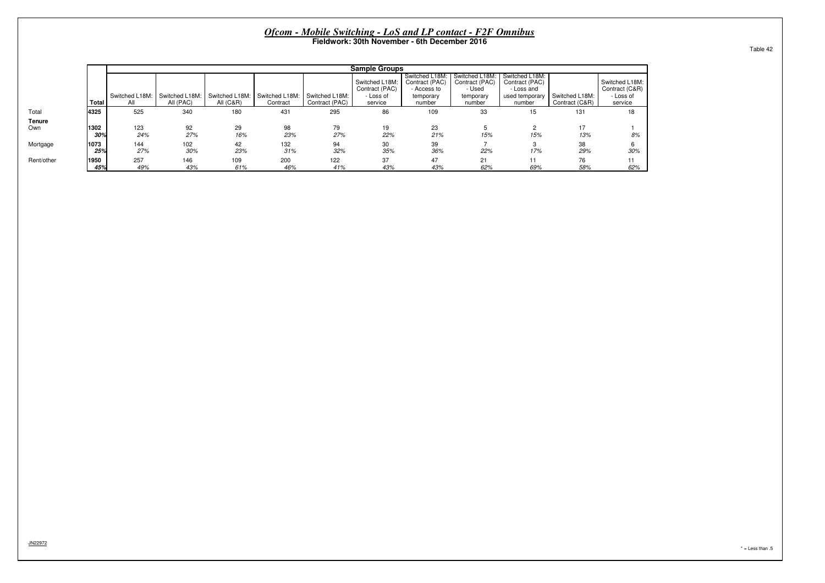|               |             |                       |                             |                                        |                            |                                  | <b>Sample Groups</b>             |                                                 |                                            |                                                |                                  |                                  |
|---------------|-------------|-----------------------|-----------------------------|----------------------------------------|----------------------------|----------------------------------|----------------------------------|-------------------------------------------------|--------------------------------------------|------------------------------------------------|----------------------------------|----------------------------------|
|               |             |                       |                             |                                        |                            |                                  | Switched L18M:<br>Contract (PAC) | Switched L18M:<br>Contract (PAC)<br>- Access to | Switched L18M:<br>Contract (PAC)<br>- Used | Switched L18M:<br>Contract (PAC)<br>- Loss and |                                  | Switched L18M:<br>Contract (C&R) |
|               | Total       | Switched L18M:<br>All | Switched L18M:<br>All (PAC) | Switched L18M:<br><b>All (C&amp;R)</b> | Switched L18M:<br>Contract | Switched L18M:<br>Contract (PAC) | - Loss of<br>service             | temporary<br>number                             | temporary<br>number                        | used temporary<br>number                       | Switched L18M:<br>Contract (C&R) | - Loss of<br>service             |
| Total         | 4325        | 525                   | 340                         | 180                                    | 431                        | 295                              | 86                               | 109                                             | 33                                         | 15                                             | 131                              | 18                               |
| Tenure<br>Own | 1302<br>30% | 123<br>24%            | 92<br>27%                   | 29<br>16%                              | 98<br>23%                  | 79<br>27%                        | 19<br>22%                        | 23<br>21%                                       | 15%                                        | 15%                                            | 17<br>13%                        | 8%                               |
| Mortgage      | 1073<br>25% | 144<br>27%            | 102<br>30%                  | 42<br>23%                              | 132<br>31%                 | 94<br>32%                        | 30<br>35%                        | 39<br>36%                                       | 22%                                        | 17%                                            | 38<br>29%                        | 6<br>30%                         |
| Rent/other    | 1950<br>45% | 257<br>49%            | 146<br>43%                  | 109<br>61%                             | 200<br>46%                 | 122<br>41%                       | 37<br>43%                        | 47<br>43%                                       | 21<br>62%                                  | 11<br>69%                                      | 76<br>58%                        | 11<br>62%                        |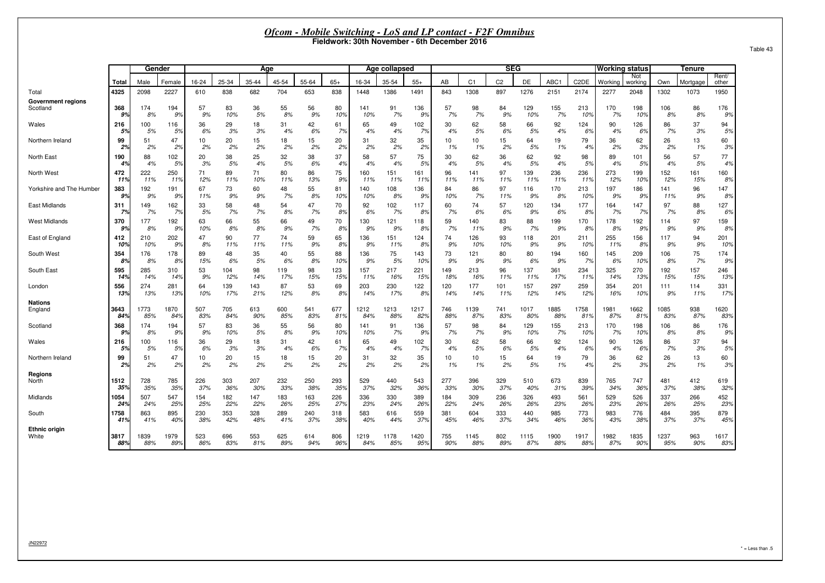| Table 43 |  |
|----------|--|
|          |  |

|                           |             | Gender     |            |            |       | Aae   |       |       |            |            | Age collapsed |            |            |                | SEG            |            |            |                               | <b>Working status</b> |                |            | <b>Tenure</b> |                |
|---------------------------|-------------|------------|------------|------------|-------|-------|-------|-------|------------|------------|---------------|------------|------------|----------------|----------------|------------|------------|-------------------------------|-----------------------|----------------|------------|---------------|----------------|
|                           | Total       | Male       | Female     | 16-24      | 25-34 | 35-44 | 45-54 | 55-64 | $65+$      | 16-34      | 35-54         | $55+$      | AB         | C <sub>1</sub> | C <sub>2</sub> | DE         | ABC1       | C <sub>2</sub> D <sub>E</sub> | Workino               | Not<br>workina | Own        | Mortgage      | Rent/<br>other |
| Total                     | 4325        | 2098       | 2227       | 610        | 838   | 682   | 704   | 653   | 838        | 1448       | 1386          | 1491       | 843        | 1308           | 897            | 1276       | 2151       | 2174                          | 2277                  | 2048           | 1302       | 1073          | 1950           |
| <b>Government regions</b> |             |            |            |            |       |       |       |       |            |            |               |            |            |                |                |            |            |                               |                       |                |            |               |                |
| Scotland                  | 368         | 174        | 194        | 57         | 83    | 36    | 55    | 56    | 80         | 141        | 91            | 136        | 57         | 98             | 84             | 129        | 155        | 213                           | 170                   | 198            | 106        | 86            | 176            |
|                           | 9%          | 8%         | 9%         | 9%         | 10%   | 5%    | 8%    | 9%    | 10%        | 10%        | 7%            | 9%         | 7%         | 7%             | 9%             | 10%        | 7%         | 10%                           | 7%                    | 10%            | 8%         | 8%            | 9%             |
| Wales                     | 216         | 100        | 116        | 36         | 29    | 18    | 31    | 42    | 61         | 65         | 49            | 102        | 30         | 62             | 58             | 66         | 92         | 124                           | 90                    | 126            | 86         | 37            | 94             |
|                           | 5%          | 5%         | 5%         | 6%         | 3%    | 3%    | 4%    | 6%    | 7%         | 4%         | 4%            | 7%         | 4%         | 5%             | 6%             | 5%         | 4%         | 6%                            | 4%                    | 6%             | 7%         | 3%            | 5%             |
| Northern Ireland          | 99          | 51         | 47         | 10         | 20    | 15    | 18    | 15    | 20         | 31         | 32            | 35         | 10         | 10             | 15             | 64         | 19         | 79                            | 36                    | 62             | 26         | 13            | 60             |
|                           | 2%          | 2%         | 2%         | 2%         | 2%    | 2%    | 2%    | 2%    | 2%         | 2%         | 2%            | 2%         | 1%         | 1%             | 2%             | 5%         | 1%         | 4%                            | 2%                    | 3%             | 2%         | 1%            | 3%             |
| North East                | 190         | 88         | 102        | 20         | 38    | 25    | 32    | 38    | 37         | 58         | 57            | 75         | 30         | 62             | 36             | 62         | 92         | 98                            | 89                    | 101            | 56         | 57            | 77             |
|                           | 4%          | 4%         | 5%         | 3%         | 5%    | 4%    | 5%    | 6%    | 4%         | 4%         | 4%            | 5%         | 4%         | 5%             | 4%             | 5%         | 4%         | 5%                            | 4%                    | 5%             | 4%         | 5%            | 4%             |
| North West                | 472         | 222        | 250        | 71         | 89    | 71    | 80    | 86    | 75         | 160        | 151           | 161        | 96         | 141            | 97             | 139        | 236        | 236                           | 273                   | 199            | 152        | 161           | 160            |
|                           | 11%         | 11%        | 11%        | 12%        | 11%   | 10%   | 11%   | 13%   | 9%         | 11%        | 11%           | 11%        | 11%        | 11%            | 11%            | 11%        | 11%        | 11%                           | 12%                   | 10%            | 12%        | 15%           | 8%             |
| Yorkshire and The Humber  | 383         | 192        | 191        | 67         | 73    | 60    | 48    | 55    | 81         | 140        | 108           | 136        | 84         | 86             | 97             | 116        | 170        | 213                           | 197                   | 186            | 141        | 96            | 147            |
|                           | 9%          | 9%         | 9%         | 11%        | 9%    | 9%    | 7%    | 8%    | 10%        | 10%        | 8%            | 9%         | 10%        | 7%             | 11%            | 9%         | 8%         | 10%                           | 9%                    | 9%             | 11%        | 9%            | 8%             |
| East Midlands             | 311         | 149        | 162        | 33         | 58    | 48    | 54    | 47    | 70         | 92         | 102           | 117        | 60         | 74             | 57             | 120        | 134        | 177                           | 164                   | 147            | 97         | 88            | 127            |
|                           | 7%          | 7%         | 7%         | 5%         | 7%    | 7%    | 8%    | 7%    | 8%         | 6%         | 7%            | 8%         | 7%         | 6%             | 6%             | 9%         | 6%         | 8%                            | 7%                    | 7%             | 7%         | 8%            | 6%             |
| <b>West Midlands</b>      | 370         | 177        | 192        | 63         | 66    | 55    | 66    | 49    | 70         | 130        | 121           | 118        | 59         | 140            | 83             | 88         | 199        | 170                           | 178                   | 192            | 114        | 97            | 159            |
|                           | 9%          | 8%         | 9%         | 10%        | 8%    | 8%    | 9%    | 7%    | 8%         | 9%         | 9%            | 8%         | 7%         | 11%            | 9%             | 7%         | 9%         | 8%                            | 8%                    | 9%             | 9%         | 9%            | 8%             |
| East of England           | 412         | 210        | 202        | 47         | 90    | 77    | 74    | 59    | 65         | 136        | 151           | 124        | 74         | 126            | 93             | 118        | 201        | 211                           | 255                   | 156            | 117        | 94            | 201            |
|                           | 10%         | 10%        | 9%         | 8%         | 11%   | 11%   | 11%   | 9%    | 8%         | 9%         | 11%           | 8%         | 9%         | 10%            | 10%            | 9%         | 9%         | 10%                           | 11%                   | 8%             | 9%         | 9%            | 10%            |
| South West                | 354         | 176        | 178        | 89         | 48    | 35    | 40    | 55    | 88         | 136        | 75            | 143        | 73         | 121            | 80             | 80         | 194        | 160                           | 145                   | 209            | 106        | 75            | 174            |
|                           | 8%          | 8%         | 8%         | 15%        | 6%    | 5%    | 6%    | 8%    | 10%        | 9%         | 5%            | 10%        | 9%         | 9%             | 9%             | 6%         | 9%         | 7%                            | 6%                    | 10%            | 8%         | 7%            | 9%             |
| South East                | 595         | 285        | 310        | 53         | 104   | 98    | 119   | 98    | 123        | 157        | 217           | 221        | 149        | 213            | 96             | 137        | 361        | 234                           | 325                   | 270            | 192        | 157           | 246            |
|                           | 14%         | 14%        | 14%        | 9%         | 12%   | 14%   | 17%   | 15%   | 15%        | 11%        | 16%           | 15%        | 18%        | 16%            | 11%            | 11%        | 17%        | 11%                           | 14%                   | 13%            | 15%        | 15%           | 13%            |
| London                    | 556         | 274        | 281        | 64         | 139   | 143   | 87    | 53    | 69         | 203        | 230           | 122        | 120        | 177            | 101            | 157        | 297        | 259                           | 354                   | 201            | 111        | 114           | 331            |
|                           | 13%         | 13%        | 13%        | 10%        | 17%   | 21%   | 12%   | 8%    | 8%         | 14%        | 17%           | 8%         | 14%        | 14%            | 11%            | 12%        | 14%        | 12%                           | 16%                   | 10%            | 9%         | 11%           | 17%            |
| <b>Nations</b><br>England | 3643        | 1773       | 1870       | 507        | 705   | 613   | 600   | 541   | 677        | 1212       | 1213          | 1217       | 746        | 1139           | 741            | 1017       | 1885       | 1758                          | 1981                  | 1662           | 1085       | 938           | 1620           |
|                           | 84%         | 85%        | 84%        | 83%        | 84%   | 90%   | 85%   | 83%   | 81%        | 84%        | 88%           | 82%        | 88%        | 87%            | 83%            | 80%        | 88%        | 81%                           | 87%                   | 81%            | 83%        | 87%           | 83%            |
| Scotland                  | 368         | 174        | 194        | 57         | 83    | 36    | 55    | 56    | 80         | 141        | 91            | 136        | 57         | 98             | 84             | 129        | 155        | 213                           | 170                   | 198            | 106        | 86            | 176            |
|                           | 9%          | 8%         | 9%         | 9%         | 10%   | 5%    | 8%    | 9%    | 10%        | 10%        | 7%            | 9%         | 7%         | 7%             | 9%             | 10%        | 7%         | 10%                           | 7%                    | 10%            | 8%         | 8%            | 9%             |
| Wales                     | 216         | 100        | 116        | 36         | 29    | 18    | 31    | 42    | 61         | 65         | 49            | 102        | 30         | 62             | 58             | 66         | 92         | 124                           | 90                    | 126            | 86         | 37            | 94             |
|                           | 5%          | 5%         | 5%         | 6%         | 3%    | 3%    | 4%    | 6%    | 7%         | 4%         | 4%            | 7%         | 4%         | 5%             | 6%             | 5%         | 4%         | 6%                            | 4%                    | 6%             | 7%         | 3%            | 5%             |
| Northern Ireland          | 99          | 51         | 47         | 10         | 20    | 15    | 18    | 15    | 20         | 31         | 32            | 35         | 10         | 10             | 15             | 64         | 19         | 79                            | 36                    | 62             | 26         | 13            | 60             |
|                           | 2%          | 2%         | 2%         | 2%         | 2%    | 2%    | 2%    | 2%    | 2%         | 2%         | 2%            | 2%         | 1%         | 1%             | 2%             | 5%         | 1%         | 4%                            | 2%                    | 3%             | 2%         | 1%            | 3%             |
| Regions                   |             |            |            |            | 303   | 207   | 232   | 250   |            |            |               |            |            |                |                |            |            |                               |                       | 747            |            | 412           |                |
| North                     | 1512<br>35% | 728<br>35% | 785<br>35% | 226<br>37% | 36%   | 30%   | 33%   | 38%   | 293<br>35% | 529<br>37% | 440<br>32%    | 543<br>36% | 277<br>33% | 396<br>30%     | 329<br>37%     | 510<br>40% | 673<br>31% | 839<br>39%                    | 765<br>34%            | 36%            | 481<br>37% | 38%           | 619<br>32%     |
| Midlands                  | 1054        | 507        | 547        | 154        | 182   | 147   | 183   | 163   | 226        | 336        | 330           | 389        | 184        | 309            | 236            | 326        | 493        | 561                           | 529                   | 526            | 337        | 266           | 452            |
|                           | 24%         | 24%        | 25%        | 25%        | 22%   | 22%   | 26%   | 25%   | 27%        | 23%        | 24%           | 26%        | 22%        | 24%            | 26%            | 26%        | 23%        | 26%                           | 23%                   | 26%            | 26%        | 25%           | 23%            |
| South                     | 1758        | 863        | 895        | 230        | 353   | 328   | 289   | 240   | 318        | 583        | 616           | 559        | 381        | 604            | 333            | 440        | 985        | 773                           | 983                   | 776            | 484        | 395           | 879            |
|                           | 41%         | 41%        | 40%        | 38%        | 42%   | 48%   | 41%   | 37%   | 38%        | 40%        | 44%           | 37%        | 45%        | 46%            | 37%            | 34%        | 46%        | 36%                           | 43%                   | 38%            | 37%        | 37%           | 45%            |
| <b>Ethnic origin</b>      | 3817        | 1839       | 1979       | 523        | 696   | 553   | 625   | 614   | 806        | 1219       | 1178          | 1420       | 755        | 1145           | 802            | 1115       | 1900       | 1917                          | 1982                  | 1835           | 1237       | 963           | 1617           |
| White                     | 88%         | 88%        | 89%        | 86%        | 83%   | 81%   | 89%   | 94%   | 96%        | 84%        | 85%           | 95%        | 90%        | 88%            | 89%            | 87%        | 88%        | 88%                           | 87%                   | 90%            | 95%        | 90%           | 83%            |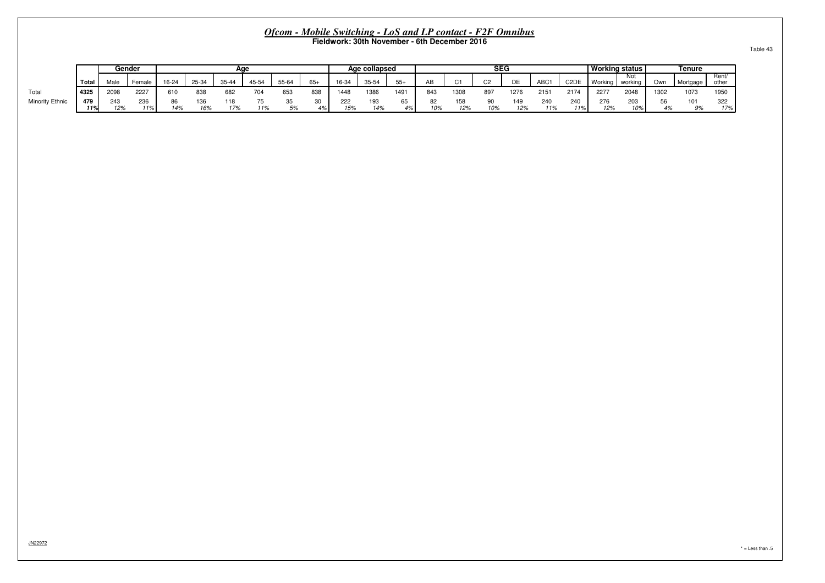|                 |            | Gender     |            |       |            | Aae        |       |          |       |            | Age collapsed |      |     |            | <b>SEG</b> |            |            |                   | l Workina status l |                |      | Tenure   |                |
|-----------------|------------|------------|------------|-------|------------|------------|-------|----------|-------|------------|---------------|------|-----|------------|------------|------------|------------|-------------------|--------------------|----------------|------|----------|----------------|
|                 | Total      | Male       | Female     | 16-24 | 25-34      | 35.11      | 45-54 | 55-64    | $65+$ | 16-34      | $35 - 54$     |      | AR  | $\sim$     | $\sim$     | DE.<br>◡∟  | <b>ABC</b> | C <sub>2</sub> DE | Working            | Not<br>workina | Own  | Mortgage | Rent/<br>other |
| Total           | 4325       | 2098       | 2227       | 610   | 838        | 682        | 704   | 653      | 838   | 1448       | 1386          | 1491 | 843 | 1308       | 897        | 1276       | 2151       | 2174              | 2277               | 2048           | 1302 | 1073     | 1950           |
| Minority Ethnic | 479<br>11% | 243<br>12% | 236<br>11% | 14%   | 136<br>16% | 118<br>17% | 11%   | აა<br>5% | 4%    | 222<br>15% | 193<br>14%    | 4%   | 10% | EO.<br>12% | 10%        | 149<br>12% | 240<br>11% | 240<br>11%        | 276<br>12%         | 203<br>10%     |      | 101      | 322<br>17%     |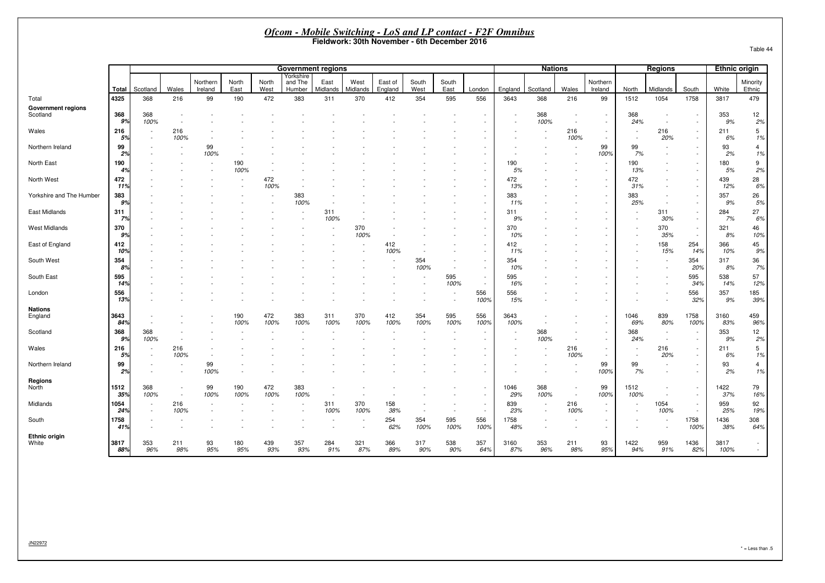| Table 44 |  |  |
|----------|--|--|
|----------|--|--|

|                                       |                        |             |             |                     |               |               |                                |                  |                  |                                              |               |                          |             | <u><b>Ofcom - Mobile Switching - LoS and LP contact - F2F Omnibus</b></u> |                |                          |                                                      |              |                                                      |                          |               |                                    |
|---------------------------------------|------------------------|-------------|-------------|---------------------|---------------|---------------|--------------------------------|------------------|------------------|----------------------------------------------|---------------|--------------------------|-------------|---------------------------------------------------------------------------|----------------|--------------------------|------------------------------------------------------|--------------|------------------------------------------------------|--------------------------|---------------|------------------------------------|
|                                       |                        |             |             |                     |               |               |                                |                  |                  | Fieldwork: 30th November - 6th December 2016 |               |                          |             |                                                                           |                |                          |                                                      |              |                                                      |                          |               | Table 44                           |
|                                       |                        |             |             |                     |               |               |                                |                  |                  |                                              |               |                          |             |                                                                           |                |                          |                                                      |              |                                                      |                          |               |                                    |
|                                       |                        |             |             |                     |               |               | <b>Government regions</b>      |                  |                  |                                              |               |                          |             |                                                                           | <b>Nations</b> |                          |                                                      |              | <b>Regions</b>                                       |                          | Ethnic origin |                                    |
|                                       | Total                  | Scotland    | Wales       | Northern<br>Ireland | North<br>East | North<br>West | Yorkshire<br>and The<br>Humber | East<br>Midlands | West<br>Midlands | East of<br>England                           | South<br>West | South<br>East            | London      | England                                                                   | Scotland       | Wales                    | Northern<br>Ireland                                  | North        | Midlands                                             | South                    | White         | Minority<br>Ethnic                 |
| Total                                 | 4325                   | 368         | 216         | 99                  | 190           | 472           | 383                            | 311              | 370              | 412                                          | 354           | 595                      | 556         | 3643                                                                      | 368            | 216                      | 99                                                   | 1512         | 1054                                                 | 1758                     | 3817          | 479                                |
| <b>Government regions</b><br>Scotland | 368<br>99              | 368<br>100% |             |                     |               |               |                                |                  |                  |                                              |               |                          |             |                                                                           | 368<br>100%    |                          | $\sim$                                               | 368<br>24%   | $\overline{\phantom{a}}$                             | $\sim$                   | 353<br>9%     | 12<br>2%                           |
| Wales                                 | 216<br>5%              | $\sim$      | 216<br>100% |                     |               |               |                                |                  |                  |                                              |               |                          |             |                                                                           |                | 216<br>100%              | $\overline{\phantom{a}}$<br>$\sim$                   |              | 216<br>20%                                           |                          | 211<br>6%     | 5<br>1%                            |
| Northern Ireland                      | 99<br>2%               |             |             | 99<br>100%          |               |               |                                |                  |                  |                                              |               |                          |             |                                                                           |                |                          | 99<br>100%                                           | 99<br>7%     | $\overline{\phantom{a}}$                             |                          | 93<br>2%      | $\overline{4}$<br>1%               |
| North East                            | 190<br>4%              |             |             |                     | 190<br>100%   |               |                                |                  |                  |                                              |               |                          |             | 190<br>5%                                                                 |                |                          | $\sim$<br>$\overline{\phantom{a}}$                   | 190<br>13%   |                                                      |                          | 180<br>5%     | 9<br>2%                            |
| North West                            | 472<br>119             |             |             |                     |               | 472<br>100%   |                                |                  |                  |                                              |               |                          |             | 472<br>13%                                                                |                |                          | $\overline{\phantom{a}}$                             | 472<br>31%   |                                                      |                          | 439<br>12%    | 28<br>6%                           |
| Yorkshire and The Humber              | 383<br>9%              |             |             |                     |               |               | 383<br>100%                    |                  |                  |                                              |               |                          |             | 383<br>11%                                                                |                |                          |                                                      | 383<br>25%   | $\overline{\phantom{a}}$                             |                          | 357<br>9%     | 26<br>5%                           |
| East Midlands                         | 311<br>7%              |             |             |                     |               |               |                                | 311<br>100%      |                  |                                              |               |                          |             | 311<br>9%                                                                 |                |                          |                                                      |              | 311<br>30%                                           |                          | 284<br>7%     | 27<br>6%                           |
| West Midlands                         | 370<br>9%              |             |             |                     |               |               |                                |                  | 370<br>100%      |                                              |               |                          |             | 370<br>10%                                                                |                |                          |                                                      |              | 370<br>35%                                           | $\sim$                   | 321<br>8%     | 46<br>10%                          |
| East of England                       | 412<br>10%             |             |             |                     |               |               |                                |                  |                  | 412<br>100%                                  |               |                          |             | 412<br>11%                                                                |                |                          |                                                      |              | 158<br>15%                                           | 254<br>14%               | 366<br>10%    | 45<br>9%                           |
| South West                            | 354<br>-89             |             |             |                     |               |               |                                |                  |                  |                                              | 354<br>100%   |                          |             | 354<br>10%                                                                |                |                          |                                                      |              | $\sim$                                               | 354<br>20%               | 317<br>8%     | 36<br><b>7%</b>                    |
| South East                            | 595<br>14 <sup>°</sup> |             |             |                     |               |               |                                |                  |                  |                                              |               | 595<br>100%              | $\sim$      | 595<br>16%                                                                |                |                          |                                                      |              |                                                      | 595<br>34%               | 538<br>14%    | 57<br>12%                          |
| London                                | 556<br>139             |             |             |                     |               |               |                                |                  |                  |                                              |               |                          | 556<br>100% | 556<br>15%                                                                |                |                          |                                                      |              |                                                      | 556<br>32%               | 357<br>9%     | 185<br>39%                         |
| <b>Nations</b><br>England             | 3643<br>-849           |             |             |                     | 190<br>100%   | 472<br>100%   | 383<br>100%                    | 311<br>100%      | 370<br>100%      | 412<br>100%                                  | 354<br>100%   | 595<br>100%              | 556<br>100% | 3643<br>100%                                                              |                |                          | $\sim$                                               | 1046<br>69%  | 839<br>80%                                           | 1758<br>100%             | 3160<br>83%   | 459<br>96%                         |
| Scotland                              | 368<br>9۶              | 368<br>100% |             |                     |               |               |                                |                  |                  |                                              |               |                          |             |                                                                           | 368<br>100%    |                          | $\sim$                                               | 368<br>24%   | $\overline{\phantom{a}}$<br>$\sim$                   | $\sim$                   | 353<br>9%     | 12<br>2%                           |
| Wales                                 | 216<br>5%              | $\sim$      | 216<br>100% |                     |               |               |                                |                  |                  |                                              |               |                          |             |                                                                           |                | 216<br>100%              | $\overline{\phantom{a}}$<br>$\sim$                   |              | 216<br>20%                                           |                          | 211<br>6%     | 5<br>1%                            |
| Northern Ireland                      | 99<br>2%               | $\sim$      |             | 99<br>100%          |               |               |                                |                  |                  |                                              |               |                          |             |                                                                           |                |                          | 99<br>100%                                           | 99<br>7%     | $\sim$                                               |                          | 93<br>2%      | $\overline{4}$<br>1%               |
| <b>Regions</b><br>North               | 1512<br>35%            | 368<br>100% |             | 99<br>100%          | 190<br>100%   | 472<br>100%   | 383<br>100%                    |                  |                  |                                              |               |                          |             | 1046<br>29%                                                               | 368<br>100%    | $\overline{\phantom{a}}$ | 99<br>100%                                           | 1512<br>100% | $\overline{\phantom{a}}$<br>$\overline{\phantom{a}}$ | $\overline{\phantom{a}}$ | 1422<br>37%   | 79<br>16%                          |
| Midlands                              | 1054<br>249            | $\sim$      | 216<br>100% |                     |               |               |                                | 311<br>100%      | 370<br>100%      | 158<br>38%                                   | $\sim$        | $\overline{\phantom{a}}$ | $\sim$      | 839<br>23%                                                                | $\sim$         | 216<br>100%              | $\overline{\phantom{a}}$<br>$\overline{\phantom{a}}$ |              | 1054<br>100%                                         | $\sim$                   | 959<br>25%    | 92<br>19%                          |
| South                                 | 1758<br>41%            |             |             |                     |               |               |                                |                  |                  | 254<br>62%                                   | 354<br>100%   | 595<br>100%              | 556<br>100% | 1758<br>48%                                                               |                |                          |                                                      |              | $\overline{\phantom{a}}$<br>$\overline{\phantom{a}}$ | 1758<br>100%             | 1436<br>38%   | 308<br>64%                         |
| <b>Ethnic origin</b><br>White         | 3817<br>88%            | 353<br>96%  | 211<br>98%  | 93<br>95%           | 180<br>95%    | 439<br>93%    | 357<br>93%                     | 284<br>91%       | 321<br>87%       | 366<br>89%                                   | 317<br>90%    | 538<br>90%               | 357<br>64%  | 3160<br>87%                                                               | 353<br>96%     | 211<br>98%               | 93<br>95%                                            | 1422<br>94%  | 959<br>91%                                           | 1436<br>82%              | 3817<br>100%  | $\overline{\phantom{a}}$<br>$\sim$ |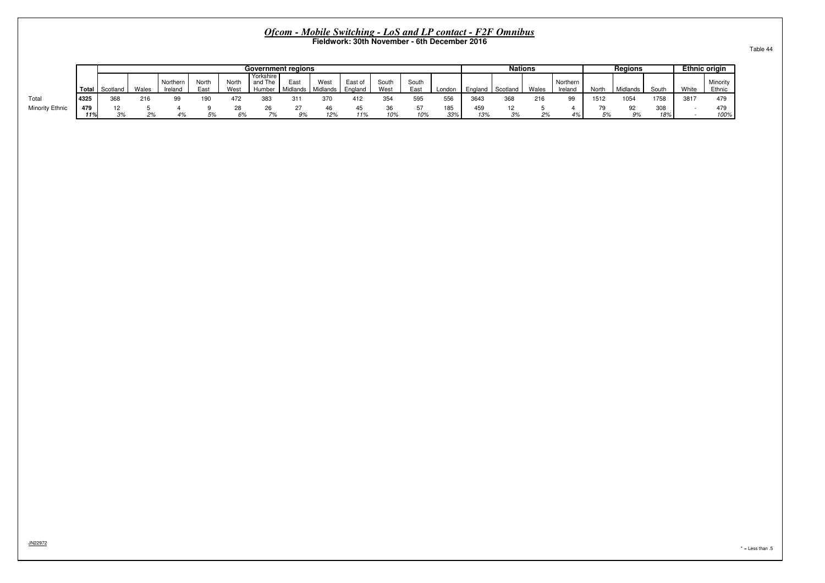|                        |              |          |       |                     |               |               |                                | Government regions |                  |                    |               |               |            |            | <b>Nations</b> |       |                    |      | Regions    |            |       | <b>Ethnic origin</b> |
|------------------------|--------------|----------|-------|---------------------|---------------|---------------|--------------------------------|--------------------|------------------|--------------------|---------------|---------------|------------|------------|----------------|-------|--------------------|------|------------|------------|-------|----------------------|
|                        | <b>Total</b> | Scotlano | Wales | Northern<br>Ireland | North<br>East | North<br>West | Yorkshire<br>and The<br>Humber | East<br>Midlands   | West<br>Midlands | East of<br>England | South<br>West | South<br>East | London     | Enaland    | Scotland       | Wales | Northern<br>Irelan | Nort | Midlands   | Sout       | White | Minority<br>Ethnic   |
| Total                  | 4325         | 368      | 216   |                     | 190           | 472           | 383                            | 31'                | 370              | 412                | 354           | 595           | 556        | 3643       | 368            | 216   | 99                 | 1511 | 1054       | 1758       | 3817  | 479                  |
| <b>Minority Ethnic</b> | 479<br>11%   | 12<br>3% | co.   |                     |               | ∠٥            | 7%                             | 9%                 | 46<br>12%        | - 45<br>119/       | 10%           | 57<br>10%     | 185<br>33% | 459<br>13% | 3%             |       | 4%                 |      | $Q_{}^{o}$ | 308<br>18% |       | 479<br>100%          |

JN22972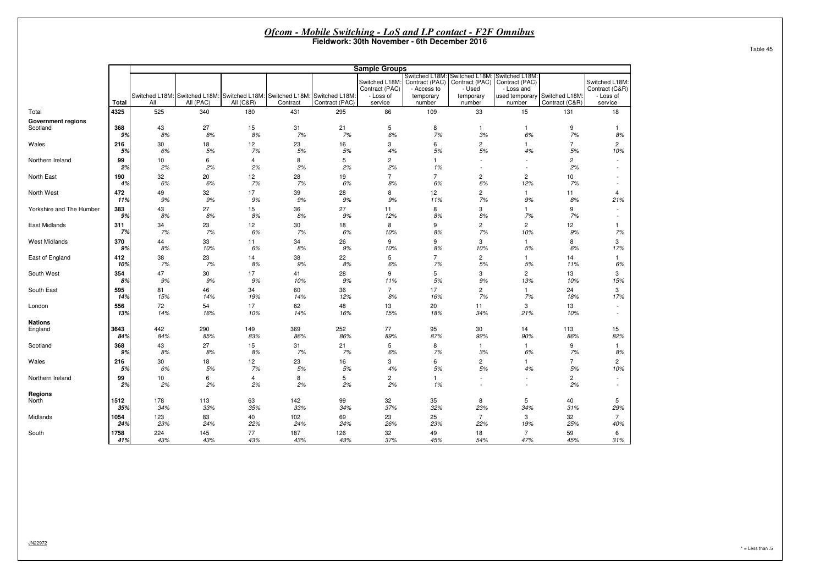|                           |          |          |                                                                            |                      |          |                | <b>Sample Groups</b>                          |                                            |                                                                                       |                                                               |                      |                                               |
|---------------------------|----------|----------|----------------------------------------------------------------------------|----------------------|----------|----------------|-----------------------------------------------|--------------------------------------------|---------------------------------------------------------------------------------------|---------------------------------------------------------------|----------------------|-----------------------------------------------|
|                           |          |          | Switched L18M: Switched L18M: Switched L18M: Switched L18M: Switched L18M: |                      |          |                | Switched L18M:<br>Contract (PAC)<br>- Loss of | Contract (PAC)<br>- Access to<br>temporary | Switched L18M: Switched L18M: Switched L18M:<br>Contract (PAC)<br>- Used<br>temporary | Contract (PAC)<br>- Loss and<br>used temporary Switched L18M: |                      | Switched L18M:<br>Contract (C&R)<br>- Loss of |
|                           | Total    | All      | All (PAC)                                                                  | <b>All (C&amp;R)</b> | Contract | Contract (PAC) | service                                       | number                                     | number                                                                                | number                                                        | Contract (C&R)       | service                                       |
| Total                     | 4325     | 525      | 340                                                                        | 180                  | 431      | 295            | 86                                            | 109                                        | 33                                                                                    | 15                                                            | 131                  | 18                                            |
| <b>Government regions</b> | 368      | 43       | 27                                                                         | 15                   | 31       | 21             | 5                                             | 8                                          | $\mathbf{1}$                                                                          | $\mathbf{1}$                                                  | 9                    | 8%                                            |
| Scotland                  | 9%       | 8%       | 8%                                                                         | 8%                   | 7%       | 7%             | 6%                                            | 7%                                         | 3%                                                                                    | $6\%$                                                         | 7%                   |                                               |
| Wales                     | 216      | 30       | 18                                                                         | 12                   | 23       | 16             | 3                                             | 6                                          | $\overline{c}$                                                                        | $\mathbf{1}$                                                  | $\overline{7}$       | $\overline{c}$                                |
|                           | 5%       | 6%       | 5%                                                                         | 7%                   | 5%       | 5%             | 4%                                            | 5%                                         | 5%                                                                                    | 4%                                                            | 5%                   | 10%                                           |
| Northern Ireland          | 99<br>2% | 10<br>2% | 6<br>2%                                                                    | $\overline{4}$<br>2% | 8<br>2%  | 5<br>2%        | $\overline{2}$<br>2%                          | $\mathbf{1}$<br>1%                         | $\sim$<br>$\sim$                                                                      | ÷                                                             | $\overline{c}$<br>2% | $\sim$                                        |
| North East                | 190      | 32       | 20                                                                         | 12                   | 28       | 19             | $\overline{7}$                                | $\overline{7}$                             | $\overline{c}$                                                                        | $\overline{\mathbf{c}}$                                       | 10                   | $\sim$                                        |
|                           | 4%       | 6%       | 6%                                                                         | 7%                   | 7%       | 6%             | 8%                                            | 6%                                         | 6%                                                                                    | 12%                                                           | 7%                   | $\sim$                                        |
| North West                | 472      | 49       | 32                                                                         | 17                   | 39       | 28             | 8                                             | 12                                         | $\overline{\mathbf{c}}$                                                               | $\mathbf{1}$                                                  | 11                   | $\overline{4}$                                |
|                           | 11%      | 9%       | 9%                                                                         | 9%                   | 9%       | 9%             | 9%                                            | 11%                                        | 7%                                                                                    | 9%                                                            | 8%                   | 21%                                           |
| Yorkshire and The Humber  | 383      | 43       | 27                                                                         | 15                   | 36       | 27             | 11                                            | 8                                          | 3                                                                                     | $\mathbf{1}$                                                  | 9                    | $\sim$                                        |
|                           | 9%       | 8%       | 8%                                                                         | 8%                   | 8%       | 9%             | 12%                                           | 8%                                         | 8%                                                                                    | 7%                                                            | 7%                   | $\sim$                                        |
| East Midlands             | 311      | 34       | 23                                                                         | 12                   | 30       | 18             | 8                                             | 9                                          | $\overline{\mathbf{c}}$                                                               | $\overline{c}$                                                | 12                   | $\overline{1}$                                |
|                           | 7%       | 7%       | 7%                                                                         | 6%                   | 7%       | 6%             | 10%                                           | 8%                                         | 7%                                                                                    | 10%                                                           | 9%                   | 7%                                            |
| <b>West Midlands</b>      | 370      | 44       | 33                                                                         | 11                   | 34       | 26             | 9                                             | 9                                          | 3                                                                                     | $\mathbf{1}$                                                  | 8                    | 3                                             |
|                           | 9%       | 8%       | 10%                                                                        | 6%                   | 8%       | 9%             | 10%                                           | 8%                                         | 10%                                                                                   | 5%                                                            | 6%                   | 17%                                           |
| East of England           | 412      | 38       | 23                                                                         | 14                   | 38       | 22             | 5                                             | $\overline{7}$                             | $\overline{c}$                                                                        | $\mathbf{1}$                                                  | 14                   | $\mathbf{1}$                                  |
|                           | 10%      | 7%       | 7%                                                                         | 8%                   | 9%       | 8%             | 6%                                            | 7%                                         | 5%                                                                                    | 5%                                                            | 11%                  | 6%                                            |
| South West                | 354      | 47       | 30                                                                         | 17                   | 41       | 28             | 9                                             | 5                                          | 3                                                                                     | $\overline{c}$                                                | 13                   | 3                                             |
|                           | 8%       | 9%       | 9%                                                                         | 9%                   | 10%      | 9%             | 11%                                           | 5%                                         | 9%                                                                                    | 13%                                                           | 10%                  | 15%                                           |
| South East                | 595      | 81       | 46                                                                         | 34                   | 60       | 36             | $\overline{7}$                                | 17                                         | $\mathbf{2}$                                                                          | $\mathbf{1}$                                                  | 24                   | 3                                             |
|                           | 14%      | 15%      | 14%                                                                        | 19%                  | 14%      | 12%            | 8%                                            | 16%                                        | 7%                                                                                    | 7%                                                            | 18%                  | 17%                                           |
| London                    | 556      | 72       | 54                                                                         | 17                   | 62       | 48             | 13                                            | 20                                         | 11                                                                                    | 3                                                             | 13                   | $\overline{\phantom{a}}$                      |
|                           | 13%      | 14%      | 16%                                                                        | 10%                  | 14%      | 16%            | 15%                                           | 18%                                        | 34%                                                                                   | 21%                                                           | 10%                  | $\sim$                                        |
| <b>Nations</b>            | 3643     | 442      | 290                                                                        | 149                  | 369      | 252            | 77                                            | 95                                         | 30                                                                                    | 14                                                            | 113                  | 15                                            |
| England                   | 84%      | 84%      | 85%                                                                        | 83%                  | 86%      | 86%            | 89%                                           | 87%                                        | 92%                                                                                   | 90%                                                           | 86%                  | 82%                                           |
| Scotland                  | 368      | 43       | 27                                                                         | 15                   | 31       | 21             | 5                                             | 8                                          | $\mathbf{1}$                                                                          | $\mathbf{1}$                                                  | 9                    | $\mathbf{1}$                                  |
|                           | 9%       | 8%       | 8%                                                                         | 8%                   | 7%       | 7%             | 6%                                            | 7%                                         | 3%                                                                                    | 6%                                                            | 7%                   | 8%                                            |
| Wales                     | 216      | 30       | 18                                                                         | 12                   | 23       | 16             | 3                                             | 6                                          | $\mathbf{2}$                                                                          | $\mathbf{1}$                                                  | $\overline{7}$       | $\overline{c}$                                |
|                           | 5%       | 6%       | 5%                                                                         | 7%                   | 5%       | $5\%$          | 4%                                            | 5%                                         | 5%                                                                                    | 4%                                                            | 5%                   | 10%                                           |
| Northern Ireland          | 99       | 10       | 6                                                                          | 4                    | 8        | 5              | $\overline{2}$                                | $\mathbf{1}$                               | $\sim$                                                                                | ÷,                                                            | $\overline{2}$       | $\sim$                                        |
|                           | 2%       | 2%       | 2%                                                                         | 2%                   | 2%       | 2%             | 2%                                            | 1%                                         | $\sim$                                                                                | ÷,                                                            | 2%                   | $\sim$                                        |
| <b>Regions</b>            | 1512     | 178      | 113                                                                        | 63                   | 142      | 99             | 32                                            | 35                                         | 8                                                                                     | 5                                                             | 40                   | 5                                             |
| North                     | 35%      | 34%      | 33%                                                                        | 35%                  | 33%      | 34%            | 37%                                           | 32%                                        | 23%                                                                                   | 34%                                                           | 31%                  | 29%                                           |
| Midlands                  | 1054     | 123      | 83                                                                         | 40                   | 102      | 69             | 23                                            | 25                                         | $\overline{7}$                                                                        | 3                                                             | 32                   | $\overline{7}$                                |
|                           | 24%      | 23%      | 24%                                                                        | 22%                  | 24%      | 24%            | 26%                                           | 23%                                        | 22%                                                                                   | 19%                                                           | 25%                  | 40%                                           |
| South                     | 1758     | 224      | 145                                                                        | 77                   | 187      | 126            | 32                                            | 49                                         | 18                                                                                    | $\overline{7}$                                                | 59                   | 6                                             |
|                           | 41%      | 43%      | 43%                                                                        | 43%                  | 43%      | 43%            | 37%                                           | 45%                                        | 54%                                                                                   | 47%                                                           | 45%                  | 31%                                           |